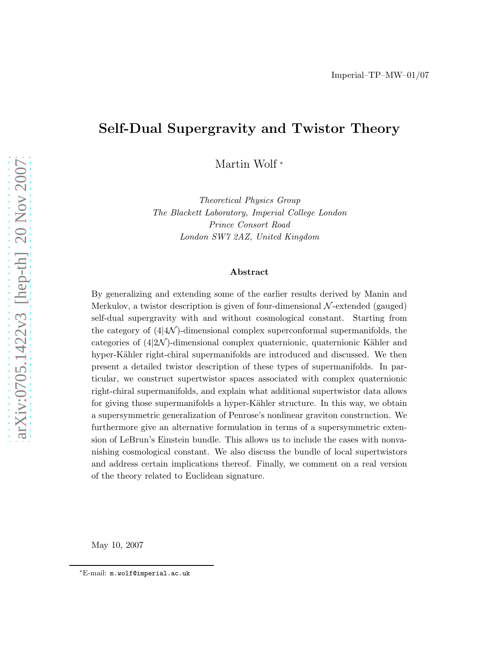# Self-Dual Supergravity and Twistor Theory

Martin Wolf <sup>∗</sup>

Theoretical Physics Group The Blackett Laboratory, Imperial College London Prince Consort Road London SW7 2AZ, United Kingdom

### Abstract

By generalizing and extending some of the earlier results derived by Manin and Merkulov, a twistor description is given of four-dimensional  $\mathcal{N}$ -extended (gauged) self-dual supergravity with and without cosmological constant. Starting from the category of  $(44\mathcal{N})$ -dimensional complex superconformal supermanifolds, the categories of  $(4|\mathcal{2N})$ -dimensional complex quaternionic, quaternionic Kähler and hyper-Kähler right-chiral supermanifolds are introduced and discussed. We then present a detailed twistor description of these types of supermanifolds. In particular, we construct supertwistor spaces associated with complex quaternionic right-chiral supermanifolds, and explain what additional supertwistor data allows for giving those supermanifolds a hyper-Kähler structure. In this way, we obtain a supersymmetric generalization of Penrose's nonlinear graviton construction. We furthermore give an alternative formulation in terms of a supersymmetric extension of LeBrun's Einstein bundle. This allows us to include the cases with nonvanishing cosmological constant. We also discuss the bundle of local supertwistors and address certain implications thereof. Finally, we comment on a real version of the theory related to Euclidean signature.

May 10, 2007

<sup>∗</sup>E-mail: m.wolf@imperial.ac.uk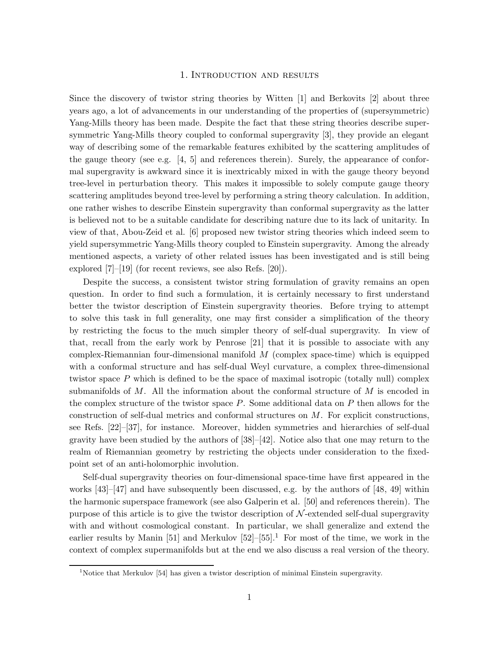### 1. Introduction and results

Since the discovery of twistor string theories by Witten [1] and Berkovits [2] about three years ago, a lot of advancements in our understanding of the properties of (supersymmetric) Yang-Mills theory has been made. Despite the fact that these string theories describe supersymmetric Yang-Mills theory coupled to conformal supergravity [3], they provide an elegant way of describing some of the remarkable features exhibited by the scattering amplitudes of the gauge theory (see e.g. [4, 5] and references therein). Surely, the appearance of conformal supergravity is awkward since it is inextricably mixed in with the gauge theory beyond tree-level in perturbation theory. This makes it impossible to solely compute gauge theory scattering amplitudes beyond tree-level by performing a string theory calculation. In addition, one rather wishes to describe Einstein supergravity than conformal supergravity as the latter is believed not to be a suitable candidate for describing nature due to its lack of unitarity. In view of that, Abou-Zeid et al. [6] proposed new twistor string theories which indeed seem to yield supersymmetric Yang-Mills theory coupled to Einstein supergravity. Among the already mentioned aspects, a variety of other related issues has been investigated and is still being explored [7]–[19] (for recent reviews, see also Refs. [20]).

Despite the success, a consistent twistor string formulation of gravity remains an open question. In order to find such a formulation, it is certainly necessary to first understand better the twistor description of Einstein supergravity theories. Before trying to attempt to solve this task in full generality, one may first consider a simplification of the theory by restricting the focus to the much simpler theory of self-dual supergravity. In view of that, recall from the early work by Penrose [21] that it is possible to associate with any complex-Riemannian four-dimensional manifold  $M$  (complex space-time) which is equipped with a conformal structure and has self-dual Weyl curvature, a complex three-dimensional twistor space P which is defined to be the space of maximal isotropic (totally null) complex submanifolds of  $M$ . All the information about the conformal structure of  $M$  is encoded in the complex structure of the twistor space  $P$ . Some additional data on  $P$  then allows for the construction of self-dual metrics and conformal structures on  $M$ . For explicit constructions, see Refs. [22]–[37], for instance. Moreover, hidden symmetries and hierarchies of self-dual gravity have been studied by the authors of  $[38]$ – $[42]$ . Notice also that one may return to the realm of Riemannian geometry by restricting the objects under consideration to the fixedpoint set of an anti-holomorphic involution.

Self-dual supergravity theories on four-dimensional space-time have first appeared in the works  $[43]$ – $[47]$  and have subsequently been discussed, e.g. by the authors of  $[48, 49]$  within the harmonic superspace framework (see also Galperin et al. [50] and references therein). The purpose of this article is to give the twistor description of  $\mathcal{N}$ -extended self-dual supergravity with and without cosmological constant. In particular, we shall generalize and extend the earlier results by Manin [51] and Merkulov  $[52]$ – $[55]$ .<sup>1</sup> For most of the time, we work in the context of complex supermanifolds but at the end we also discuss a real version of the theory.

<sup>&</sup>lt;sup>1</sup>Notice that Merkulov [54] has given a twistor description of minimal Einstein supergravity.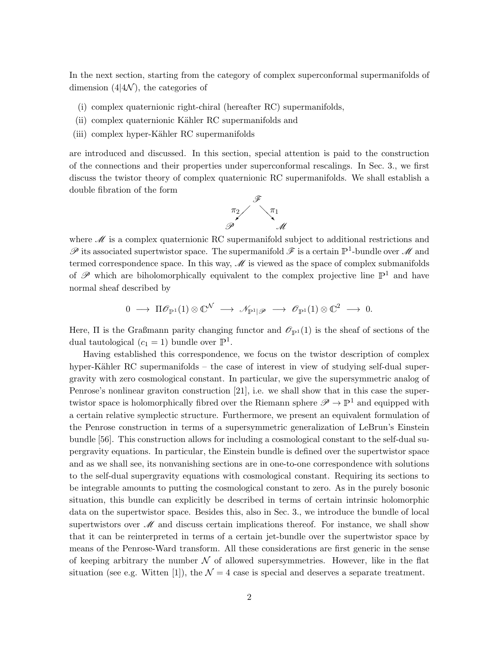In the next section, starting from the category of complex superconformal supermanifolds of dimension  $(4|4\mathcal{N})$ , the categories of

- (i) complex quaternionic right-chiral (hereafter RC) supermanifolds,
- (ii) complex quaternionic Kähler RC supermanifolds and
- (iii) complex hyper-Kähler RC supermanifolds

are introduced and discussed. In this section, special attention is paid to the construction of the connections and their properties under superconformal rescalings. In Sec. 3., we first discuss the twistor theory of complex quaternionic RC supermanifolds. We shall establish a double fibration of the form



where  $\mathcal M$  is a complex quaternionic RC supermanifold subject to additional restrictions and  $\mathscr P$  its associated supertwistor space. The supermanifold  $\mathscr F$  is a certain  $\mathbb P^1$ -bundle over  $\mathscr M$  and termed correspondence space. In this way,  $M$  is viewed as the space of complex submanifolds of  $\mathscr P$  which are biholomorphically equivalent to the complex projective line  $\mathbb{P}^1$  and have normal sheaf described by

$$
0\;\longrightarrow\;\Pi\mathscr{O}_{\mathbb{P}^1}(1)\otimes\mathbb{C}^\mathcal{N}\;\longrightarrow\;\mathscr{N}_{\mathbb{P}^1\vert\mathscr{P}}\;\longrightarrow\;\mathscr{O}_{\mathbb{P}^1}(1)\otimes\mathbb{C}^2\;\longrightarrow\;0.
$$

Here,  $\Pi$  is the Graßmann parity changing functor and  $\mathcal{O}_{\mathbb{P}^1}(1)$  is the sheaf of sections of the dual tautological  $(c_1 = 1)$  bundle over  $\mathbb{P}^1$ .

Having established this correspondence, we focus on the twistor description of complex hyper-Kähler RC supermanifolds – the case of interest in view of studying self-dual supergravity with zero cosmological constant. In particular, we give the supersymmetric analog of Penrose's nonlinear graviton construction [21], i.e. we shall show that in this case the supertwistor space is holomorphically fibred over the Riemann sphere  $\mathscr{P} \to \mathbb{P}^1$  and equipped with a certain relative symplectic structure. Furthermore, we present an equivalent formulation of the Penrose construction in terms of a supersymmetric generalization of LeBrun's Einstein bundle [56]. This construction allows for including a cosmological constant to the self-dual supergravity equations. In particular, the Einstein bundle is defined over the supertwistor space and as we shall see, its nonvanishing sections are in one-to-one correspondence with solutions to the self-dual supergravity equations with cosmological constant. Requiring its sections to be integrable amounts to putting the cosmological constant to zero. As in the purely bosonic situation, this bundle can explicitly be described in terms of certain intrinsic holomorphic data on the supertwistor space. Besides this, also in Sec. 3., we introduce the bundle of local supertwistors over  $\mathcal M$  and discuss certain implications thereof. For instance, we shall show that it can be reinterpreted in terms of a certain jet-bundle over the supertwistor space by means of the Penrose-Ward transform. All these considerations are first generic in the sense of keeping arbitrary the number  $\mathcal N$  of allowed supersymmetries. However, like in the flat situation (see e.g. Witten [1]), the  $\mathcal{N} = 4$  case is special and deserves a separate treatment.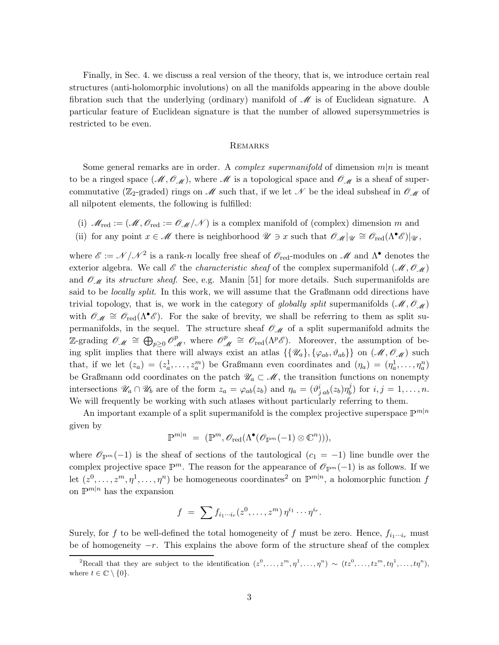Finally, in Sec. 4. we discuss a real version of the theory, that is, we introduce certain real structures (anti-holomorphic involutions) on all the manifolds appearing in the above double fibration such that the underlying (ordinary) manifold of  $\mathcal M$  is of Euclidean signature. A particular feature of Euclidean signature is that the number of allowed supersymmetries is restricted to be even.

#### **REMARKS**

Some general remarks are in order. A *complex supermanifold* of dimension  $m|n$  is meant to be a ringed space  $(M, \mathcal{O}_{M})$ , where M is a topological space and  $\mathcal{O}_{M}$  is a sheaf of supercommutative ( $\mathbb{Z}_2$ -graded) rings on M such that, if we let N be the ideal subsheaf in  $\mathscr{O}_{\mathscr{M}}$  of all nilpotent elements, the following is fulfilled:

- (i)  $\mathcal{M}_{\text{red}} := (\mathcal{M}, \mathcal{O}_{\text{red}}) = \mathcal{O}_{\mathcal{M}}/\mathcal{N}$  is a complex manifold of (complex) dimension m and
- (ii) for any point  $x \in \mathcal{M}$  there is neighborhood  $\mathcal{U} \ni x$  such that  $\mathcal{O}_{\mathcal{M}}|_{\mathcal{U}} \cong \mathcal{O}_{red}(\Lambda^{\bullet} \mathcal{E})|_{\mathcal{U}}$ ,

where  $\mathscr{E} := \mathscr{N} / \mathscr{N}^2$  is a rank-n locally free sheaf of  $\mathscr{O}_{red}$ -modules on  $\mathscr{M}$  and  $\Lambda^{\bullet}$  denotes the exterior algebra. We call  $\mathscr E$  the *characteristic sheaf* of the complex supermanifold  $(\mathscr M, \mathscr O_{\mathscr M})$ and  $\mathcal{O}_{\mathcal{M}}$  its structure sheaf. See, e.g. Manin [51] for more details. Such supermanifolds are said to be *locally split*. In this work, we will assume that the Graßmann odd directions have trivial topology, that is, we work in the category of globally split supermanifolds  $(M, \mathcal{O}_{M})$ with  $\mathcal{O}_{\mathcal{M}} \cong \mathcal{O}_{red}(\Lambda^{\bullet} \mathcal{E})$ . For the sake of brevity, we shall be referring to them as split supermanifolds, in the sequel. The structure sheaf  $\mathscr{O}_{\mathscr{M}}$  of a split supermanifold admits the Z-grading  $\mathscr{O}_{\mathscr{M}} \cong \bigoplus_{p\geq 0} \mathscr{O}_{\mathscr{M}}^p$ , where  $\mathscr{O}_{\mathscr{M}}^p \cong \mathscr{O}_{red}(\Lambda^p \mathscr{E})$ . Moreover, the assumption of being split implies that there will always exist an atlas  $\{\{\mathscr{U}_a\}, \{\varphi_{ab}, \vartheta_{ab}\}\}\$  on  $(\mathscr{M}, \mathscr{O}_{\mathscr{M}})$  such that, if we let  $(z_a) = (z_a^1, \ldots, z_a^m)$  be Graßmann even coordinates and  $(\eta_a) = (\eta_a^1, \ldots, \eta_a^n)$ be Graßmann odd coordinates on the patch  $\mathscr{U}_a \subset \mathscr{M}$ , the transition functions on nonempty intersections  $\mathscr{U}_a \cap \mathscr{U}_b$  are of the form  $z_a = \varphi_{ab}(z_b)$  and  $\eta_a = (\vartheta^i_{jab}(z_b)\eta^j_b)$  $b_{b}^{j}$  for  $i, j = 1, ..., n$ . We will frequently be working with such atlases without particularly referring to them.

An important example of a split supermanifold is the complex projective superspace  $\mathbb{P}^{m|n}$ given by

$$
\mathbb{P}^{m|n} = (\mathbb{P}^m, \mathscr{O}_{\text{red}}(\Lambda^{\bullet}(\mathscr{O}_{\mathbb{P}^m}(-1) \otimes \mathbb{C}^n))),
$$

where  $\mathscr{O}_{\mathbb{P}^m}(-1)$  is the sheaf of sections of the tautological  $(c_1 = -1)$  line bundle over the complex projective space  $\mathbb{P}^m$ . The reason for the appearance of  $\mathcal{O}_{\mathbb{P}^m}(-1)$  is as follows. If we let  $(z^0, \ldots, z^m, \eta^1, \ldots, \eta^n)$  be homogeneous coordinates<sup>2</sup> on  $\mathbb{P}^{m|n}$ , a holomorphic function f on  $\mathbb{P}^{m|n}$  has the expansion

$$
f = \sum f_{i_1\cdots i_r}(z^0,\ldots,z^m)\,\eta^{i_1}\cdots\eta^{i_r}.
$$

Surely, for f to be well-defined the total homogeneity of f must be zero. Hence,  $f_{i_1\cdots i_r}$  must be of homogeneity  $-r$ . This explains the above form of the structure sheaf of the complex

<sup>&</sup>lt;sup>2</sup>Recall that they are subject to the identification  $(z^0, \ldots, z^m, \eta^1, \ldots, \eta^n) \sim (tz^0, \ldots, tz^m, t\eta^1, \ldots, t\eta^n)$ , where  $t \in \mathbb{C} \setminus \{0\}.$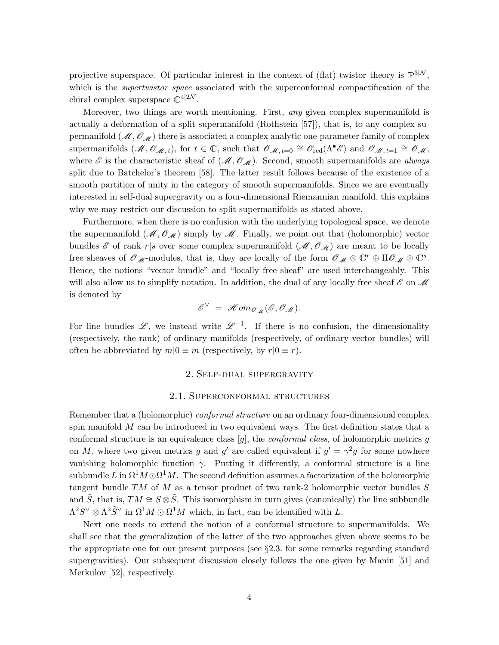projective superspace. Of particular interest in the context of (flat) twistor theory is  $\mathbb{P}^{3|\mathcal{N}}$ , which is the *supertwistor space* associated with the superconformal compactification of the chiral complex superspace  $\mathbb{C}^{4|2\mathcal{N}}$ .

Moreover, two things are worth mentioning. First, any given complex supermanifold is actually a deformation of a split supermanifold (Rothstein [57]), that is, to any complex supermanifold  $(M, \mathcal{O}_{M})$  there is associated a complex analytic one-parameter family of complex supermanifolds  $(M, \mathcal{O}_{M}, t)$ , for  $t \in \mathbb{C}$ , such that  $\mathcal{O}_{M, t=0} \cong \mathcal{O}_{red}(\Lambda^{\bullet} \mathscr{E})$  and  $\mathcal{O}_{M, t=1} \cong \mathcal{O}_{M}$ , where  $\mathscr E$  is the characteristic sheaf of  $(\mathscr M, \mathscr O_{\mathscr M})$ . Second, smooth supermanifolds are always split due to Batchelor's theorem [58]. The latter result follows because of the existence of a smooth partition of unity in the category of smooth supermanifolds. Since we are eventually interested in self-dual supergravity on a four-dimensional Riemannian manifold, this explains why we may restrict our discussion to split supermanifolds as stated above.

Furthermore, when there is no confusion with the underlying topological space, we denote the supermanifold  $(M, \mathcal{O}_M)$  simply by M. Finally, we point out that (holomorphic) vector bundles  $\mathscr E$  of rank r|s over some complex supermanifold  $(\mathscr M, \mathscr O_{\mathscr M})$  are meant to be locally free sheaves of  $\mathscr{O}_{\mathscr{M}}$ -modules, that is, they are locally of the form  $\mathscr{O}_{\mathscr{M}} \otimes \mathbb{C}^r \oplus \Pi \mathscr{O}_{\mathscr{M}} \otimes \mathbb{C}^s$ . Hence, the notions "vector bundle" and "locally free sheaf" are used interchangeably. This will also allow us to simplify notation. In addition, the dual of any locally free sheaf  $\mathscr E$  on  $\mathscr M$ is denoted by

$$
\mathscr{E}^{\vee} = \mathscr{H}\mathit{om}_{\mathscr{O}_{\mathscr{M}}}(\mathscr{E}, \mathscr{O}_{\mathscr{M}}).
$$

For line bundles  $\mathscr{L}$ , we instead write  $\mathscr{L}^{-1}$ . If there is no confusion, the dimensionality (respectively, the rank) of ordinary manifolds (respectively, of ordinary vector bundles) will often be abbreviated by  $m|0 \equiv m$  (respectively, by  $r|0 \equiv r$ ).

### 2. Self-dual supergravity

### 2.1. Superconformal structures

Remember that a (holomorphic) *conformal structure* on an ordinary four-dimensional complex spin manifold  $M$  can be introduced in two equivalent ways. The first definition states that a conformal structure is an equivalence class  $[g]$ , the *conformal class*, of holomorphic metrics g on M, where two given metrics g and g' are called equivalent if  $g' = \gamma^2 g$  for some nowhere vanishing holomorphic function  $\gamma$ . Putting it differently, a conformal structure is a line subbundle L in  $\Omega^1 M \odot \Omega^1 M$ . The second definition assumes a factorization of the holomorphic tangent bundle  $TM$  of  $M$  as a tensor product of two rank-2 holomorphic vector bundles  $S$ and  $\tilde{S}$ , that is,  $TM \cong S \otimes \tilde{S}$ . This isomorphism in turn gives (canonically) the line subbundle  $\Lambda^2 S^{\vee} \otimes \Lambda^2 \tilde{S}^{\vee}$  in  $\Omega^1 M \odot \Omega^1 M$  which, in fact, can be identified with L.

Next one needs to extend the notion of a conformal structure to supermanifolds. We shall see that the generalization of the latter of the two approaches given above seems to be the appropriate one for our present purposes (see §2.3. for some remarks regarding standard supergravities). Our subsequent discussion closely follows the one given by Manin [51] and Merkulov [52], respectively.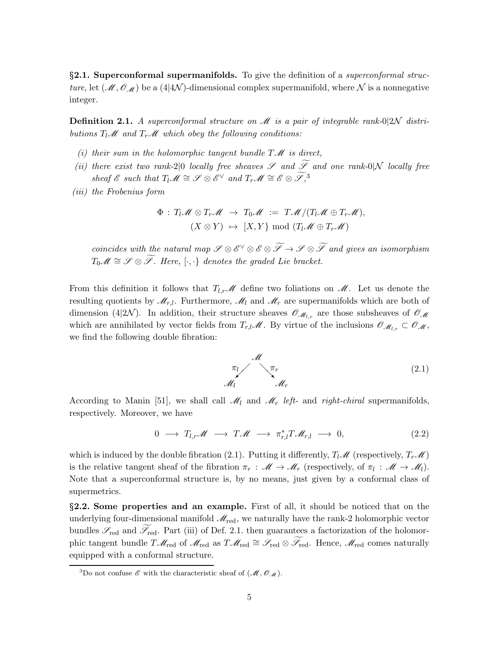§2.1. Superconformal supermanifolds. To give the definition of a *superconformal struc*ture, let  $(\mathcal{M}, \mathcal{O}_{\mathcal{M}})$  be a (4|4N)-dimensional complex supermanifold, where N is a nonnegative integer.

**Definition 2.1.** A superconformal structure on  $\mathcal{M}$  is a pair of integrable rank-0|2N distributions  $T_l \mathcal{M}$  and  $T_r \mathcal{M}$  which obey the following conditions:

- (i) their sum in the holomorphic tangent bundle  $T\mathscr{M}$  is direct,
- (ii) there exist two rank-2|0 locally free sheaves  $\mathscr S$  and  $\widetilde{\mathscr S}$  and one rank-0|N locally free sheaf E such that  $T_l \mathscr{M} \cong \mathscr{S} \otimes \mathscr{E}^{\vee}$  and  $T_r \mathscr{M} \cong \mathscr{E} \otimes \widetilde{\mathscr{S}},^3$
- (iii) the Frobenius form

$$
\Phi: T_l \mathscr{M} \otimes T_r \mathscr{M} \rightarrow T_0 \mathscr{M} := T \mathscr{M}/(T_l \mathscr{M} \oplus T_r \mathscr{M}),
$$
  

$$
(X \otimes Y) \mapsto [X, Y] \bmod (T_l \mathscr{M} \oplus T_r \mathscr{M})
$$

coincides with the natural map  $\mathscr{S} \otimes \mathscr{E}^{\vee} \otimes \mathscr{E} \otimes \mathscr{F} \to \mathscr{S} \otimes \mathscr{F}$  and gives an isomorphism  $T_0\mathscr{M}\cong\mathscr{S}\otimes\widetilde{\mathscr{S}}$ . Here,  $[\cdot,\cdot\}$  denotes the graded Lie bracket.

From this definition it follows that  $T_{l,r}\mathscr{M}$  define two foliations on  $\mathscr{M}$ . Let us denote the resulting quotients by  $\mathcal{M}_{r,l}$ . Furthermore,  $\mathcal{M}_l$  and  $\mathcal{M}_r$  are supermanifolds which are both of dimension (4|2N). In addition, their structure sheaves  $\mathscr{O}_{\mathscr{M}_{L,r}}$  are those subsheaves of  $\mathscr{O}_{\mathscr{M}}$ which are annihilated by vector fields from  $T_{r,l}\mathscr{M}$ . By virtue of the inclusions  $\mathscr{O}_{\mathscr{M}_{l,r}}\subset \mathscr{O}_{\mathscr{M}},$ we find the following double fibration:

$$
\begin{array}{c}\n\mathcal{M} \\
\pi_l\n\end{array} \qquad \begin{array}{c}\n\pi_r \\
\mathcal{M}_r\n\end{array} \tag{2.1}
$$

According to Manin [51], we shall call  $\mathcal{M}_l$  and  $\mathcal{M}_r$  left- and right-chiral supermanifolds, respectively. Moreover, we have

$$
0 \longrightarrow T_{l,r}\mathscr{M} \longrightarrow T\mathscr{M} \longrightarrow \pi_{r,l}^*T\mathscr{M}_{r,l} \longrightarrow 0, \qquad (2.2)
$$

which is induced by the double fibration (2.1). Putting it differently,  $T_l \mathscr{M}$  (respectively,  $T_r \mathscr{M}$ ) is the relative tangent sheaf of the fibration  $\pi_r$ :  $\mathscr{M} \to \mathscr{M}_r$  (respectively, of  $\pi_l$ :  $\mathscr{M} \to \mathscr{M}_l$ ). Note that a superconformal structure is, by no means, just given by a conformal class of supermetrics.

§2.2. Some properties and an example. First of all, it should be noticed that on the underlying four-dimensional manifold  $\mathcal{M}_{\text{red}}$ , we naturally have the rank-2 holomorphic vector bundles  $\mathscr{S}_{red}$  and  $\mathscr{S}_{red}$ . Part (iii) of Def. 2.1. then guarantees a factorization of the holomorphic tangent bundle  $T\mathcal{M}_{red}$  of  $\mathcal{M}_{red}$  as  $T\mathcal{M}_{red} \cong \mathcal{S}_{red} \otimes \widetilde{\mathcal{S}}_{red}$ . Hence,  $\mathcal{M}_{red}$  comes naturally equipped with a conformal structure.

<sup>&</sup>lt;sup>3</sup>Do not confuse  $\mathscr E$  with the characteristic sheaf of  $(\mathscr M, \mathscr O_{\mathscr M})$ .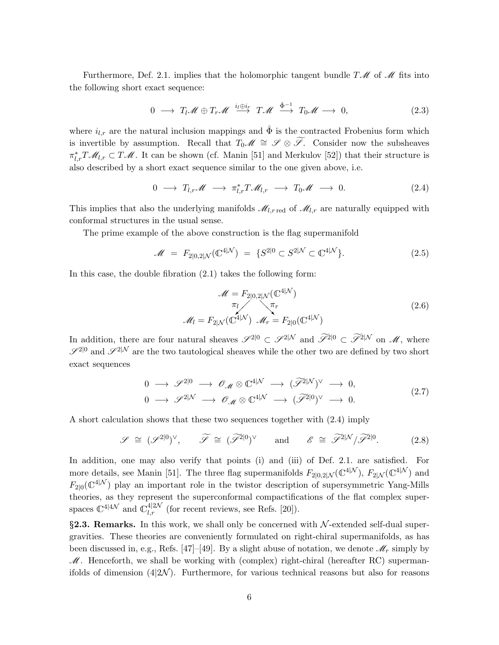Furthermore, Def. 2.1. implies that the holomorphic tangent bundle  $T\mathcal{M}$  of  $\mathcal M$  fits into the following short exact sequence:

$$
0 \longrightarrow T_l \mathscr{M} \oplus T_r \mathscr{M} \stackrel{i_l \oplus i_r}{\longrightarrow} T \mathscr{M} \stackrel{\hat{\Phi}^{-1}}{\longrightarrow} T_0 \mathscr{M} \longrightarrow 0, \tag{2.3}
$$

where  $i_{l,r}$  are the natural inclusion mappings and  $\hat{\Phi}$  is the contracted Frobenius form which is invertible by assumption. Recall that  $T_0\mathscr{M} \cong \mathscr{S} \otimes \widetilde{\mathscr{S}}$ . Consider now the subsheaves  $\pi_{l,r}^*T\mathcal{M}_{l,r} \subset T\mathcal{M}$ . It can be shown (cf. Manin [51] and Merkulov [52]) that their structure is also described by a short exact sequence similar to the one given above, i.e.

$$
0 \longrightarrow T_{l,r} \mathscr{M} \longrightarrow \pi_{l,r}^* T \mathscr{M}_{l,r} \longrightarrow T_0 \mathscr{M} \longrightarrow 0. \tag{2.4}
$$

This implies that also the underlying manifolds  $\mathcal{M}_{l,r \text{ red}}$  of  $\mathcal{M}_{l,r}$  are naturally equipped with conformal structures in the usual sense.

The prime example of the above construction is the flag supermanifold

$$
\mathcal{M} = F_{2|0,2|\mathcal{N}}(\mathbb{C}^{4|\mathcal{N}}) = \{S^{2|0} \subset S^{2|\mathcal{N}} \subset \mathbb{C}^{4|\mathcal{N}}\}.
$$
 (2.5)

In this case, the double fibration (2.1) takes the following form:

$$
\mathcal{M} = F_{2|0,2|N}(\mathbb{C}^{4|N})
$$

$$
\pi_l \qquad \pi_r
$$

$$
\mathcal{M}_l = F_{2|N}(\mathbb{C}^{4|N}) \quad \mathcal{M}_r = F_{2|0}(\mathbb{C}^{4|N})
$$

$$
(2.6)
$$

In addition, there are four natural sheaves  $\mathscr{S}^{2|0} \subset \mathscr{S}^{2|\mathcal{N}}$  and  $\widetilde{\mathscr{S}}^{2|0} \subset \widetilde{\mathscr{S}}^{2|\mathcal{N}}$  on  $\mathscr{M}$ , where  $\mathscr{S}^{2|0}$  and  $\mathscr{S}^{2|\mathcal{N}}$  are the two tautological sheaves while the other two are defined by two short exact sequences

$$
0 \longrightarrow \mathscr{S}^{2|0} \longrightarrow \mathscr{O}_{\mathscr{M}} \otimes \mathbb{C}^{4|\mathcal{N}} \longrightarrow (\widetilde{\mathscr{S}}^{2|\mathcal{N}})^{\vee} \longrightarrow 0,
$$
  
\n
$$
0 \longrightarrow \mathscr{S}^{2|\mathcal{N}} \longrightarrow \mathscr{O}_{\mathscr{M}} \otimes \mathbb{C}^{4|\mathcal{N}} \longrightarrow (\widetilde{\mathscr{S}}^{2|0})^{\vee} \longrightarrow 0.
$$
\n
$$
(2.7)
$$

A short calculation shows that these two sequences together with (2.4) imply

$$
\mathscr{S} \cong (\mathscr{S}^{2|0})^{\vee}, \qquad \widetilde{\mathscr{S}} \cong (\widetilde{\mathscr{S}}^{2|0})^{\vee} \qquad \text{and} \qquad \mathscr{E} \cong \widetilde{\mathscr{S}}^{2|\mathcal{N}}/\widetilde{\mathscr{S}}^{2|0}. \tag{2.8}
$$

In addition, one may also verify that points (i) and (iii) of Def. 2.1. are satisfied. For more details, see Manin [51]. The three flag supermanifolds  $F_{2|0,2|\mathcal{N}}(\mathbb{C}^{4|\mathcal{N}}), F_{2|\mathcal{N}}(\mathbb{C}^{4|\mathcal{N}})$  and  $F_{2|0}(\mathbb{C}^{4|\mathcal{N}})$  play an important role in the twistor description of supersymmetric Yang-Mills theories, as they represent the superconformal compactifications of the flat complex superspaces  $\mathbb{C}^{4|\mathcal{4N}}$  and  $\mathbb{C}^{4|2\mathcal{N}}_{l,r}$  (for recent reviews, see Refs. [20]).

§2.3. Remarks. In this work, we shall only be concerned with  $N$ -extended self-dual supergravities. These theories are conveniently formulated on right-chiral supermanifolds, as has been discussed in, e.g., Refs. [47]–[49]. By a slight abuse of notation, we denote  $\mathcal{M}_r$  simply by  $M$ . Henceforth, we shall be working with (complex) right-chiral (hereafter RC) supermanifolds of dimension  $(42\mathcal{N})$ . Furthermore, for various technical reasons but also for reasons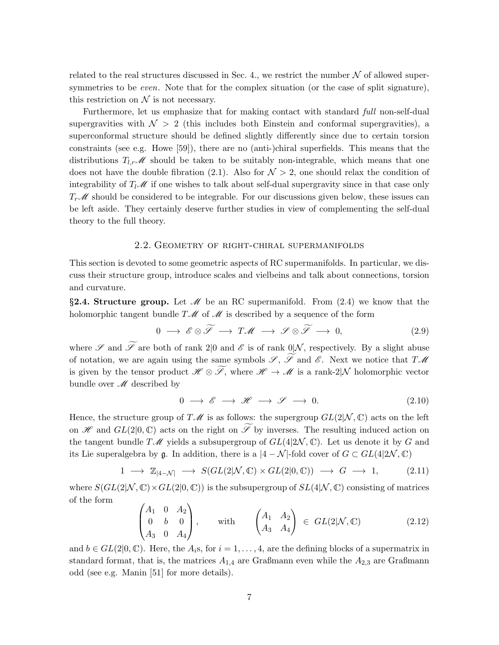related to the real structures discussed in Sec. 4., we restrict the number  $N$  of allowed supersymmetries to be *even*. Note that for the complex situation (or the case of split signature), this restriction on  $\mathcal N$  is not necessary.

Furthermore, let us emphasize that for making contact with standard *full* non-self-dual supergravities with  $\mathcal{N} > 2$  (this includes both Einstein and conformal supergravities), a superconformal structure should be defined slightly differently since due to certain torsion constraints (see e.g. Howe [59]), there are no (anti-)chiral superfields. This means that the distributions  $T_{l,r}\mathscr{M}$  should be taken to be suitably non-integrable, which means that one does not have the double fibration (2.1). Also for  $\mathcal{N} > 2$ , one should relax the condition of integrability of  $T_l \mathscr{M}$  if one wishes to talk about self-dual supergravity since in that case only  $T_r\mathscr{M}$  should be considered to be integrable. For our discussions given below, these issues can be left aside. They certainly deserve further studies in view of complementing the self-dual theory to the full theory.

### 2.2. Geometry of right-chiral supermanifolds

This section is devoted to some geometric aspects of RC supermanifolds. In particular, we discuss their structure group, introduce scales and vielbeins and talk about connections, torsion and curvature.

§2.4. Structure group. Let  $\mathcal M$  be an RC supermanifold. From (2.4) we know that the holomorphic tangent bundle  $T\mathcal{M}$  of  $\mathcal M$  is described by a sequence of the form

$$
0 \longrightarrow \mathscr{E} \otimes \widetilde{\mathscr{S}} \longrightarrow T\mathscr{M} \longrightarrow \mathscr{S} \otimes \widetilde{\mathscr{S}} \longrightarrow 0, \tag{2.9}
$$

where  $\mathscr S$  and  $\widetilde{\mathscr S}$  are both of rank 2|0 and  $\mathscr E$  is of rank 0|N, respectively. By a slight abuse of notation, we are again using the same symbols  $\mathscr{S}, \widetilde{\mathscr{S}}$  and  $\mathscr{E}$ . Next we notice that  $T\mathscr{M}$ is given by the tensor product  $\mathscr{H} \otimes \widetilde{\mathscr{S}}$ , where  $\mathscr{H} \to \mathscr{M}$  is a rank-2|N holomorphic vector bundle over  $\mathcal M$  described by

$$
0 \longrightarrow \mathscr{E} \longrightarrow \mathscr{H} \longrightarrow \mathscr{S} \longrightarrow 0. \tag{2.10}
$$

Hence, the structure group of  $T\mathscr{M}$  is as follows: the supergroup  $GL(2|\mathcal{N}, \mathbb{C})$  acts on the left on  $\mathscr H$  and  $GL(2|0,\mathbb C)$  acts on the right on  $\widetilde{\mathscr I}$  by inverses. The resulting induced action on the tangent bundle  $T\mathcal{M}$  yields a subsupergroup of  $GL(4|2\mathcal{N}, \mathbb{C})$ . Let us denote it by G and its Lie superalgebra by g. In addition, there is a  $|4 - \mathcal{N}|$ -fold cover of  $G \subset GL(4|2\mathcal{N}, \mathbb{C})$ 

$$
1 \longrightarrow \mathbb{Z}_{|4-\mathcal{N}|} \longrightarrow S(GL(2|\mathcal{N}, \mathbb{C}) \times GL(2|0, \mathbb{C})) \longrightarrow G \longrightarrow 1,
$$
 (2.11)

where  $S(GL(2|N, \mathbb{C}) \times GL(2|0, \mathbb{C}))$  is the subsupergroup of  $SL(4|N, \mathbb{C})$  consisting of matrices of the form

$$
\begin{pmatrix} A_1 & 0 & A_2 \ 0 & b & 0 \ A_3 & 0 & A_4 \end{pmatrix}, \text{ with } \begin{pmatrix} A_1 & A_2 \ A_3 & A_4 \end{pmatrix} \in GL(2|\mathcal{N}, \mathbb{C}) \tag{2.12}
$$

and  $b \in GL(2,0,\mathbb{C})$ . Here, the  $A_i$ s, for  $i = 1, \ldots, 4$ , are the defining blocks of a supermatrix in standard format, that is, the matrices  $A_{1,4}$  are Graßmann even while the  $A_{2,3}$  are Graßmann odd (see e.g. Manin [51] for more details).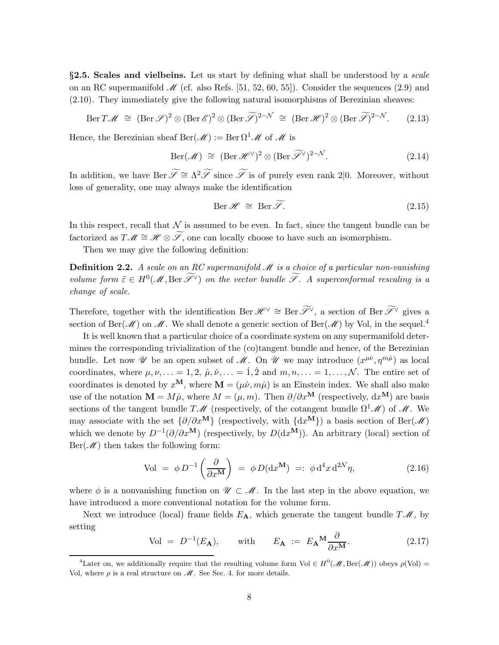$§2.5.$  Scales and vielbeins. Let us start by defining what shall be understood by a *scale* on an RC supermanifold  $\mathscr{M}$  (cf. also Refs. [51, 52, 60, 55]). Consider the sequences (2.9) and (2.10). They immediately give the following natural isomorphisms of Berezinian sheaves:

$$
\text{Ber } T\mathscr{M} \cong (\text{Ber } \mathscr{S})^2 \otimes (\text{Ber } \mathscr{E})^2 \otimes (\text{Ber } \widetilde{\mathscr{S}})^{2-\mathcal{N}} \cong (\text{Ber } \mathscr{H})^2 \otimes (\text{Ber } \widetilde{\mathscr{S}})^{2-\mathcal{N}}.
$$
 (2.13)

Hence, the Berezinian sheaf Ber( $\mathcal{M}$ ) := Ber  $\Omega^1 \mathcal{M}$  of  $\mathcal{M}$  is

$$
\text{Ber}(\mathscr{M}) \cong (\text{Ber } \mathscr{H}^{\vee})^2 \otimes (\text{Ber } \widetilde{\mathscr{I}}^{\vee})^{2-\mathcal{N}}.
$$
\n(2.14)

In addition, we have Ber  $\widetilde{\mathscr{S}} \cong \Lambda^2 \widetilde{\mathscr{S}}$  since  $\widetilde{\mathscr{S}}$  is of purely even rank 2|0. Moreover, without loss of generality, one may always make the identification

$$
\text{Ber } \mathscr{H} \cong \text{Ber } \widetilde{\mathscr{S}}. \tag{2.15}
$$

In this respect, recall that  $N$  is assumed to be even. In fact, since the tangent bundle can be factorized as  $T\mathscr{M} \cong \mathscr{H} \otimes \widetilde{\mathscr{S}}$ , one can locally choose to have such an isomorphism.

Then we may give the following definition:

**Definition 2.2.** A scale on an RC supermanifold  $\mathcal{M}$  is a choice of a particular non-vanishing volume form  $\tilde{\varepsilon} \in H^0(\mathcal{M}, \text{Ber } \tilde{\mathscr{S}}^{\vee})$  on the vector bundle  $\tilde{\mathscr{S}}$ . A superconformal rescaling is a change of scale.

Therefore, together with the identification Ber  $\mathscr{H}^{\vee} \cong \text{Ber} \widetilde{\mathscr{S}}^{\vee}$ , a section of Ber  $\widetilde{\mathscr{S}}^{\vee}$  gives a section of Ber( $\mathscr{M}$ ) on  $\mathscr{M}$ . We shall denote a generic section of Ber( $\mathscr{M}$ ) by Vol, in the sequel.<sup>4</sup>

It is well known that a particular choice of a coordinate system on any supermanifold determines the corresponding trivialization of the (co)tangent bundle and hence, of the Berezinian bundle. Let now  $\mathscr U$  be an open subset of  $\mathscr M$ . On  $\mathscr U$  we may introduce  $(x^{\mu\nu}, \eta^{m\mu})$  as local coordinates, where  $\mu, \nu, \ldots = 1, 2, \mu, \dot{\nu}, \ldots = 1, \dot{2}$  and  $m, n, \ldots = 1, \ldots, \mathcal{N}$ . The entire set of coordinates is denoted by  $x^{\mathbf{M}}$ , where  $\mathbf{M} = (\mu \dot{\nu}, m\dot{\mu})$  is an Einstein index. We shall also make use of the notation  $\mathbf{M} = M\mu$ , where  $M = (\mu, m)$ . Then  $\partial/\partial x^{\mathbf{M}}$  (respectively,  $dx^{\mathbf{M}}$ ) are basis sections of the tangent bundle  $T\mathscr{M}$  (respectively, of the cotangent bundle  $\Omega^1\mathscr{M}$ ) of  $\mathscr{M}$ . We may associate with the set  $\{\partial/\partial x^{\mathbf{M}}\}$  (respectively, with  $\{dx^{\mathbf{M}}\}$ ) a basis section of Ber( $\mathcal{M}$ ) which we denote by  $D^{-1}(\partial/\partial x^{\mathbf{M}})$  (respectively, by  $D(\mathrm{d} x^{\mathbf{M}})$ ). An arbitrary (local) section of  $Ber(\mathcal{M})$  then takes the following form:

$$
\text{Vol} \ = \ \phi \, D^{-1} \left( \frac{\partial}{\partial x^{\mathbf{M}}} \right) \ = \ \phi \, D(\mathrm{d} x^{\mathbf{M}}) \ =: \ \phi \, \mathrm{d}^4 x \, \mathrm{d}^{2\mathcal{N}} \eta, \tag{2.16}
$$

where  $\phi$  is a nonvanishing function on  $\mathscr{U} \subset \mathscr{M}$ . In the last step in the above equation, we have introduced a more conventional notation for the volume form.

Next we introduce (local) frame fields  $E_A$ , which generate the tangent bundle  $T\mathscr{M}$ , by setting

Vol = 
$$
D^{-1}(E_{\mathbf{A}})
$$
, with  $E_{\mathbf{A}} := E_{\mathbf{A}} \mathbf{M} \frac{\partial}{\partial x^{\mathbf{M}}}$ . (2.17)

<sup>&</sup>lt;sup>4</sup>Later on, we additionally require that the resulting volume form Vol  $\in H^0(\mathcal{M}, \text{Ber}(\mathcal{M}))$  obeys  $\rho(\text{Vol}) =$ Vol, where  $\rho$  is a real structure on  $\mathcal M$ . See Sec. 4. for more details.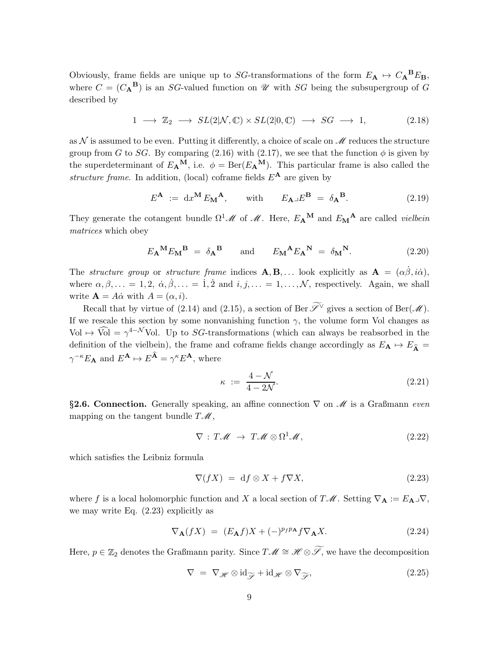Obviously, frame fields are unique up to SG-transformations of the form  $E_{\mathbf{A}} \mapsto C_{\mathbf{A}}{}^{\mathbf{B}}E_{\mathbf{B}}$ , where  $C = (C_{\mathbf{A}}^{\mathbf{B}})$  is an SG-valued function on  $\mathcal U$  with SG being the subsupergroup of G described by

$$
1 \longrightarrow \mathbb{Z}_2 \longrightarrow SL(2|\mathcal{N}, \mathbb{C}) \times SL(2|0, \mathbb{C}) \longrightarrow SG \longrightarrow 1,
$$
\n
$$
(2.18)
$$

as  $\mathcal N$  is assumed to be even. Putting it differently, a choice of scale on  $\mathcal M$  reduces the structure group from G to SG. By comparing (2.16) with (2.17), we see that the function  $\phi$  is given by the superdeterminant of  $E_{\mathbf{A}}^{\mathbf{M}}$ , i.e.  $\phi = \text{Ber}(E_{\mathbf{A}}^{\mathbf{M}})$ . This particular frame is also called the structure frame. In addition, (local) coframe fields  $E^{\mathbf{A}}$  are given by

$$
E^{\mathbf{A}} := dx^{\mathbf{M}} E_{\mathbf{M}}{}^{\mathbf{A}}, \qquad \text{with} \qquad E_{\mathbf{A}} \lrcorner E^{\mathbf{B}} = \delta_{\mathbf{A}}{}^{\mathbf{B}}.
$$
 (2.19)

They generate the cotangent bundle  $\Omega^1 \mathcal{M}$  of  $\mathcal{M}$ . Here,  $E_{\mathbf{A}}{}^{\mathbf{M}}$  and  $E_{\mathbf{M}}{}^{\mathbf{A}}$  are called *vielbein* matrices which obey

$$
E_{\mathbf{A}}{}^{\mathbf{M}} E_{\mathbf{M}}{}^{\mathbf{B}} = \delta_{\mathbf{A}}{}^{\mathbf{B}} \quad \text{and} \quad E_{\mathbf{M}}{}^{\mathbf{A}} E_{\mathbf{A}}{}^{\mathbf{N}} = \delta_{\mathbf{M}}{}^{\mathbf{N}}.
$$
 (2.20)

The structure group or structure frame indices  $\mathbf{A}, \mathbf{B}, \ldots$  look explicitly as  $\mathbf{A} = (\alpha \dot{\beta}, i \dot{\alpha})$ , where  $\alpha, \beta, \ldots = 1, 2, \dot{\alpha}, \dot{\beta}, \ldots = \dot{1}, \dot{2}$  and  $i, j, \ldots = 1, \ldots, \mathcal{N}$ , respectively. Again, we shall write  $\mathbf{A} = A\dot{\alpha}$  with  $A = (\alpha, i)$ .

Recall that by virtue of (2.14) and (2.15), a section of Ber  $\widetilde{\mathscr{S}}$ <sup>V</sup> gives a section of Ber( $\mathscr{M}$ ). If we rescale this section by some nonvanishing function  $\gamma$ , the volume form Vol changes as Vol  $\mapsto$  Vol  $=\gamma^{4-\mathcal{N}}$ Vol. Up to SG-transformations (which can always be reabsorbed in the definition of the vielbein), the frame and coframe fields change accordingly as  $E_A \rightarrow E_{\hat{A}} =$  $\gamma^{-\kappa} E_{\mathbf{A}}$  and  $E^{\mathbf{A}} \mapsto E^{\widehat{\mathbf{A}}} = \gamma^{\kappa} E^{\mathbf{A}}$ , where

$$
\kappa := \frac{4 - \mathcal{N}}{4 - 2\mathcal{N}}.\tag{2.21}
$$

§2.6. Connection. Generally speaking, an affine connection  $\nabla$  on  $\mathcal M$  is a Graßmann even mapping on the tangent bundle  $T\mathscr{M}$ ,

$$
\nabla : T\mathscr{M} \to T\mathscr{M} \otimes \Omega^1 \mathscr{M}, \tag{2.22}
$$

which satisfies the Leibniz formula

$$
\nabla(fX) = df \otimes X + f\nabla X, \tag{2.23}
$$

where f is a local holomorphic function and X a local section of  $T\mathscr{M}$ . Setting  $\nabla_{\mathbf{A}} := E_{\mathbf{A}} \mathbf{I} \nabla$ , we may write Eq. (2.23) explicitly as

$$
\nabla_{\mathbf{A}}(fX) = (E_{\mathbf{A}}f)X + (-)^{p_f p_{\mathbf{A}}} f \nabla_{\mathbf{A}} X.
$$
 (2.24)

Here,  $p \in \mathbb{Z}_2$  denotes the Graßmann parity. Since  $T\mathscr{M} \cong \mathscr{H} \otimes \widetilde{\mathscr{S}}$ , we have the decomposition

$$
\nabla = \nabla_{\mathcal{H}} \otimes \mathrm{id}_{\widetilde{\mathcal{F}}} + \mathrm{id}_{\mathcal{H}} \otimes \nabla_{\widetilde{\mathcal{F}}},\tag{2.25}
$$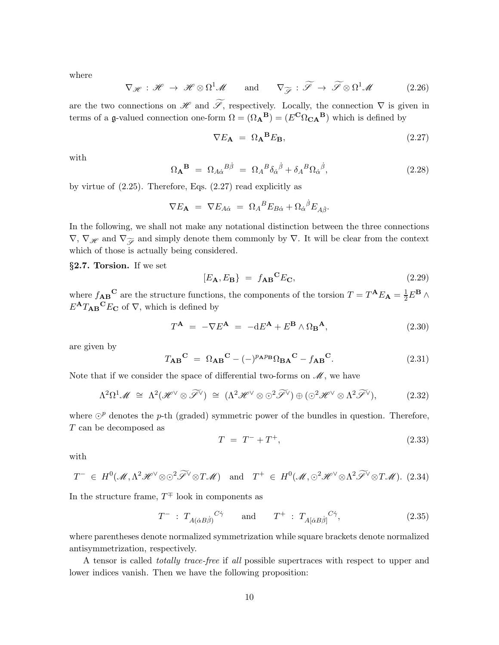where

$$
\nabla_{\mathscr{H}} : \mathscr{H} \to \mathscr{H} \otimes \Omega^{1} \mathscr{M} \quad \text{and} \quad \nabla_{\widetilde{\mathscr{S}}} : \widetilde{\mathscr{S}} \to \widetilde{\mathscr{S}} \otimes \Omega^{1} \mathscr{M} \tag{2.26}
$$

are the two connections on H and  $\widetilde{\mathscr{S}}$ , respectively. Locally, the connection  $\nabla$  is given in terms of a g-valued connection one-form  $\Omega = (\Omega_{\mathbf{A}}^{\mathbf{B}}) = (E^{\mathbf{C}} \Omega_{\mathbf{C} \mathbf{A}}^{\mathbf{B}})$  which is defined by

$$
\nabla E_{\mathbf{A}} = \Omega_{\mathbf{A}}{}^{\mathbf{B}} E_{\mathbf{B}},\tag{2.27}
$$

with

$$
\Omega_{\mathbf{A}}^{\mathbf{B}} = \Omega_{A\dot{\alpha}}{}^{B\dot{\beta}} = \Omega_A{}^B \delta_{\dot{\alpha}}{}^{\dot{\beta}} + \delta_A{}^B \Omega_{\dot{\alpha}}{}^{\dot{\beta}}, \tag{2.28}
$$

by virtue of (2.25). Therefore, Eqs. (2.27) read explicitly as

$$
\nabla E_{\mathbf{A}} = \nabla E_{A\dot{\alpha}} = \Omega_A{}^B E_{B\dot{\alpha}} + \Omega_{\dot{\alpha}}{}^{\dot{\beta}} E_{A\dot{\beta}}.
$$

In the following, we shall not make any notational distinction between the three connections  $\nabla, \nabla_H$  and  $\nabla_{\widetilde{\mathscr{S}}}$  and simply denote them commonly by  $\nabla$ . It will be clear from the context which of those is actually being considered.

§2.7. Torsion. If we set

$$
[E_{\mathbf{A}}, E_{\mathbf{B}}] = f_{\mathbf{A}\mathbf{B}}{}^{\mathbf{C}} E_{\mathbf{C}}, \tag{2.29}
$$

where  $f_{AB}^C$  are the structure functions, the components of the torsion  $T = T^A E_A = \frac{1}{2} E^B \wedge$  $E^{\mathbf{A}}T_{\mathbf{A}\mathbf{B}}{}^{\mathbf{C}}E_{\mathbf{C}}$  of  $\nabla$ , which is defined by

$$
T^{\mathbf{A}} = -\nabla E^{\mathbf{A}} = -dE^{\mathbf{A}} + E^{\mathbf{B}} \wedge \Omega_{\mathbf{B}}^{\mathbf{A}}, \tag{2.30}
$$

are given by

$$
T_{\mathbf{A}\mathbf{B}}^{\mathbf{C}} = \Omega_{\mathbf{A}\mathbf{B}}^{\mathbf{C}} - (-)^{p_{\mathbf{A}}p_{\mathbf{B}}}\Omega_{\mathbf{B}\mathbf{A}}^{\mathbf{C}} - f_{\mathbf{A}\mathbf{B}}^{\mathbf{C}}.
$$
 (2.31)

Note that if we consider the space of differential two-forms on  $\mathcal{M}$ , we have

$$
\Lambda^2 \Omega^1 \mathscr{M} \cong \Lambda^2 (\mathscr{H}^\vee \otimes \widetilde{\mathscr{I}}^\vee) \cong (\Lambda^2 \mathscr{H}^\vee \otimes \odot^2 \widetilde{\mathscr{I}}^\vee) \oplus (\odot^2 \mathscr{H}^\vee \otimes \Lambda^2 \widetilde{\mathscr{I}}^\vee), \tag{2.32}
$$

where  $\odot^p$  denotes the p-th (graded) symmetric power of the bundles in question. Therefore, T can be decomposed as

$$
T = T^- + T^+, \t\t(2.33)
$$

with

$$
T^{-} \in H^{0}(\mathcal{M}, \Lambda^{2} \mathcal{H}^{\vee} \otimes \mathcal{O}^{2} \widetilde{\mathcal{I}}^{\vee} \otimes T\mathcal{M}) \quad \text{and} \quad T^{+} \in H^{0}(\mathcal{M}, \mathcal{O}^{2} \mathcal{H}^{\vee} \otimes \Lambda^{2} \widetilde{\mathcal{I}}^{\vee} \otimes T\mathcal{M}).
$$
 (2.34)

In the structure frame,  $T^{\mp}$  look in components as

$$
T^- : T_{A(\dot{\alpha}B\dot{\beta})}{}^{C\dot{\gamma}} \quad \text{and} \quad T^+ : T_{A[\dot{\alpha}B\dot{\beta}]}{}^{C\dot{\gamma}}, \tag{2.35}
$$

where parentheses denote normalized symmetrization while square brackets denote normalized antisymmetrization, respectively.

A tensor is called totally trace-free if all possible supertraces with respect to upper and lower indices vanish. Then we have the following proposition: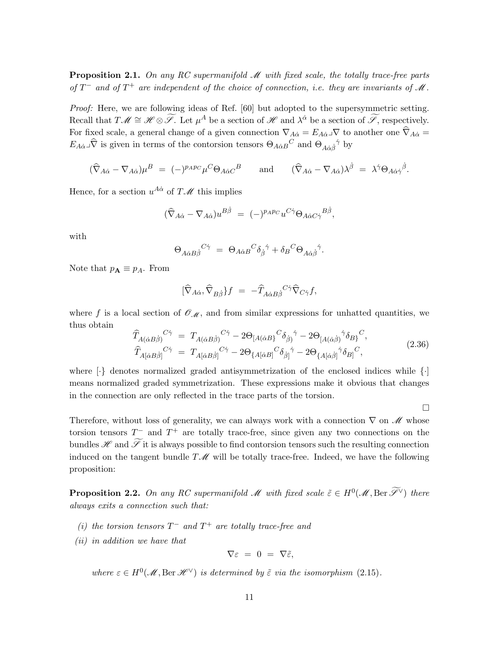**Proposition 2.1.** On any RC supermanifold  $M$  with fixed scale, the totally trace-free parts of  $T^-$  and of  $T^+$  are independent of the choice of connection, i.e. they are invariants of M.

Proof: Here, we are following ideas of Ref. [60] but adopted to the supersymmetric setting. Recall that  $T\mathscr{M} \cong \mathscr{H} \otimes \widetilde{\mathscr{S}}$ . Let  $\mu^A$  be a section of  $\mathscr{H}$  and  $\lambda^{\dot{\alpha}}$  be a section of  $\widetilde{\mathscr{S}}$ , respectively. For fixed scale, a general change of a given connection  $\nabla_{A\dot{\alpha}} = E_{A\dot{\alpha}}\sqrt{\ }$  to another one  $\hat{\nabla}_{A\dot{\alpha}} =$  $E_{A\dot{\alpha}}\mathcal{A}^{\dot{\alpha}}$  is given in terms of the contorsion tensors  $\Theta_{A\dot{\alpha}B}{}^C$  and  $\Theta_{A\dot{\alpha}\dot{\beta}}{}^{\dot{\gamma}}$  by

$$
(\widehat{\nabla}_{A\dot{\alpha}} - \nabla_{A\dot{\alpha}})\mu^B = (-)^{p_A p_C} \mu^C \Theta_{A\dot{\alpha}C}{}^B \quad \text{and} \quad (\widehat{\nabla}_{A\dot{\alpha}} - \nabla_{A\dot{\alpha}})\lambda^{\dot{\beta}} = \lambda^{\dot{\gamma}} \Theta_{A\dot{\alpha}\dot{\gamma}}{}^{\dot{\beta}}.
$$

Hence, for a section  $u^{A\dot{\alpha}}$  of  $T\mathscr{M}$  this implies

$$
(\hat{\nabla}_{A\dot{\alpha}} - \nabla_{A\dot{\alpha}})u^{B\dot{\beta}} = (-)^{p_{A}p_{C}}u^{C\dot{\gamma}}\Theta_{A\dot{\alpha}C\dot{\gamma}}{}^{B\dot{\beta}},
$$

with

$$
\Theta_{A\dot{\alpha}B\dot{\beta}}{}^{C\dot{\gamma}}\ =\ \Theta_{A\dot{\alpha}B}{}^{C}\delta_{\dot{\beta}}{}^{\dot{\gamma}}+\delta_{B}{}^{C}\Theta_{A\dot{\alpha}\dot{\beta}}{}^{\dot{\gamma}}.
$$

Note that  $p_{\mathbf{A}} \equiv p_A$ . From

$$
[\hat\nabla_{A\dot\alpha},\hat\nabla_{B\dot\beta}\}f~=~-\hat T_{A\dot\alpha B\dot\beta}{}^{C\dot\gamma}\hat\nabla_{C\dot\gamma}f,
$$

where f is a local section of  $\mathcal{O}_{\mathcal{M}}$ , and from similar expressions for unhatted quantities, we thus obtain

$$
\begin{split}\n\widehat{T}_{A(\dot{\alpha}B\dot{\beta})}{}^{C\dot{\gamma}} &= T_{A(\dot{\alpha}B\dot{\beta})}{}^{C\dot{\gamma}} - 2\Theta_{[A(\dot{\alpha}B)}{}^{C}\delta_{\dot{\beta})}{}^{\dot{\gamma}} - 2\Theta_{[A(\dot{\alpha}\dot{\beta})}{}^{\dot{\gamma}}\delta_{B\dot{\beta}}{}^{C},\\
\widehat{T}_{A[\dot{\alpha}B\dot{\beta}]}{}^{C\dot{\gamma}} &= T_{A[\dot{\alpha}B\dot{\beta}]}{}^{C\dot{\gamma}} - 2\Theta_{\{A[\dot{\alpha}B\}}{}^{C}\delta_{\dot{\beta}\dot{\beta}}{}^{\dot{\gamma}} - 2\Theta_{\{A[\dot{\alpha}\dot{\beta}]}{}^{\dot{\gamma}}\delta_{B\dot{\beta}}{}^{C},\n\end{split} \tag{2.36}
$$

where  $\{\cdot\}$  denotes normalized graded antisymmetrization of the enclosed indices while  $\{\cdot\}$ means normalized graded symmetrization. These expressions make it obvious that changes in the connection are only reflected in the trace parts of the torsion.

 $\Box$ 

Therefore, without loss of generality, we can always work with a connection  $\nabla$  on M whose torsion tensors  $T^-$  and  $T^+$  are totally trace-free, since given any two connections on the bundles  $\mathscr H$  and  $\widetilde{\mathscr I}$  it is always possible to find contorsion tensors such the resulting connection induced on the tangent bundle  $T\mathcal{M}$  will be totally trace-free. Indeed, we have the following proposition:

**Proposition 2.2.** On any RC supermanifold M with fixed scale  $\tilde{\varepsilon} \in H^0(\mathcal{M}, \text{Ber } \widetilde{\mathscr{S}}^{\vee})$  there always exits a connection such that:

- (i) the torsion tensors  $T^-$  and  $T^+$  are totally trace-free and
- (ii) in addition we have that

$$
\nabla \varepsilon = 0 = \nabla \tilde{\varepsilon},
$$

where  $\varepsilon \in H^0(\mathcal{M}, \text{Ber } \mathcal{H}^{\vee})$  is determined by  $\tilde{\varepsilon}$  via the isomorphism (2.15).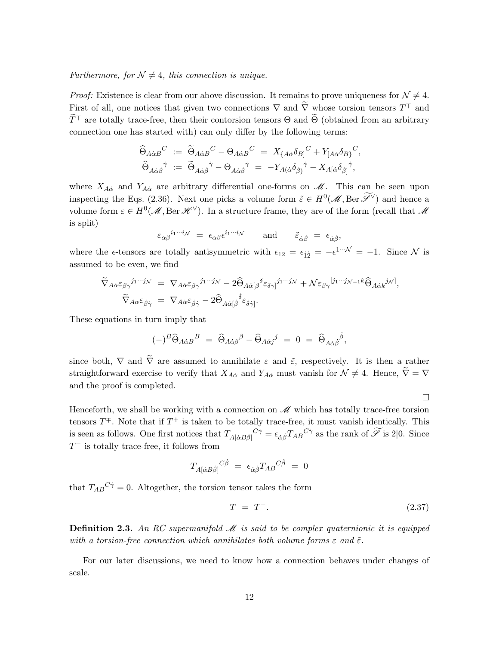Furthermore, for  $\mathcal{N} \neq 4$ , this connection is unique.

*Proof:* Existence is clear from our above discussion. It remains to prove uniqueness for  $\mathcal{N} \neq 4$ . First of all, one notices that given two connections  $\nabla$  and  $\overline{\nabla}$  whose torsion tensors  $T^{\pm}$  and  $\widetilde{T}^{\mp}$  are totally trace-free, then their contorsion tensors  $\Theta$  and  $\widetilde{\Theta}$  (obtained from an arbitrary connection one has started with) can only differ by the following terms:

$$
\begin{aligned}\n\widehat{\Theta}_{A\dot{\alpha}B}{}^C &:= \widetilde{\Theta}_{A\dot{\alpha}B}{}^C - \Theta_{A\dot{\alpha}B}{}^C = X_{\{A\dot{\alpha}}\delta_{B\}}{}^C + Y_{[A\dot{\alpha}}\delta_{B\}}{}^C, \\
\widehat{\Theta}_{A\dot{\alpha}\dot{\beta}}{}^{\dot{\gamma}} &:= \widetilde{\Theta}_{A\dot{\alpha}\dot{\beta}}{}^{\dot{\gamma}} - \Theta_{A\dot{\alpha}\dot{\beta}}{}^{\dot{\gamma}} = -Y_{A(\dot{\alpha}}\delta_{\dot{\beta})}{}^{\dot{\gamma}} - X_{A[\dot{\alpha}}\delta_{\dot{\beta}]}{}^{\dot{\gamma}},\n\end{aligned}
$$

where  $X_{A\dot{\alpha}}$  and  $Y_{A\dot{\alpha}}$  are arbitrary differential one-forms on  $\mathcal{M}$ . This can be seen upon inspecting the Eqs. (2.36). Next one picks a volume form  $\tilde{\varepsilon} \in H^0(\mathcal{M}, \text{Ber } \tilde{\mathscr{S}}^{\vee})$  and hence a volume form  $\varepsilon \in H^0(\mathcal{M}, \text{Ber } \mathcal{H}^{\vee})$ . In a structure frame, they are of the form (recall that  $\mathcal{M}$ is split)

$$
\varepsilon_{\alpha\beta}{}^{i_1\cdots i_\mathcal{N}} = \epsilon_{\alpha\beta} \epsilon^{i_1\cdots i_\mathcal{N}} \qquad \text{and} \qquad \tilde{\varepsilon}_{\dot{\alpha}\dot{\beta}} = \epsilon_{\dot{\alpha}\dot{\beta}},
$$

where the  $\epsilon$ -tensors are totally antisymmetric with  $\epsilon_{12} = \epsilon_{12} = -\epsilon^{1} \cdots N = -1$ . Since N is assumed to be even, we find

$$
\begin{split}\n\widetilde{\nabla}_{A\dot{\alpha}}\varepsilon_{\beta\gamma}{}^{j_1\cdots j_N} &= \nabla_{A\dot{\alpha}}\varepsilon_{\beta\gamma}{}^{j_1\cdots j_N} - 2\widehat{\Theta}_{A\dot{\alpha}[\beta}{}^{\delta}\varepsilon_{\delta\gamma]}{}^{j_1\cdots j_N} + \mathcal{N}\varepsilon_{\beta\gamma}{}^{[j_1\cdots j_{N-1}k}\widehat{\Theta}_{A\dot{\alpha}k}{}^{j_N]},\\ \widetilde{\nabla}_{A\dot{\alpha}}\varepsilon_{\dot{\beta}\dot{\gamma}} &= \nabla_{A\dot{\alpha}}\varepsilon_{\dot{\beta}\dot{\gamma}} - 2\widehat{\Theta}_{A\dot{\alpha}[\dot{\beta}}{}^{\dot{\delta}}\varepsilon_{\dot{\delta}\dot{\gamma}]}.\n\end{split}
$$

These equations in turn imply that

$$
(-)^B \widehat{\Theta}_{A\dot{\alpha}B}{}^B = \widehat{\Theta}_{A\dot{\alpha}\beta}{}^{\beta} - \widehat{\Theta}_{A\dot{\alpha}j}{}^j = 0 = \widehat{\Theta}_{A\dot{\alpha}\dot{\beta}}{}^{\dot{\beta}},
$$

since both,  $\nabla$  and  $\tilde{\nabla}$  are assumed to annihilate  $\varepsilon$  and  $\tilde{\varepsilon}$ , respectively. It is then a rather straightforward exercise to verify that  $X_{A\dot{\alpha}}$  and  $Y_{A\dot{\alpha}}$  must vanish for  $\mathcal{N} \neq 4$ . Hence,  $\widetilde{\nabla} = \nabla$ and the proof is completed.

Henceforth, we shall be working with a connection on  $\mathcal{M}$  which has totally trace-free torsion tensors  $T^{\mp}$ . Note that if  $T^{+}$  is taken to be totally trace-free, it must vanish identically. This is seen as follows. One first notices that  $T_{A[\dot{\alpha}B\dot{\beta}]}^{\qquad C\dot{\gamma}} = \epsilon_{\dot{\alpha}\dot{\beta}} T_{AB}^{\qquad C\dot{\gamma}}$  as the rank of  $\tilde{\mathscr{S}}$  is 2|0. Since  $T^-$  is totally trace-free, it follows from

$$
T_{A[\dot\alpha B\dot\beta]}{}^{C\dot\beta} \,\,=\,\, \epsilon_{\dot\alpha\dot\beta} T_{AB}{}^{C\dot\beta} \,\,=\,\,0
$$

that  $T_{AB}{}^{C\dot{\gamma}} = 0$ . Altogether, the torsion tensor takes the form

$$
T = T^-(\tag{2.37}
$$

 $\Box$ 

**Definition 2.3.** An RC supermanifold  $M$  is said to be complex quaternionic it is equipped with a torsion-free connection which annihilates both volume forms  $\varepsilon$  and  $\tilde{\varepsilon}$ .

For our later discussions, we need to know how a connection behaves under changes of scale.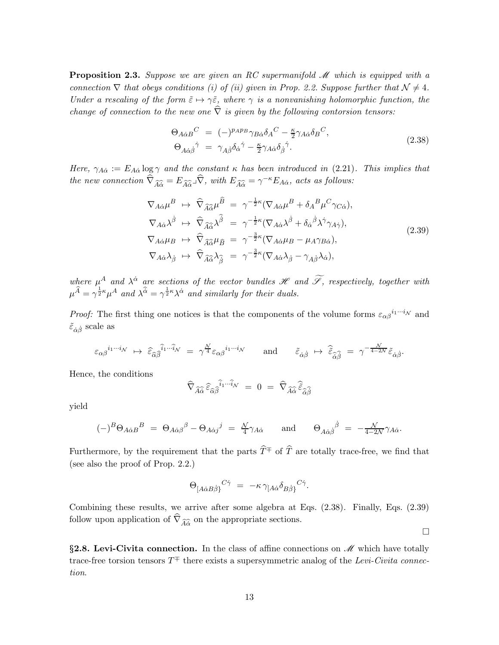**Proposition 2.3.** Suppose we are given an RC supermanifold  $M$  which is equipped with a connection  $\nabla$  that obeys conditions (i) of (ii) given in Prop. 2.2. Suppose further that  $\mathcal{N} \neq 4$ . Under a rescaling of the form  $\tilde{\varepsilon} \mapsto \gamma \tilde{\varepsilon}$ , where  $\gamma$  is a nonvanishing holomorphic function, the change of connection to the new one  $\hat{\nabla}$  is given by the following contorsion tensors:

$$
\Theta_{A\dot{\alpha}B}{}^{C} = (-)^{p_{A}p_{B}}\gamma_{B\dot{\alpha}}\delta_{A}{}^{C} - \frac{\kappa}{2}\gamma_{A\dot{\alpha}}\delta_{B}{}^{C},
$$
\n
$$
\Theta_{A\dot{\alpha}\dot{\beta}}{}^{\dot{\gamma}} = \gamma_{A\dot{\beta}}\delta_{\dot{\alpha}}{}^{\dot{\gamma}} - \frac{\kappa}{2}\gamma_{A\dot{\alpha}}\delta_{\dot{\beta}}{}^{\dot{\gamma}}.
$$
\n(2.38)

Here,  $\gamma_{A\dot{\alpha}} := E_{A\dot{\alpha}} \log \gamma$  and the constant  $\kappa$  has been introduced in (2.21). This implies that the new connection  $\widehat{\nabla}_{\widehat{A}\widehat{\alpha}} = E_{\widehat{A}\widehat{\alpha}} \widehat{\nabla}$ , with  $E_{\widehat{A}\widehat{\alpha}} = \gamma^{-\kappa} E_{A\alpha}$ , acts as follows:

$$
\nabla_{A\dot{\alpha}}\mu^{B} \rightarrow \hat{\nabla}_{\widehat{A}\hat{\alpha}}\mu^{\widehat{B}} = \gamma^{-\frac{1}{2}\kappa}(\nabla_{A\dot{\alpha}}\mu^{B} + \delta_{A}{}^{B}\mu^{C}\gamma_{C\dot{\alpha}}),
$$
\n
$$
\nabla_{A\dot{\alpha}}\lambda^{\dot{\beta}} \rightarrow \hat{\nabla}_{\widehat{A}\hat{\alpha}}\lambda^{\widehat{\beta}} = \gamma^{-\frac{1}{2}\kappa}(\nabla_{A\dot{\alpha}}\lambda^{\dot{\beta}} + \delta_{\dot{\alpha}}{}^{\dot{\beta}}\lambda^{\dot{\gamma}}\gamma_{A\dot{\gamma}}),
$$
\n
$$
\nabla_{A\dot{\alpha}}\mu_{B} \rightarrow \hat{\nabla}_{\widehat{A}\hat{\alpha}}\mu_{\widehat{B}} = \gamma^{-\frac{3}{2}\kappa}(\nabla_{A\dot{\alpha}}\mu_{B} - \mu_{A}\gamma_{B\dot{\alpha}}),
$$
\n
$$
\nabla_{A\dot{\alpha}}\lambda_{\dot{\beta}} \rightarrow \hat{\nabla}_{\widehat{A}\hat{\alpha}}\lambda_{\widehat{\beta}} = \gamma^{-\frac{3}{2}\kappa}(\nabla_{A\dot{\alpha}}\lambda_{\dot{\beta}} - \gamma_{A\dot{\beta}}\lambda_{\dot{\alpha}}),
$$
\n(2.39)

where  $\mu^A$  and  $\lambda^{\dot{\alpha}}$  are sections of the vector bundles  $\mathscr H$  and  $\mathscr F$ , respectively, together with  $\mu^{\widehat{A}} = \gamma^{\frac{1}{2}\kappa} \mu^{A}$  and  $\lambda^{\widehat{\alpha}} = \gamma^{\frac{1}{2}\kappa} \lambda^{\dot{\alpha}}$  and similarly for their duals.

*Proof:* The first thing one notices is that the components of the volume forms  $\varepsilon_{\alpha\beta}^{i_1\cdots i_N}$  and  $\tilde{\varepsilon}_{\dot{\alpha}\dot{\beta}}$  scale as

$$
\varepsilon_{\alpha\beta}{}^{i_1\cdots i_\mathcal{N}} \ \mapsto \ \widehat{\varepsilon}_{\widehat{\alpha}\widehat{\beta}}{}^{\widehat{i}_1\cdots \widehat{i}_\mathcal{N}} \ = \ \gamma^{\frac{\mathcal{N}}{4}} \varepsilon_{\alpha\beta}{}^{i_1\cdots i_\mathcal{N}} \qquad \text{and} \qquad \widetilde{\varepsilon}_{\dot{\alpha}\dot{\beta}} \ \mapsto \ \widehat{\tilde{\varepsilon}}_{\hat{\alpha}\dot{\beta}} \ = \ \gamma^{-\frac{\mathcal{N}}{4-2\mathcal{N}}} \widetilde{\varepsilon}_{\dot{\alpha}\dot{\beta}}.
$$

Hence, the conditions

$$
\widehat{\nabla}_{\widehat{A}\widehat{\alpha}}\,\widehat{\varepsilon}_{\widehat{\alpha}\widehat{\beta}}{}^{\widehat{i}_1\cdots\widehat{i}_\mathcal{N}}\,\,=\,\,0\,\,=\,\,\widehat{\nabla}_{\widehat{A}\widehat{\alpha}}\,\widehat{\widetilde{\varepsilon}}_{\widehat{\alpha}\widehat{\beta}}
$$

yield

$$
(-)^B \Theta_{A\dot{\alpha}B}{}^B = \Theta_{A\dot{\alpha}\beta}{}^\beta - \Theta_{A\dot{\alpha}j}{}^j = \frac{\mathcal{N}}{4} \gamma_{A\dot{\alpha}} \quad \text{and} \quad \Theta_{A\dot{\alpha}\dot{\beta}}{}^{\dot{\beta}} = -\frac{\mathcal{N}}{4-2\mathcal{N}} \gamma_{A\dot{\alpha}}.
$$

Furthermore, by the requirement that the parts  $\hat{T}^{\mp}$  of  $\hat{T}$  are totally trace-free, we find that (see also the proof of Prop. 2.2.)

$$
\Theta_{[A\dot{\alpha}B\dot{\beta}]}^{\quad C\dot{\gamma}} = -\kappa \gamma_{[A\dot{\alpha}} \delta_{B\dot{\beta}}^{\quad C\dot{\gamma}}.
$$

Combining these results, we arrive after some algebra at Eqs. (2.38). Finally, Eqs. (2.39) follow upon application of  $\nabla_{\widehat{A}\widehat{\alpha}}$  on the appropriate sections.

 $\Box$ 

§2.8. Levi-Civita connection. In the class of affine connections on  $\mathcal M$  which have totally trace-free torsion tensors  $T^{\mp}$  there exists a supersymmetric analog of the Levi-Civita connection.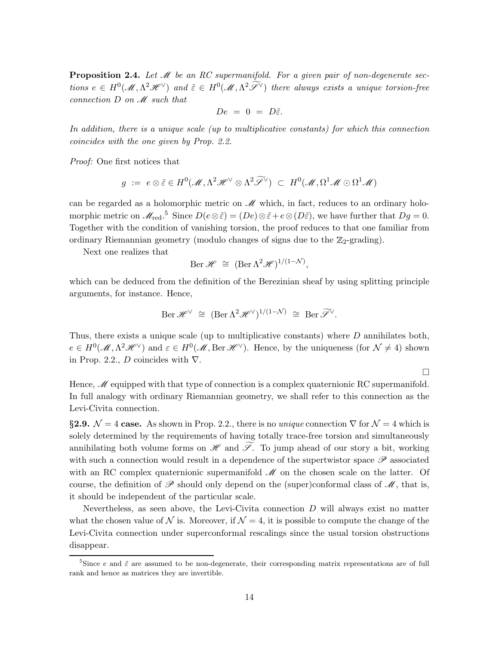**Proposition 2.4.** Let  $M$  be an RC supermanifold. For a given pair of non-degenerate sections  $e \in H^0(\mathcal{M}, \Lambda^2 \mathcal{H}^{\vee})$  and  $\tilde{\varepsilon} \in H^0(\mathcal{M}, \Lambda^2 \tilde{\mathcal{F}}^{\vee})$  there always exists a unique torsion-free connection  $D$  on  $\mathcal M$  such that

$$
De = 0 = D\tilde{\varepsilon}.
$$

In addition, there is a unique scale (up to multiplicative constants) for which this connection coincides with the one given by Prop. 2.2.

Proof: One first notices that

$$
g := e \otimes \tilde{\varepsilon} \in H^0(\mathcal{M}, \Lambda^2 \mathcal{H}^{\vee} \otimes \Lambda^2 \widetilde{\mathcal{F}}^{\vee}) \subset H^0(\mathcal{M}, \Omega^1 \mathcal{M} \odot \Omega^1 \mathcal{M})
$$

can be regarded as a holomorphic metric on  $\mathscr M$  which, in fact, reduces to an ordinary holomorphic metric on  $\mathscr{M}_{\text{red}}$ .<sup>5</sup> Since  $D(e \otimes \tilde{\varepsilon}) = (De) \otimes \tilde{\varepsilon} + e \otimes (D\tilde{\varepsilon})$ , we have further that  $Dg = 0$ . Together with the condition of vanishing torsion, the proof reduces to that one familiar from ordinary Riemannian geometry (modulo changes of signs due to the  $\mathbb{Z}_2$ -grading).

Next one realizes that

$$
\operatorname{Ber} \mathscr{H} \cong (\operatorname{Ber} \Lambda^2 \mathscr{H})^{1/(1-\mathcal{N})},
$$

which can be deduced from the definition of the Berezinian sheaf by using splitting principle arguments, for instance. Hence,

$$
\operatorname{Ber} \mathscr{H}^{\vee} \cong (\operatorname{Ber} \Lambda^2 \mathscr{H}^{\vee})^{1/(1-\mathcal{N})} \cong \operatorname{Ber} \widetilde{\mathscr{S}}^{\vee}.
$$

Thus, there exists a unique scale (up to multiplicative constants) where D annihilates both,  $e \in H^0(\mathcal{M}, \Lambda^2 \mathcal{H}^{\vee})$  and  $\varepsilon \in H^0(\mathcal{M}, \text{Ber } \mathcal{H}^{\vee})$ . Hence, by the uniqueness (for  $\mathcal{N} \neq 4$ ) shown in Prop. 2.2., D coincides with  $\nabla$ .

 $\Box$ 

Hence,  $\mathcal M$  equipped with that type of connection is a complex quaternionic RC supermanifold. In full analogy with ordinary Riemannian geometry, we shall refer to this connection as the Levi-Civita connection.

§2.9.  $\mathcal{N} = 4$  case. As shown in Prop. 2.2., there is no *unique* connection  $\nabla$  for  $\mathcal{N} = 4$  which is solely determined by the requirements of having totally trace-free torsion and simultaneously annihilating both volume forms on  $\mathscr H$  and  $\mathscr F$ . To jump ahead of our story a bit, working with such a connection would result in a dependence of the supertwistor space  $\mathscr P$  associated with an RC complex quaternionic supermanifold  $\mathscr M$  on the chosen scale on the latter. Of course, the definition of  $\mathscr P$  should only depend on the (super)conformal class of  $\mathscr M$ , that is, it should be independent of the particular scale.

Nevertheless, as seen above, the Levi-Civita connection  $D$  will always exist no matter what the chosen value of N is. Moreover, if  $\mathcal{N} = 4$ , it is possible to compute the change of the Levi-Civita connection under superconformal rescalings since the usual torsion obstructions disappear.

<sup>&</sup>lt;sup>5</sup>Since e and  $\tilde{\varepsilon}$  are assumed to be non-degenerate, their corresponding matrix representations are of full rank and hence as matrices they are invertible.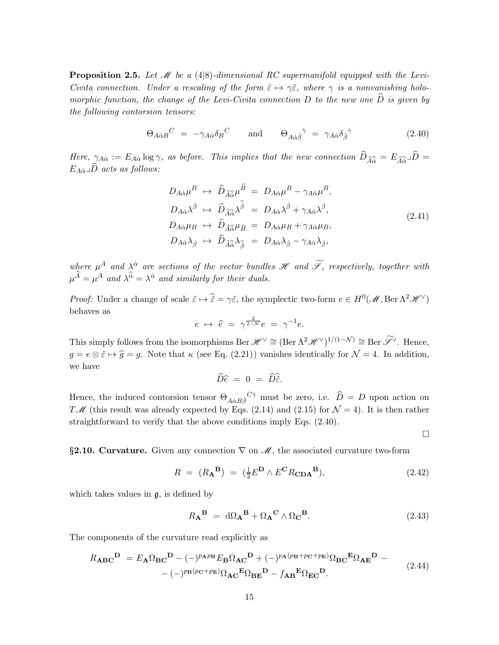**Proposition 2.5.** Let  $\mathcal{M}$  be a (4|8)-dimensional RC supermanifold equipped with the Levi-Civita connection. Under a rescaling of the form  $\tilde{\varepsilon} \mapsto \gamma \tilde{\varepsilon}$ , where  $\gamma$  is a nonvanishing holomorphic function, the change of the Levi-Civita connection D to the new one  $\tilde{D}$  is given by the following contorsion tensors:

$$
\Theta_{A\dot{\alpha}B}{}^{C} = -\gamma_{A\dot{\alpha}}\delta_{B}{}^{C} \quad \text{and} \quad \Theta_{A\dot{\alpha}\dot{\beta}}{}^{\dot{\gamma}} = \gamma_{A\dot{\alpha}}\delta_{\dot{\beta}}{}^{\dot{\gamma}} \tag{2.40}
$$

Here,  $\gamma_{A\dot{\alpha}} := E_{A\dot{\alpha}} \log \gamma$ , as before. This implies that the new connection  $\widehat{D}_{\widehat{A}\hat{\alpha}} = E_{\widehat{A}\hat{\alpha}} \Box \widehat{D}$  $E_{A\dot{\alpha}} \Box \widehat{D}$  acts as follows:

$$
D_{A\dot{\alpha}}\mu^{B} \rightarrow \hat{D}_{\widehat{A}\hat{\alpha}}\mu^{\widehat{B}} = D_{A\dot{\alpha}}\mu^{B} - \gamma_{A\dot{\alpha}}\mu^{B},
$$
  
\n
$$
D_{A\dot{\alpha}}\lambda^{\dot{\beta}} \rightarrow \hat{D}_{\widehat{A}\hat{\alpha}}\lambda^{\hat{\beta}} = D_{A\dot{\alpha}}\lambda^{\dot{\beta}} + \gamma_{A\dot{\alpha}}\lambda^{\dot{\beta}},
$$
  
\n
$$
D_{A\dot{\alpha}}\mu_{B} \rightarrow \hat{D}_{\widehat{A}\hat{\alpha}}\mu_{\widehat{B}} = D_{A\dot{\alpha}}\mu_{B} + \gamma_{A\dot{\alpha}}\mu_{B},
$$
  
\n
$$
D_{A\dot{\alpha}}\lambda_{\dot{\beta}} \rightarrow \hat{D}_{\widehat{A}\hat{\alpha}}\lambda_{\hat{\beta}} = D_{A\dot{\alpha}}\lambda_{\dot{\beta}} - \gamma_{A\dot{\alpha}}\lambda_{\dot{\beta}},
$$
\n(2.41)

where  $\mu^A$  and  $\lambda^{\dot{\alpha}}$  are sections of the vector bundles  $\mathscr H$  and  $\mathscr F$ , respectively, together with  $\mu^{\widehat{A}} = \mu^A$  and  $\lambda^{\widehat{\alpha}} = \lambda^{\dot{\alpha}}$  and similarly for their duals.

*Proof:* Under a change of scale  $\tilde{\varepsilon} \mapsto \hat{\tilde{\varepsilon}} = \gamma \tilde{\varepsilon}$ , the symplectic two-form  $e \in H^0(\mathcal{M}, \text{Ber } \Lambda^2 \mathcal{H}^{\vee})$ behaves as

$$
e \ \mapsto \ \widehat{e} \ = \ \gamma^{\frac{2}{2-\mathcal{N}}}e \ = \ \gamma^{-1}e.
$$

This simply follows from the isomorphisms Ber  $\mathscr{H}^{\vee} \cong (\text{Ber } \Lambda^2 \mathscr{H}^{\vee})^{1/(1-\mathcal{N})} \cong \text{Ber } \widetilde{\mathscr{S}}^{\vee}$ . Hence,  $g = e \otimes \tilde{\varepsilon} \mapsto \hat{g} = g$ . Note that  $\kappa$  (see Eq. (2.21)) vanishes identically for  $\mathcal{N} = 4$ . In addition, we have

$$
\widehat{D}\widehat{e} = 0 = \widehat{D}\widehat{\widetilde{\varepsilon}}.
$$

Hence, the induced contorsion tensor  $\Theta_{A\dot{\alpha}B\dot{\beta}}{}^{C\dot{\gamma}}$  must be zero, i.e.  $\widehat{D}=D$  upon action on TM (this result was already expected by Eqs. (2.14) and (2.15) for  $\mathcal{N} = 4$ ). It is then rather straightforward to verify that the above conditions imply Eqs. (2.40).

 $\Box$ 

§2.10. Curvature. Given any connection  $\nabla$  on  $\mathcal{M}$ , the associated curvature two-form

$$
R = (R_{\mathbf{A}}^{\mathbf{B}}) = (\frac{1}{2}E^{\mathbf{D}} \wedge E^{\mathbf{C}} R_{\mathbf{CDA}}^{\mathbf{B}}), \tag{2.42}
$$

which takes values in g, is defined by

$$
R_{\mathbf{A}}^{\mathbf{B}} = d\Omega_{\mathbf{A}}^{\mathbf{B}} + \Omega_{\mathbf{A}}^{\mathbf{C}} \wedge \Omega_{\mathbf{C}}^{\mathbf{B}}.
$$
 (2.43)

The components of the curvature read explicitly as

$$
R_{\mathbf{ABC}}^{\mathbf{D}} = E_{\mathbf{A}} \Omega_{\mathbf{BC}}^{\mathbf{D}} - (-)^{p_{\mathbf{A}}p_{\mathbf{B}}} E_{\mathbf{B}} \Omega_{\mathbf{AC}}^{\mathbf{D}} + (-)^{p_{\mathbf{A}}(p_{\mathbf{B}} + p_{\mathbf{C}} + p_{\mathbf{E}})} \Omega_{\mathbf{BC}}^{\mathbf{E}} \Omega_{\mathbf{AE}}^{\mathbf{D}} - (-)^{p_{\mathbf{B}}(p_{\mathbf{C}} + p_{\mathbf{E}})} \Omega_{\mathbf{AC}}^{\mathbf{E}} \Omega_{\mathbf{BE}}^{\mathbf{D}} - f_{\mathbf{AB}}^{\mathbf{E}} \Omega_{\mathbf{EC}}^{\mathbf{D}}.
$$
\n(2.44)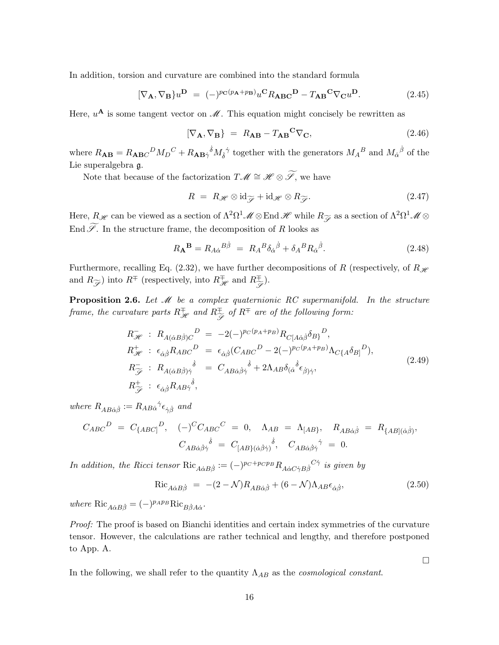In addition, torsion and curvature are combined into the standard formula

$$
[\nabla_{\mathbf{A}}, \nabla_{\mathbf{B}}\} u^{\mathbf{D}} = (-)^{p_{\mathbf{C}}(p_{\mathbf{A}} + p_{\mathbf{B}})} u^{\mathbf{C}} R_{\mathbf{A}\mathbf{B}\mathbf{C}}^{\mathbf{D}} - T_{\mathbf{A}\mathbf{B}}^{\mathbf{C}} \nabla_{\mathbf{C}} u^{\mathbf{D}}.
$$
 (2.45)

Here,  $u^{\mathbf{A}}$  is some tangent vector on  $\mathcal{M}$ . This equation might concisely be rewritten as

$$
[\nabla_{\mathbf{A}}, \nabla_{\mathbf{B}}] = R_{\mathbf{A}\mathbf{B}} - T_{\mathbf{A}\mathbf{B}}^{\mathbf{C}} \nabla_{\mathbf{C}}, \tag{2.46}
$$

where  $R_{AB} = R_{ABC}{}^D M_D{}^C + R_{AB}{}^{\dot{\gamma}} M_{\dot{\delta}}{}^{\dot{\gamma}}$  together with the generators  $M_A{}^B$  and  $M_{\dot{\alpha}}{}^{\dot{\beta}}$  of the Lie superalgebra g.

Note that because of the factorization  $T\mathscr{M}\cong \mathscr{H}\otimes \widetilde{\mathscr{S}},$  we have

$$
R = R_{\mathscr{H}} \otimes \mathrm{id}_{\widetilde{\mathscr{F}}} + \mathrm{id}_{\mathscr{H}} \otimes R_{\widetilde{\mathscr{F}}}.
$$
\n(2.47)

Here,  $R_{\mathscr{H}}$  can be viewed as a section of  $\Lambda^2\Omega^1\mathscr{M}\otimes$  End  $\mathscr{H}$  while  $R_{\widetilde{\mathscr{S}}}$  as a section of  $\Lambda^2\Omega^1\mathscr{M}\otimes$ End  $\widetilde{\mathscr{S}}$ . In the structure frame, the decomposition of R looks as

$$
R_{\mathbf{A}}^{\mathbf{B}} = R_{A\dot{\alpha}}{}^{B\dot{\beta}} = R_A{}^B \delta_{\dot{\alpha}}{}^{\dot{\beta}} + \delta_A{}^B R_{\dot{\alpha}}{}^{\dot{\beta}}.
$$
 (2.48)

Furthermore, recalling Eq. (2.32), we have further decompositions of R (respectively, of  $R_{\mathscr{H}}$ and  $R_{\widetilde{\mathscr{S}}}$ ) into  $R^{\mp}$  (respectively, into  $R^{\mp}_{\mathscr{H}}$  and  $R^{\mp}_{\widetilde{\mathscr{S}}}$ ).

**Proposition 2.6.** Let  $M$  be a complex quaternionic RC supermanifold. In the structure frame, the curvature parts  $R^{\mp}_{\mathscr{H}}$  and  $R^{\mp}_{\widetilde{\mathscr{S}}}$  of  $R^{\mp}$  are of the following form:

$$
R_{\mathcal{H}}^{-} : R_{A(\dot{\alpha}B\dot{\beta})C}{}^{D} = -2(-)^{pc(p_{A}+p_{B})}R_{C[A\dot{\alpha}\dot{\beta}}\delta_{B)}{}^{D},
$$
  
\n
$$
R_{\mathcal{H}}^{+} : \epsilon_{\dot{\alpha}\dot{\beta}}R_{ABC}{}^{D} = \epsilon_{\dot{\alpha}\dot{\beta}}(C_{ABC}{}^{D} - 2(-)^{pc(p_{A}+p_{B})}\Lambda_{C\{A}\delta_{B]}{}^{D}),
$$
  
\n
$$
R_{\mathcal{F}}^{-} : R_{A(\dot{\alpha}B\dot{\beta})\dot{\gamma}}{}^{\dot{\delta}} = C_{AB\dot{\alpha}\dot{\beta}\dot{\gamma}}{}^{\dot{\delta}} + 2\Lambda_{AB}\delta_{(\dot{\alpha}}{}^{\dot{\delta}}\epsilon_{\dot{\beta})\dot{\gamma}},
$$
  
\n
$$
R_{\mathcal{F}}^{+} : \epsilon_{\dot{\alpha}\dot{\beta}}R_{AB\dot{\gamma}}{}^{\dot{\delta}},
$$
\n(2.49)

where  $R_{AB\dot{\alpha}\dot{\beta}} := R_{AB\dot{\alpha}}{}^{\dot{\gamma}} \epsilon_{\dot{\gamma}\dot{\beta}}$  and

$$
C_{ABC}^D = C_{\{ABC\}}^D, \quad (-)^C C_{ABC}^C = 0, \quad \Lambda_{AB} = \Lambda_{[AB]}, \quad R_{AB\dot{\alpha}\dot{\beta}} = R_{\{AB\}(\dot{\alpha}\dot{\beta})},
$$

$$
C_{AB\dot{\alpha}\dot{\beta}\dot{\gamma}}^{\dot{\delta}} = C_{[AB\}(\dot{\alpha}\dot{\beta}\dot{\gamma})^{\dot{\delta}}, \quad C_{AB\dot{\alpha}\dot{\beta}\dot{\gamma}}^{\dot{\gamma}} = 0.
$$

In addition, the Ricci tensor  $\text{Ric}_{A\dot{\alpha}B\dot{\beta}}:=(-)^{pc+p_Cp_B}R_{A\dot{\alpha}C\dot{\gamma}B\dot{\beta}}C\dot{\gamma}$  is given by

$$
\text{Ric}_{A\dot{\alpha}B\dot{\beta}} = -(2 - \mathcal{N})R_{AB\dot{\alpha}\dot{\beta}} + (6 - \mathcal{N})\Lambda_{AB}\epsilon_{\dot{\alpha}\dot{\beta}},\tag{2.50}
$$

 $\Box$ 

where  $\text{Ric}_{A\dot{\alpha}B\dot{\beta}} = (-)^{p_A p_B} \text{Ric}_{B\dot{\beta}A\dot{\alpha}}.$ 

Proof: The proof is based on Bianchi identities and certain index symmetries of the curvature tensor. However, the calculations are rather technical and lengthy, and therefore postponed to App. A.

In the following, we shall refer to the quantity  $\Lambda_{AB}$  as the *cosmological constant*.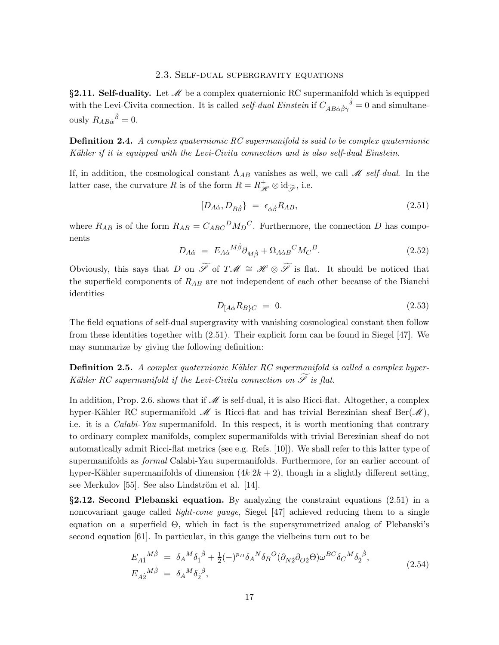### 2.3. Self-dual supergravity equations

§2.11. Self-duality. Let  $\mathcal M$  be a complex quaternionic RC supermanifold which is equipped with the Levi-Civita connection. It is called *self-dual Einstein* if  $C_{AB\dot{\alpha}\dot{\beta}\dot{\gamma}}^{\dot{\delta}} = 0$  and simultaneously  $R_{AB\dot{\alpha}}{}^{\dot{\beta}} = 0.$ 

Definition 2.4. A complex quaternionic RC supermanifold is said to be complex quaternionic Kähler if it is equipped with the Levi-Civita connection and is also self-dual Einstein.

If, in addition, the cosmological constant  $\Lambda_{AB}$  vanishes as well, we call M self-dual. In the latter case, the curvature R is of the form  $R = R^+_{\mathscr{H}} \otimes id_{\widetilde{\mathscr{S}}}$ , i.e.

$$
[D_{A\dot{\alpha}}, D_{B\dot{\beta}}] = \epsilon_{\dot{\alpha}\dot{\beta}} R_{AB}, \tag{2.51}
$$

where  $R_{AB}$  is of the form  $R_{AB} = C_{ABC}{}^D M_D{}^C$ . Furthermore, the connection D has components

$$
D_{A\dot{\alpha}} = E_{A\dot{\alpha}}{}^{M\dot{\beta}} \partial_{M\dot{\beta}} + \Omega_{A\dot{\alpha}B}{}^{C} M_C{}^{B}.
$$
\n(2.52)

Obviously, this says that D on  $\widetilde{\mathscr{S}}$  of T $\mathscr{M} \cong \mathscr{H} \otimes \widetilde{\mathscr{S}}$  is flat. It should be noticed that the superfield components of  $R_{AB}$  are not independent of each other because of the Bianchi identities

$$
D_{[A\dot{\alpha}}R_{B\}C} = 0. \tag{2.53}
$$

The field equations of self-dual supergravity with vanishing cosmological constant then follow from these identities together with (2.51). Their explicit form can be found in Siegel [47]. We may summarize by giving the following definition:

**Definition 2.5.** A complex quaternionic Kähler RC supermanifold is called a complex hyper-Kähler RC supermanifold if the Levi-Civita connection on  $\widetilde{\mathscr{S}}$  is flat.

In addition, Prop. 2.6. shows that if  $\mathcal M$  is self-dual, it is also Ricci-flat. Altogether, a complex hyper-Kähler RC supermanifold  $\mathcal M$  is Ricci-flat and has trivial Berezinian sheaf Ber( $\mathcal M$ ), i.e. it is a Calabi-Yau supermanifold. In this respect, it is worth mentioning that contrary to ordinary complex manifolds, complex supermanifolds with trivial Berezinian sheaf do not automatically admit Ricci-flat metrics (see e.g. Refs. [10]). We shall refer to this latter type of supermanifolds as formal Calabi-Yau supermanifolds. Furthermore, for an earlier account of hyper-Kähler supermanifolds of dimension  $(4k|2k + 2)$ , though in a slightly different setting, see Merkulov [55]. See also Lindström et al. [14].

§2.12. Second Plebanski equation. By analyzing the constraint equations (2.51) in a noncovariant gauge called light-cone gauge, Siegel [47] achieved reducing them to a single equation on a superfield Θ, which in fact is the supersymmetrized analog of Plebanski's second equation [61]. In particular, in this gauge the vielbeins turn out to be

$$
E_{A\dot{1}}{}^{M\dot{\beta}} = \delta_A{}^M \delta_{\dot{1}}{}^{\dot{\beta}} + \frac{1}{2} (-)^{p_D} \delta_A{}^N \delta_B{}^O (\partial_{N\dot{2}} \partial_{O\dot{2}} \Theta) \omega^{BC} \delta_C{}^M \delta_{\dot{2}}{}^{\dot{\beta}},
$$
  
\n
$$
E_{A\dot{2}}{}^{M\dot{\beta}} = \delta_A{}^M \delta_{\dot{2}}{}^{\dot{\beta}},
$$
\n(2.54)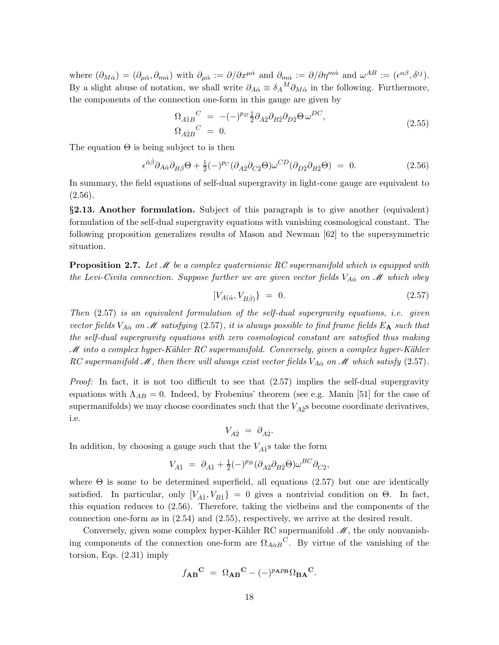where  $(\partial_{M\dot{\alpha}}) = (\partial_{\mu\dot{\alpha}}, \partial_{m\dot{\alpha}})$  with  $\partial_{\mu\dot{\alpha}} := \partial/\partial x^{\mu\dot{\alpha}}$  and  $\partial_{m\dot{\alpha}} := \partial/\partial \eta^{m\dot{\alpha}}$  and  $\omega^{AB} := (\epsilon^{\alpha\beta}, \delta^{ij}).$ By a slight abuse of notation, we shall write  $\partial_{A\dot{\alpha}} \equiv \delta_A{}^M \partial_{M\dot{\alpha}}$  in the following. Furthermore, the components of the connection one-form in this gauge are given by

$$
\Omega_{A\dot{B}}{}^{C} = -(-)^{p} \frac{1}{2} \partial_{A\dot{2}} \partial_{B\dot{2}} \partial_{D\dot{2}} \Theta \omega^{DC},
$$
\n
$$
\Omega_{A\dot{2}B}{}^{C} = 0.
$$
\n(2.55)

The equation  $\Theta$  is being subject to is then

$$
\epsilon^{\dot{\alpha}\dot{\beta}}\partial_{A\dot{\alpha}}\partial_{B\dot{\beta}}\Theta + \frac{1}{2}(-)^{p_C}(\partial_{A\dot{2}}\partial_{C\dot{2}}\Theta)\omega^{CD}(\partial_{D\dot{2}}\partial_{B\dot{2}}\Theta) = 0.
$$
 (2.56)

In summary, the field equations of self-dual supergravity in light-cone gauge are equivalent to  $(2.56).$ 

§2.13. Another formulation. Subject of this paragraph is to give another (equivalent) formulation of the self-dual supergravity equations with vanishing cosmological constant. The following proposition generalizes results of Mason and Newman [62] to the supersymmetric situation.

**Proposition 2.7.** Let  $\mathcal{M}$  be a complex quaternionic RC supermanifold which is equipped with the Levi-Civita connection. Suppose further we are given vector fields  $V_{A\dot{\alpha}}$  on M which obey

$$
[V_{A(\dot{\alpha}}, V_{B\dot{\beta}}) \} = 0. \tag{2.57}
$$

Then  $(2.57)$  is an equivalent formulation of the self-dual supergravity equations, i.e. given vector fields  $V_{A\alpha}$  on M satisfying (2.57), it is always possible to find frame fields  $E_A$  such that the self-dual supergravity equations with zero cosmological constant are satisfied thus making M into a complex hyper-Kähler RC supermanifold. Conversely, given a complex hyper-Kähler RC supermanifold M, then there will always exist vector fields  $V_{A\dot{\alpha}}$  on M which satisfy (2.57).

*Proof:* In fact, it is not too difficult to see that  $(2.57)$  implies the self-dual supergravity equations with  $\Lambda_{AB} = 0$ . Indeed, by Frobenius' theorem (see e.g. Manin [51] for the case of supermanifolds) we may choose coordinates such that the  $V_{A2}$ <sup>s</sup> become coordinate derivatives, i.e.

$$
V_{A\dot{2}} = \partial_{A\dot{2}}.
$$

In addition, by choosing a gauge such that the  $V_{A1}$ <sup>s</sup> take the form

$$
V_{A1} = \partial_{A1} + \frac{1}{2} (-)^{p_B} (\partial_{A2} \partial_{B2} \Theta) \omega^{BC} \partial_{C2},
$$

where  $\Theta$  is some to be determined superfield, all equations (2.57) but one are identically satisfied. In particular, only  $[V_{A1}, V_{B1}] = 0$  gives a nontrivial condition on  $\Theta$ . In fact, this equation reduces to (2.56). Therefore, taking the vielbeins and the components of the connection one-form as in (2.54) and (2.55), respectively, we arrive at the desired result.

Conversely, given some complex hyper-Kähler RC supermanifold  $\mathcal{M}$ , the only nonvanishing components of the connection one-form are  $\Omega_{A\dot{\alpha}B}{}^C$ . By virtue of the vanishing of the torsion, Eqs. (2.31) imply

$$
f_{\mathbf{A}\mathbf{B}}{}^{\mathbf{C}}\ =\ \Omega_{\mathbf{A}\mathbf{B}}{}^{\mathbf{C}}-(-)^{p_{\mathbf{A}}p_{\mathbf{B}}}\Omega_{\mathbf{B}\mathbf{A}}{}^{\mathbf{C}}.
$$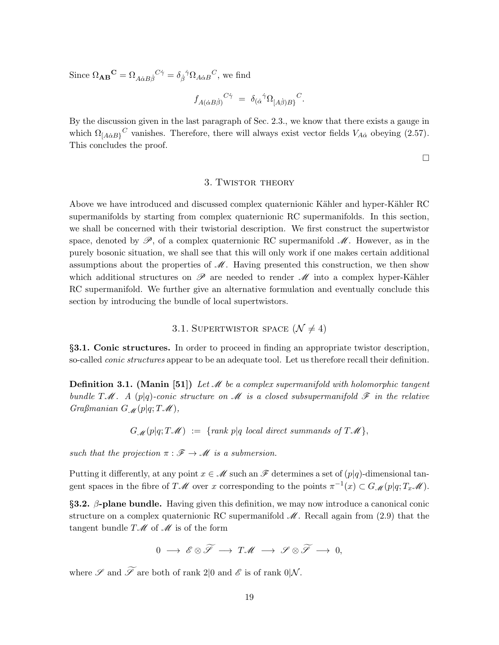Since  $\Omega_{AB}{}^{\mathbf{C}} = \Omega_{A\dot{\alpha}B\dot{\beta}}{}^{\dot{\gamma}} = \delta_{\dot{\beta}}{}^{\dot{\gamma}}\Omega_{A\dot{\alpha}B}{}^{\dot{C}},$  we find

$$
f_{A(\dot{\alpha}B\dot{\beta})}{}^{C\dot{\gamma}} = \delta_{(\dot{\alpha}}{}^{\dot{\gamma}} \Omega_{[A\dot{\beta})B\}}{}^{C}.
$$

By the discussion given in the last paragraph of Sec. 2.3., we know that there exists a gauge in which  $\Omega_{[A\dot{\alpha}B]}^{\alpha}$  vanishes. Therefore, there will always exist vector fields  $V_{A\dot{\alpha}}$  obeying (2.57). This concludes the proof.

 $\Box$ 

### 3. Twistor theory

Above we have introduced and discussed complex quaternionic Kähler and hyper-Kähler RC supermanifolds by starting from complex quaternionic RC supermanifolds. In this section, we shall be concerned with their twistorial description. We first construct the supertwistor space, denoted by  $\mathscr{P}$ , of a complex quaternionic RC supermanifold  $\mathscr{M}$ . However, as in the purely bosonic situation, we shall see that this will only work if one makes certain additional assumptions about the properties of  $\mathcal M$ . Having presented this construction, we then show which additional structures on  $\mathscr P$  are needed to render  $\mathscr M$  into a complex hyper-Kähler RC supermanifold. We further give an alternative formulation and eventually conclude this section by introducing the bundle of local supertwistors.

### 3.1. SUPERTWISTOR SPACE  $(\mathcal{N} \neq 4)$

§3.1. Conic structures. In order to proceed in finding an appropriate twistor description, so-called conic structures appear to be an adequate tool. Let us therefore recall their definition.

**Definition 3.1.** (Manin [51]) Let  $\mathcal{M}$  be a complex supermanifold with holomorphic tangent bundle  $T\mathcal{M}$ . A (p|q)-conic structure on  $\mathcal M$  is a closed subsupermanifold  $\mathcal F$  in the relative Graßmanian  $G_{\mathcal{M}}(p|q;T\mathcal{M}),$ 

 $G_M(p|q; T\mathcal{M}) := \{rank p|q \text{ local direct summands of } T\mathcal{M}\},\$ 

such that the projection  $\pi : \mathscr{F} \to \mathscr{M}$  is a submersion.

Putting it differently, at any point  $x \in \mathcal{M}$  such an  $\mathcal{F}$  determines a set of  $(p|q)$ -dimensional tangent spaces in the fibre of  $T\mathscr{M}$  over x corresponding to the points  $\pi^{-1}(x) \subset G\mathscr{M}(p|q;T_x\mathscr{M})$ .

 $\S$ 3.2.  $\beta$ -plane bundle. Having given this definition, we may now introduce a canonical conic structure on a complex quaternionic RC supermanifold  $\mathcal{M}$ . Recall again from (2.9) that the tangent bundle  $T\mathscr{M}$  of  $\mathscr{M}$  is of the form

$$
0\ \longrightarrow\ \mathscr{E}\otimes\widetilde{\mathscr{S}}\ \longrightarrow\ T\mathscr{M}\ \longrightarrow\ \mathscr{S}\otimes\widetilde{\mathscr{S}}\ \longrightarrow\ 0,
$$

where  $\mathscr S$  and  $\widetilde{\mathscr S}$  are both of rank 2|0 and  $\mathscr E$  is of rank 0|N.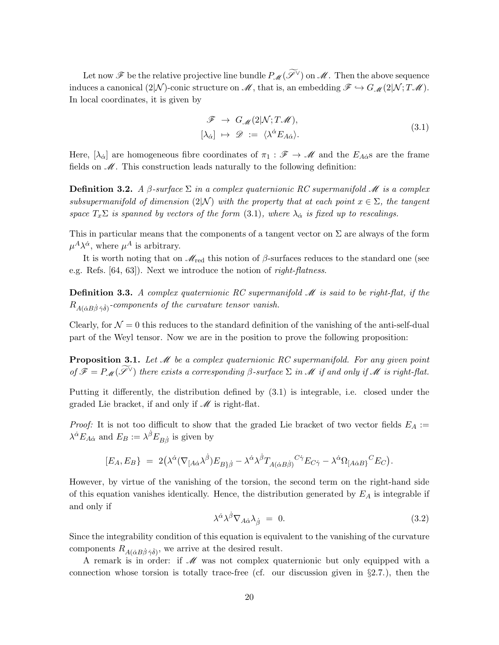Let now  $\mathscr F$  be the relative projective line bundle  $P_{\mathscr{M}}(\widetilde{\mathscr L}^\vee)$  on  $\mathscr M$ . Then the above sequence induces a canonical (2|N)-conic structure on  $\mathcal{M}$ , that is, an embedding  $\mathcal{F} \hookrightarrow G_{\mathcal{M}}(2|\mathcal{N};T\mathcal{M})$ . In local coordinates, it is given by

$$
\mathcal{F} \to G_{\mathcal{M}}(2|\mathcal{N};T\mathcal{M}), [\lambda_{\dot{\alpha}}] \mapsto \mathcal{D} := \langle \lambda^{\dot{\alpha}} E_{A\dot{\alpha}} \rangle.
$$
 (3.1)

Here,  $[\lambda_{\dot{\alpha}}]$  are homogeneous fibre coordinates of  $\pi_1 : \mathscr{F} \to \mathscr{M}$  and the  $E_{A\dot{\alpha}}$ s are the frame fields on  $\mathcal M$ . This construction leads naturally to the following definition:

**Definition 3.2.** A  $\beta$ -surface  $\Sigma$  in a complex quaternionic RC supermanifold M is a complex subsupermanifold of dimension (2|N) with the property that at each point  $x \in \Sigma$ , the tangent space  $T_x \Sigma$  is spanned by vectors of the form (3.1), where  $\lambda_{\alpha}$  is fixed up to rescalings.

This in particular means that the components of a tangent vector on  $\Sigma$  are always of the form  $\mu^A \lambda^{\dot{\alpha}}$ , where  $\mu^A$  is arbitrary.

It is worth noting that on  $\mathcal{M}_{\text{red}}$  this notion of  $\beta$ -surfaces reduces to the standard one (see e.g. Refs. [64, 63]). Next we introduce the notion of right-flatness.

**Definition 3.3.** A complex quaternionic RC supermanifold  $M$  is said to be right-flat, if the  $R_{A(\dot{\alpha}B\dot{\beta}\dot{\gamma}\dot{\delta})}$ -components of the curvature tensor vanish.

Clearly, for  $\mathcal{N} = 0$  this reduces to the standard definition of the vanishing of the anti-self-dual part of the Weyl tensor. Now we are in the position to prove the following proposition:

**Proposition 3.1.** Let  $\mathcal{M}$  be a complex quaternionic RC supermanifold. For any given point of  $\mathscr{F} = P_{\mathscr{M}}(\widetilde{\mathscr{S}}^{\vee})$  there exists a corresponding  $\beta$ -surface  $\Sigma$  in  $\mathscr{M}$  if and only if  $\mathscr{M}$  is right-flat.

Putting it differently, the distribution defined by (3.1) is integrable, i.e. closed under the graded Lie bracket, if and only if  $\mathcal M$  is right-flat.

*Proof:* It is not too difficult to show that the graded Lie bracket of two vector fields  $E_A :=$  $\lambda^{\dot{\alpha}} E_{A\dot{\alpha}}$  and  $E_B := \lambda^{\dot{\beta}} E_{B\dot{\beta}}$  is given by

$$
[E_A, E_B] = 2(\lambda^{\dot{\alpha}}(\nabla_{[A\dot{\alpha}}\lambda^{\dot{\beta}})E_{B\dot{\beta}} - \lambda^{\dot{\alpha}}\lambda^{\dot{\beta}}T_{A(\dot{\alpha}B\dot{\beta})}{}^{C\dot{\gamma}}E_{C\dot{\gamma}} - \lambda^{\dot{\alpha}}\Omega_{[A\dot{\alpha}B]}{}^{C}E_C).
$$

However, by virtue of the vanishing of the torsion, the second term on the right-hand side of this equation vanishes identically. Hence, the distribution generated by  $E_A$  is integrable if and only if

$$
\lambda^{\dot{\alpha}} \lambda^{\dot{\beta}} \nabla_{A \dot{\alpha}} \lambda_{\dot{\beta}} = 0. \tag{3.2}
$$

Since the integrability condition of this equation is equivalent to the vanishing of the curvature components  $R_{A(\dot{\alpha}B\dot{\beta}\dot{\gamma}\dot{\delta})}$ , we arrive at the desired result.

A remark is in order: if  $\mathcal M$  was not complex quaternionic but only equipped with a connection whose torsion is totally trace-free (cf. our discussion given in  $\S 2.7$ .), then the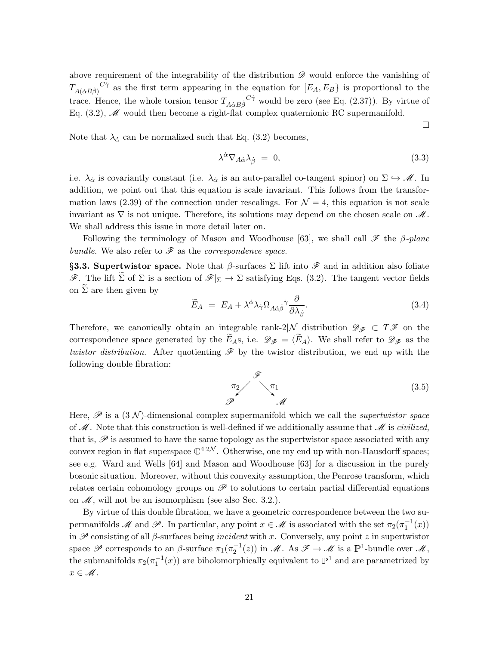above requirement of the integrability of the distribution  $\mathscr D$  would enforce the vanishing of  $T_{A(\dot{\alpha}B\dot{\beta})}^{\quad C\dot{\gamma}}$  as the first term appearing in the equation for  $[E_A, E_B\}$  is proportional to the trace. Hence, the whole torsion tensor  $T_{A\dot{\alpha}B\dot{\beta}}^{\quad C\dot{\gamma}}$  would be zero (see Eq. (2.37)). By virtue of Eq.  $(3.2)$ ,  $\mathscr{M}$  would then become a right-flat complex quaternionic RC supermanifold.

Note that  $\lambda_{\alpha}$  can be normalized such that Eq. (3.2) becomes,

$$
\lambda^{\dot{\alpha}} \nabla_{A \dot{\alpha}} \lambda_{\dot{\beta}} = 0, \tag{3.3}
$$

 $\Box$ 

i.e.  $\lambda_{\dot{\alpha}}$  is covariantly constant (i.e.  $\lambda_{\dot{\alpha}}$  is an auto-parallel co-tangent spinor) on  $\Sigma \hookrightarrow M$ . In addition, we point out that this equation is scale invariant. This follows from the transformation laws (2.39) of the connection under rescalings. For  $\mathcal{N} = 4$ , this equation is not scale invariant as  $\nabla$  is not unique. Therefore, its solutions may depend on the chosen scale on  $\mathcal M$ . We shall address this issue in more detail later on.

Following the terminology of Mason and Woodhouse [63], we shall call  $\mathscr F$  the  $\beta$ -plane bundle. We also refer to  $\mathscr F$  as the *correspondence space*.

§3.3. Supertwistor space. Note that  $\beta$ -surfaces  $\Sigma$  lift into  $\mathscr F$  and in addition also foliate F. The lift  $\widetilde{\Sigma}$  of  $\Sigma$  is a section of  $\mathscr{F}|_{\Sigma} \to \Sigma$  satisfying Eqs. (3.2). The tangent vector fields on  $\Sigma$  are then given by

$$
\widetilde{E}_A = E_A + \lambda^{\dot{\alpha}} \lambda_{\dot{\gamma}} \Omega_{A\dot{\alpha}\dot{\beta}}{}^{\dot{\gamma}} \frac{\partial}{\partial \lambda_{\dot{\beta}}}.
$$
\n(3.4)

Therefore, we canonically obtain an integrable rank-2|N distribution  $\mathscr{D}_{\mathscr{F}} \subset T\mathscr{F}$  on the correspondence space generated by the  $\widetilde{E}_{AS}$ , i.e.  $\mathscr{D}_{\mathscr{F}} = \langle \widetilde{E}_A \rangle$ . We shall refer to  $\mathscr{D}_{\mathscr{F}}$  as the twistor distribution. After quotienting  $\mathscr F$  by the twistor distribution, we end up with the following double fibration:

$$
\begin{array}{c}\n\pi_2 \\
\pi_1 \\
\pi_2\n\end{array} \qquad (3.5)
$$

Here,  $\mathscr P$  is a (3|N)-dimensional complex supermanifold which we call the *supertwistor space* of  $\mathcal{M}$ . Note that this construction is well-defined if we additionally assume that  $\mathcal{M}$  is *civilized*, that is,  $\mathscr P$  is assumed to have the same topology as the supertwistor space associated with any convex region in flat superspace  $\mathbb{C}^{4|\mathbb{2}N}$ . Otherwise, one my end up with non-Hausdorff spaces; see e.g. Ward and Wells [64] and Mason and Woodhouse [63] for a discussion in the purely bosonic situation. Moreover, without this convexity assumption, the Penrose transform, which relates certain cohomology groups on  $\mathscr P$  to solutions to certain partial differential equations on  $\mathcal{M}$ , will not be an isomorphism (see also Sec. 3.2.).

By virtue of this double fibration, we have a geometric correspondence between the two supermanifolds M and P. In particular, any point  $x \in M$  is associated with the set  $\pi_2(\pi_1^{-1}(x))$ in  $\mathscr P$  consisting of all  $\beta$ -surfaces being *incident* with x. Conversely, any point z in supertwistor space  $\mathscr P$  corresponds to an  $\beta$ -surface  $\pi_1(\pi_2^{-1}(z))$  in  $\mathscr M$ . As  $\mathscr F \to \mathscr M$  is a  $\mathbb P^1$ -bundle over  $\mathscr M$ , the submanifolds  $\pi_2(\pi_1^{-1}(x))$  are biholomorphically equivalent to  $\mathbb{P}^1$  and are parametrized by  $x \in \mathcal{M}$ .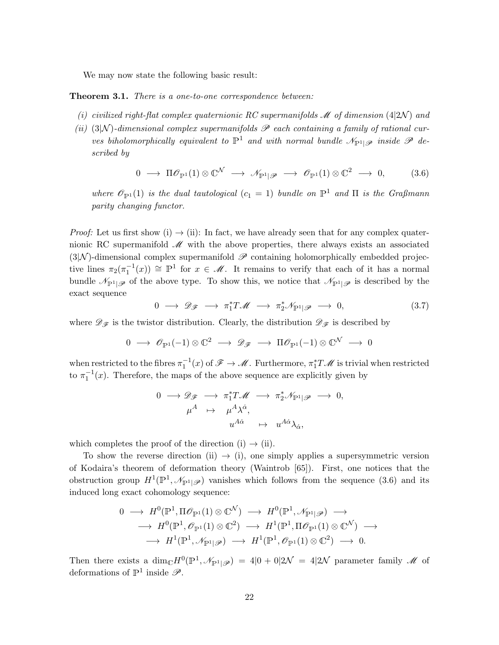We may now state the following basic result:

**Theorem 3.1.** There is a one-to-one correspondence between:

- (i) civilized right-flat complex quaternionic RC supermanifolds  $\mathcal M$  of dimension (4|2N) and
- (ii) (3|N)-dimensional complex supermanifolds  $\mathscr P$  each containing a family of rational curves biholomorphically equivalent to  $\mathbb{P}^1$  and with normal bundle  $\mathcal{N}_{\mathbb{P}^1|\mathscr{P}}$  inside  $\mathscr{P}$  described by

$$
0 \longrightarrow \Pi \mathscr{O}_{\mathbb{P}^1}(1) \otimes \mathbb{C}^{\mathcal{N}} \longrightarrow \mathscr{N}_{\mathbb{P}^1|\mathscr{P}} \longrightarrow \mathscr{O}_{\mathbb{P}^1}(1) \otimes \mathbb{C}^2 \longrightarrow 0, \tag{3.6}
$$

where  $\mathscr{O}_{\mathbb{P}^1}(1)$  is the dual tautological  $(c_1 = 1)$  bundle on  $\mathbb{P}^1$  and  $\Pi$  is the Graßmann parity changing functor.

*Proof:* Let us first show (i)  $\rightarrow$  (ii): In fact, we have already seen that for any complex quaternionic RC supermanifold  $\mathcal{M}$  with the above properties, there always exists an associated  $(3|\mathcal{N})$ -dimensional complex supermanifold  $\mathscr P$  containing holomorphically embedded projective lines  $\pi_2(\pi_1^{-1}(x)) \cong \mathbb{P}^1$  for  $x \in \mathcal{M}$ . It remains to verify that each of it has a normal bundle  $\mathcal{N}_{\mathbb{P}^1|\mathscr{P}}$  of the above type. To show this, we notice that  $\mathcal{N}_{\mathbb{P}^1|\mathscr{P}}$  is described by the exact sequence

$$
0 \longrightarrow \mathscr{D}_{\mathscr{F}} \longrightarrow \pi_1^* T \mathscr{M} \longrightarrow \pi_2^* \mathscr{N}_{\mathbb{P}^1|\mathscr{P}} \longrightarrow 0, \tag{3.7}
$$

where  $\mathscr{D}_{\mathscr{F}}$  is the twistor distribution. Clearly, the distribution  $\mathscr{D}_{\mathscr{F}}$  is described by

$$
0 \longrightarrow \mathscr{O}_{\mathbb{P}^1}(-1) \otimes \mathbb{C}^2 \longrightarrow \mathscr{D}_{\mathscr{F}} \longrightarrow \Pi \mathscr{O}_{\mathbb{P}^1}(-1) \otimes \mathbb{C}^{\mathcal{N}} \longrightarrow 0
$$

when restricted to the fibres  $\pi_1^{-1}(x)$  of  $\mathscr{F} \to \mathscr{M}$ . Furthermore,  $\pi_1^* T \mathscr{M}$  is trivial when restricted to  $\pi_1^{-1}(x)$ . Therefore, the maps of the above sequence are explicitly given by

$$
\begin{array}{rcl}\n0 & \longrightarrow \mathscr{D}_{\mathscr{F}} & \longrightarrow & \pi_1^* T \mathscr{M} & \longrightarrow & \pi_2^* \mathscr{N}_{\mathbb{P}^1 | \mathscr{P}} & \longrightarrow & 0, \\
\mu^A & \mapsto & \mu^{A} \lambda^{\dot{\alpha}}, \\
u^{A \dot{\alpha}} & \mapsto & u^{A \dot{\alpha}} \lambda_{\dot{\alpha}},\n\end{array}
$$

which completes the proof of the direction (i)  $\rightarrow$  (ii).

To show the reverse direction (ii)  $\rightarrow$  (i), one simply applies a supersymmetric version of Kodaira's theorem of deformation theory (Waintrob [65]). First, one notices that the obstruction group  $H^1(\mathbb{P}^1, \mathcal{N}_{\mathbb{P}^1|\mathscr{P}})$  vanishes which follows from the sequence (3.6) and its induced long exact cohomology sequence:

$$
0 \longrightarrow H^{0}(\mathbb{P}^{1}, \Pi \mathscr{O}_{\mathbb{P}^{1}}(1) \otimes \mathbb{C}^{\mathcal{N}}) \longrightarrow H^{0}(\mathbb{P}^{1}, \mathscr{N}_{\mathbb{P}^{1}|\mathscr{P}}) \longrightarrow
$$
  

$$
\longrightarrow H^{0}(\mathbb{P}^{1}, \mathscr{O}_{\mathbb{P}^{1}}(1) \otimes \mathbb{C}^{2}) \longrightarrow H^{1}(\mathbb{P}^{1}, \Pi \mathscr{O}_{\mathbb{P}^{1}}(1) \otimes \mathbb{C}^{\mathcal{N}}) \longrightarrow
$$
  

$$
\longrightarrow H^{1}(\mathbb{P}^{1}, \mathscr{N}_{\mathbb{P}^{1}|\mathscr{P}}) \longrightarrow H^{1}(\mathbb{P}^{1}, \mathscr{O}_{\mathbb{P}^{1}}(1) \otimes \mathbb{C}^{2}) \longrightarrow 0.
$$

Then there exists a  $\dim_{\mathbb{C}} H^0(\mathbb{P}^1, \mathcal{N}_{\mathbb{P}^1|\mathscr{P}}) = 4|0 + 0|2\mathcal{N} = 4|2\mathcal{N}$  parameter family  $\mathscr{M}$  of deformations of  $\mathbb{P}^1$  inside  $\mathscr{P}$ .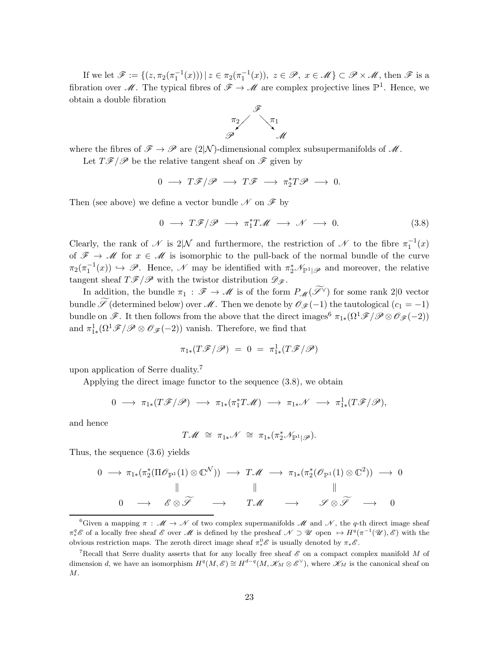If we let  $\mathscr{F} := \{ (z, \pi_2(\pi_1^{-1}(x))) \mid z \in \pi_2(\pi_1^{-1}(x)), z \in \mathscr{P}, x \in \mathscr{M} \} \subset \mathscr{P} \times \mathscr{M}$ , then  $\mathscr{F}$  is a fibration over M. The typical fibres of  $\mathscr{F} \to \mathscr{M}$  are complex projective lines  $\mathbb{P}^1$ . Hence, we obtain a double fibration



where the fibres of  $\mathscr{F} \to \mathscr{P}$  are  $(2|\mathcal{N})$ -dimensional complex subsupermanifolds of  $\mathscr{M}$ .

Let  $T\mathscr{F}/\mathscr{P}$  be the relative tangent sheaf on  $\mathscr{F}$  given by

$$
0\;\longrightarrow\;T\mathscr{F}/\mathscr{P}\;\longrightarrow\;T\mathscr{F}\;\longrightarrow\;\pi_2^*T\mathscr{P}\;\longrightarrow\;0.
$$

Then (see above) we define a vector bundle  $\mathscr N$  on  $\mathscr F$  by

$$
0 \longrightarrow T\mathscr{F}/\mathscr{P} \longrightarrow \pi_1^*T\mathscr{M} \longrightarrow \mathscr{N} \longrightarrow 0. \tag{3.8}
$$

Clearly, the rank of  $\mathscr N$  is  $2|\mathcal N$  and furthermore, the restriction of  $\mathscr N$  to the fibre  $\pi_1^{-1}(x)$ of  $\mathscr{F} \to \mathscr{M}$  for  $x \in \mathscr{M}$  is isomorphic to the pull-back of the normal bundle of the curve  $\pi_2(\pi_1^{-1}(x)) \hookrightarrow \mathscr{P}$ . Hence,  $\mathscr{N}$  may be identified with  $\pi_2^*\mathscr{N}_{\mathbb{P}^1|\mathscr{P}}$  and moreover, the relative tangent sheaf  $T\mathscr{F}/\mathscr{P}$  with the twistor distribution  $\mathscr{D}_{\mathscr{F}}$ .

In addition, the bundle  $\pi_1 : \mathscr{F} \to \mathscr{M}$  is of the form  $P_{\mathscr{M}}(\widetilde{\mathscr{S}}^{\vee})$  for some rank 2|0 vector bundle  $\widetilde{\mathscr{S}}$  (determined below) over  $\mathscr{M}$ . Then we denote by  $\mathscr{O}_{\mathscr{F}}(-1)$  the tautological  $(c_1 = -1)$ bundle on  $\mathscr{F}$ . It then follows from the above that the direct images<sup>6</sup>  $\pi_{1*}(\Omega^1\mathscr{F}/\mathscr{P}\otimes\mathscr{O}_{\mathscr{F}}(-2))$ and  $\pi_{1*}^1(\Omega^1 \mathscr{F}/\mathscr{P} \otimes \mathscr{O}_{\mathscr{F}}(-2))$  vanish. Therefore, we find that

$$
\pi_{1*}(T\mathscr{F}/\mathscr{P}) = 0 = \pi_{1*}^1(T\mathscr{F}/\mathscr{P})
$$

upon application of Serre duality.<sup>7</sup>

Applying the direct image functor to the sequence (3.8), we obtain

$$
0 \longrightarrow \pi_{1*}(T\mathscr{F}/\mathscr{P}) \longrightarrow \pi_{1*}(\pi_1^*T\mathscr{M}) \longrightarrow \pi_{1*}\mathscr{N} \longrightarrow \pi_{1*}^1(T\mathscr{F}/\mathscr{P}),
$$

and hence

$$
T\mathscr{M} \;\cong\; \pi_{1*}\mathscr{N} \;\cong\; \pi_{1*}(\pi_2^*\mathscr{N}_{\mathbb{P}^1|\mathscr{P}}).
$$

Thus, the sequence (3.6) yields

$$
0 \to \pi_{1*}(\pi_2^*(\Pi \mathscr{O}_{\mathbb{P}^1}(1) \otimes \mathbb{C}^{\mathcal{N}})) \to T\mathscr{M} \to \pi_{1*}(\pi_2^*(\mathscr{O}_{\mathbb{P}^1}(1) \otimes \mathbb{C}^2)) \to 0
$$
  
\n
$$
\parallel \qquad \qquad \parallel \qquad \qquad \parallel
$$
  
\n
$$
0 \to \mathscr{E} \otimes \widetilde{\mathscr{S}} \qquad \to \qquad T\mathscr{M} \qquad \to \qquad \mathscr{S} \otimes \widetilde{\mathscr{S}} \qquad \to \qquad 0
$$

<sup>6</sup>Given a mapping  $\pi : \mathcal{M} \to \mathcal{N}$  of two complex supermanifolds  $\mathcal{M}$  and  $\mathcal{N}$ , the q-th direct image sheaf  $\pi_*^q$  of a locally free sheaf  $\mathscr E$  over  $\mathscr M$  is defined by the presheaf  $\mathscr N \supset \mathscr U$  open  $\mapsto H^q(\pi^{-1}(\mathscr U), \mathscr E)$  with the obvious restriction maps. The zeroth direct image sheaf  $\pi^0_*\mathscr{E}$  is usually denoted by  $\pi_*\mathscr{E}$ .

<sup>&</sup>lt;sup>7</sup>Recall that Serre duality asserts that for any locally free sheaf  $\mathscr E$  on a compact complex manifold M of dimension d, we have an isomorphism  $H^q(M, \mathscr{E}) \cong H^{d-q}(M, \mathscr{K}_M \otimes \mathscr{E}^{\vee})$ , where  $\mathscr{K}_M$  is the canonical sheaf on M.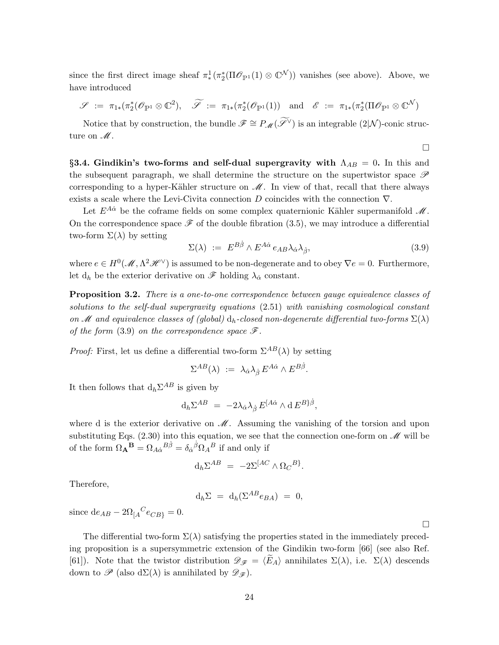since the first direct image sheaf  $\pi^1_*(\pi^*_2(\Pi \mathcal{O}_{\mathbb{P}^1}(1) \otimes \mathbb{C}^{\mathcal{N}}))$  vanishes (see above). Above, we have introduced

$$
\mathscr{S} := \pi_{1*}(\pi_2^*(\mathscr{O}_{\mathbb{P}^1} \otimes \mathbb{C}^2), \quad \widetilde{\mathscr{S}} := \pi_{1*}(\pi_2^*(\mathscr{O}_{\mathbb{P}^1}(1)) \quad \text{and} \quad \mathscr{E} := \pi_{1*}(\pi_2^*(\Pi \mathscr{O}_{\mathbb{P}^1} \otimes \mathbb{C}^{\mathcal{N}}))
$$

Notice that by construction, the bundle  $\mathscr{F} \cong P_{\mathscr{M}}(\widetilde{\mathscr{S}}^{\vee})$  is an integrable  $(2|\mathcal{N})$ -conic structure on  $\mathcal{M}$ .

 $\Box$ 

§3.4. Gindikin's two-forms and self-dual supergravity with  $\Lambda_{AB} = 0$ . In this and the subsequent paragraph, we shall determine the structure on the supertwistor space  $\mathscr P$ corresponding to a hyper-Kähler structure on  $\mathcal{M}$ . In view of that, recall that there always exists a scale where the Levi-Civita connection D coincides with the connection  $\nabla$ .

Let  $E^{A\dot{\alpha}}$  be the coframe fields on some complex quaternionic Kähler supermanifold  $\mathcal{M}$ . On the correspondence space  $\mathscr F$  of the double fibration (3.5), we may introduce a differential two-form  $\Sigma(\lambda)$  by setting

$$
\Sigma(\lambda) := E^{B\dot{\beta}} \wedge E^{A\dot{\alpha}} e_{AB} \lambda_{\dot{\alpha}} \lambda_{\dot{\beta}}, \tag{3.9}
$$

where  $e \in H^0(\mathcal{M}, \Lambda^2 \mathcal{H}^{\vee})$  is assumed to be non-degenerate and to obey  $\nabla e = 0$ . Furthermore, let  $\mathrm{d}_h$  be the exterior derivative on  $\mathscr F$  holding  $\lambda_{\dot\alpha}$  constant.

Proposition 3.2. There is a one-to-one correspondence between gauge equivalence classes of solutions to the self-dual supergravity equations (2.51) with vanishing cosmological constant on M and equivalence classes of (global)  $d_h$ -closed non-degenerate differential two-forms  $\Sigma(\lambda)$ of the form (3.9) on the correspondence space  $\mathscr{F}$ .

*Proof:* First, let us define a differential two-form  $\Sigma^{AB}(\lambda)$  by setting

$$
\Sigma^{AB}(\lambda) \; := \; \lambda_{\dot\alpha} \lambda_{\dot\beta} \, E^{A\dot\alpha} \wedge E^{B\dot\beta}.
$$

It then follows that  $d_h \Sigma^{AB}$  is given by

$$
\mathrm{d}_h \Sigma^{AB} \;=\; -2\lambda_{\dot\alpha} \lambda_{\dot\beta} \, E^{[A\dot\alpha} \wedge \mathrm{d} \, E^{B\}{\dot\beta},
$$

where d is the exterior derivative on  $\mathcal M$ . Assuming the vanishing of the torsion and upon substituting Eqs.  $(2.30)$  into this equation, we see that the connection one-form on  $\mathscr{M}$  will be of the form  $\Omega_{\bf A}{}^{\bf B} = \Omega_{A\dot\alpha}{}^{B\dot\beta} = \delta_{\dot\alpha}{}^{\dot\beta}\Omega_A{}^B$  if and only if

$$
\mathrm{d}_h \Sigma^{AB} \ = \ -2\Sigma^{[AC} \wedge \Omega_C{}^{B}.
$$

Therefore,

$$
\mathrm{d}_h\Sigma = \mathrm{d}_h(\Sigma^{AB}e_{BA}) = 0,
$$

since  $de_{AB} - 2\Omega_{[A}^C e_{CB]} = 0.$ 

The differential two-form  $\Sigma(\lambda)$  satisfying the properties stated in the immediately preceding proposition is a supersymmetric extension of the Gindikin two-form [66] (see also Ref. [61]). Note that the twistor distribution  $\mathscr{D}_{\mathscr{F}} = \langle E_A \rangle$  annihilates  $\Sigma(\lambda)$ , i.e.  $\Sigma(\lambda)$  descends down to  $\mathscr{P}$  (also d $\Sigma(\lambda)$  is annihilated by  $\mathscr{D}_{\mathscr{F}}$ ).

 $\Box$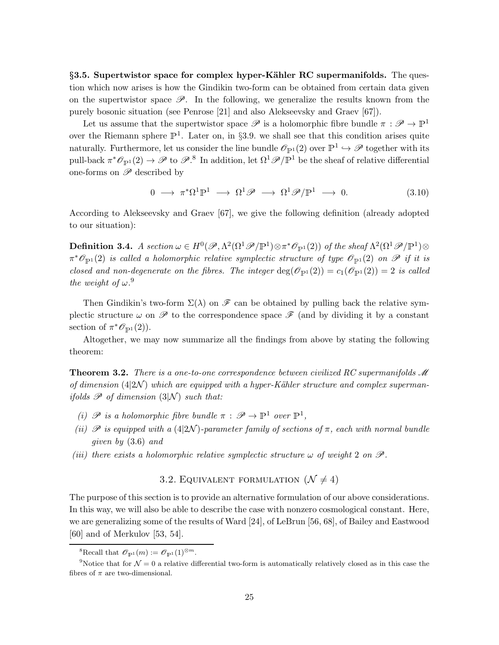§3.5. Supertwistor space for complex hyper-Kähler RC supermanifolds. The question which now arises is how the Gindikin two-form can be obtained from certain data given on the supertwistor space  $\mathscr{P}$ . In the following, we generalize the results known from the purely bosonic situation (see Penrose [21] and also Alekseevsky and Graev [67]).

Let us assume that the supertwistor space  $\mathscr P$  is a holomorphic fibre bundle  $\pi : \mathscr P \to \mathbb P^1$ over the Riemann sphere  $\mathbb{P}^1$ . Later on, in §3.9. we shall see that this condition arises quite naturally. Furthermore, let us consider the line bundle  $\mathscr{O}_{\mathbb{P}^1}(2)$  over  $\mathbb{P}^1 \hookrightarrow \mathscr{P}$  together with its pull-back  $\pi^*\mathscr{O}_{\mathbb{P}^1}(2) \to \mathscr{P}$  to  $\mathscr{P}^8$ . In addition, let  $\Omega^1\mathscr{P}/\mathbb{P}^1$  be the sheaf of relative differential one-forms on  $\mathscr P$  described by

$$
0 \longrightarrow \pi^*\Omega^1\mathbb{P}^1 \longrightarrow \Omega^1\mathscr{P} \longrightarrow \Omega^1\mathscr{P}/\mathbb{P}^1 \longrightarrow 0. \tag{3.10}
$$

According to Alekseevsky and Graev [67], we give the following definition (already adopted to our situation):

**Definition 3.4.** A section  $\omega \in H^0(\mathscr{P}, \Lambda^2(\Omega^1 \mathscr{P}/\mathbb{P}^1) \otimes \pi^* \mathscr{O}_{\mathbb{P}^1}(2))$  of the sheaf  $\Lambda^2(\Omega^1 \mathscr{P}/\mathbb{P}^1) \otimes$  $\pi^*\mathscr{O}_{\mathbb{P}^1}(2)$  is called a holomorphic relative symplectic structure of type  $\mathscr{O}_{\mathbb{P}^1}(2)$  on  $\mathscr{P}$  if it is closed and non-degenerate on the fibres. The integer  $\deg(\mathscr{O}_{\mathbb{P}^1}(2)) = c_1(\mathscr{O}_{\mathbb{P}^1}(2)) = 2$  is called the weight of  $\omega$ .<sup>9</sup>

Then Gindikin's two-form  $\Sigma(\lambda)$  on  $\mathscr F$  can be obtained by pulling back the relative symplectic structure  $\omega$  on  $\mathscr P$  to the correspondence space  $\mathscr F$  (and by dividing it by a constant section of  $\pi^* \mathcal{O}_{\mathbb{P}^1}(2)$ ).

Altogether, we may now summarize all the findings from above by stating the following theorem:

**Theorem 3.2.** There is a one-to-one correspondence between civilized RC supermanifolds  $\mathcal{M}$ of dimension  $(4|2\mathcal{N})$  which are equipped with a hyper-Kähler structure and complex supermanifolds  $\mathscr P$  of dimension  $(3|\mathcal{N})$  such that:

- (i)  $\mathscr P$  is a holomorphic fibre bundle  $\pi : \mathscr P \to \mathbb P^1$  over  $\mathbb P^1$ ,
- (ii)  $\mathscr P$  is equipped with a (4|2N)-parameter family of sections of  $\pi$ , each with normal bundle given by (3.6) and
- (iii) there exists a holomorphic relative symplectic structure  $\omega$  of weight 2 on  $\mathscr{P}$ .

# 3.2. EQUIVALENT FORMULATION  $(\mathcal{N} \neq 4)$

The purpose of this section is to provide an alternative formulation of our above considerations. In this way, we will also be able to describe the case with nonzero cosmological constant. Here, we are generalizing some of the results of Ward [24], of LeBrun [56, 68], of Bailey and Eastwood [60] and of Merkulov [53, 54].

<sup>&</sup>lt;sup>8</sup>Recall that  $\mathscr{O}_{\mathbb{P}^1}(m) := \mathscr{O}_{\mathbb{P}^1}(1)^{\otimes m}$ .

<sup>&</sup>lt;sup>9</sup>Notice that for  $\mathcal{N} = 0$  a relative differential two-form is automatically relatively closed as in this case the fibres of  $\pi$  are two-dimensional.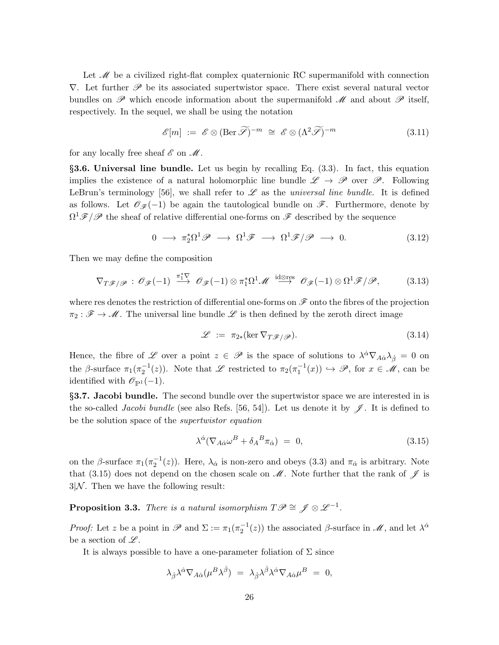Let  $\mathcal{M}$  be a civilized right-flat complex quaternionic RC supermanifold with connection  $\nabla$ . Let further  $\mathscr P$  be its associated supertwistor space. There exist several natural vector bundles on  $\mathscr P$  which encode information about the supermanifold  $\mathscr M$  and about  $\mathscr P$  itself, respectively. In the sequel, we shall be using the notation

$$
\mathscr{E}[m] := \mathscr{E} \otimes (\text{Ber } \widetilde{\mathscr{S}})^{-m} \cong \mathscr{E} \otimes (\Lambda^2 \widetilde{\mathscr{S}})^{-m}
$$
(3.11)

for any locally free sheaf  $\mathscr E$  on  $\mathscr M$ .

§3.6. Universal line bundle. Let us begin by recalling Eq. (3.3). In fact, this equation implies the existence of a natural holomorphic line bundle  $\mathscr{L} \to \mathscr{P}$  over  $\mathscr{P}$ . Following LeBrun's terminology [56], we shall refer to  $\mathscr L$  as the *universal line bundle*. It is defined as follows. Let  $\mathscr{O}_{\mathscr{F}}(-1)$  be again the tautological bundle on  $\mathscr{F}$ . Furthermore, denote by  $\Omega^1 \mathscr{F} / \mathscr{P}$  the sheaf of relative differential one-forms on  $\mathscr{F}$  described by the sequence

$$
0 \longrightarrow \pi_2^*\Omega^1 \mathscr{P} \longrightarrow \Omega^1 \mathscr{F} \longrightarrow \Omega^1 \mathscr{F}/\mathscr{P} \longrightarrow 0. \tag{3.12}
$$

Then we may define the composition

$$
\nabla_{T\mathscr{F}/\mathscr{P}} : \mathscr{O}_{\mathscr{F}}(-1) \stackrel{\pi_1^*\nabla}{\longrightarrow} \mathscr{O}_{\mathscr{F}}(-1) \otimes \pi_1^*\Omega^1 \mathscr{M} \stackrel{\text{id} \otimes \text{res}}{\longrightarrow} \mathscr{O}_{\mathscr{F}}(-1) \otimes \Omega^1 \mathscr{F}/\mathscr{P}, \tag{3.13}
$$

where res denotes the restriction of differential one-forms on  $\mathscr F$  onto the fibres of the projection  $\pi_2 : \mathscr{F} \to \mathscr{M}$ . The universal line bundle  $\mathscr{L}$  is then defined by the zeroth direct image

$$
\mathcal{L} := \pi_{2*}(\ker \nabla_{T\mathcal{F}/\mathcal{P}}). \tag{3.14}
$$

Hence, the fibre of  $\mathscr L$  over a point  $z \in \mathscr P$  is the space of solutions to  $\lambda^{\dot\alpha}\nabla_{A\dot\alpha}\lambda_{\dot\beta} = 0$  on the β-surface  $\pi_1(\pi_2^{-1}(z))$ . Note that  $\mathscr L$  restricted to  $\pi_2(\pi_1^{-1}(x)) \hookrightarrow \mathscr P$ , for  $x \in \mathscr M$ , can be identified with  $\mathscr{O}_{\mathbb{P}^1}(-1)$ .

§3.7. Jacobi bundle. The second bundle over the supertwistor space we are interested in is the so-called *Jacobi bundle* (see also Refs. [56, 54]). Let us denote it by  $\mathscr{J}$ . It is defined to be the solution space of the supertwistor equation

$$
\lambda^{\dot{\alpha}}(\nabla_{A\dot{\alpha}}\omega^B + \delta_A{}^B \pi_{\dot{\alpha}}) = 0, \tag{3.15}
$$

on the β-surface  $\pi_1(\pi_2^{-1}(z))$ . Here,  $\lambda_{\dot{\alpha}}$  is non-zero and obeys (3.3) and  $\pi_{\dot{\alpha}}$  is arbitrary. Note that (3.15) does not depend on the chosen scale on  $\mathcal{M}$ . Note further that the rank of  $\mathcal{J}$  is  $3/N$ . Then we have the following result:

**Proposition 3.3.** There is a natural isomorphism  $T\mathscr{P} \cong \mathscr{J} \otimes \mathscr{L}^{-1}$ .

*Proof:* Let z be a point in  $\mathscr P$  and  $\Sigma := \pi_1(\pi_2^{-1}(z))$  the associated  $\beta$ -surface in  $\mathscr M$ , and let  $\lambda^{\dot\alpha}$ be a section of  $\mathscr{L}$ .

It is always possible to have a one-parameter foliation of  $\Sigma$  since

$$
\lambda_{\dot{\beta}} \lambda^{\dot{\alpha}} \nabla_{A\dot{\alpha}} (\mu^B \lambda^{\dot{\beta}}) = \lambda_{\dot{\beta}} \lambda^{\dot{\beta}} \lambda^{\dot{\alpha}} \nabla_{A\dot{\alpha}} \mu^B = 0,
$$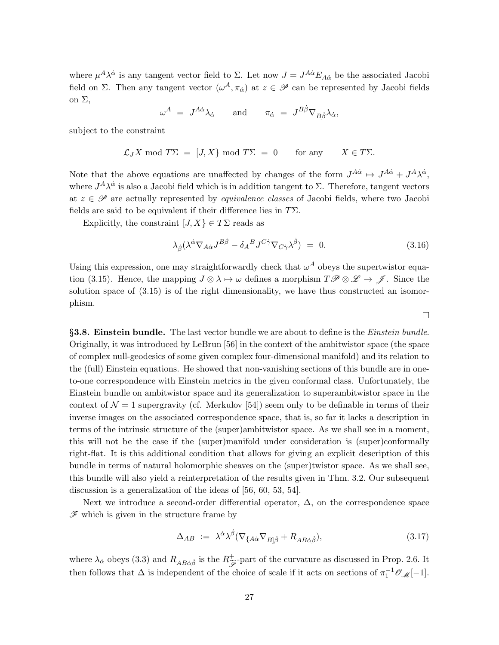where  $\mu^A \lambda^{\dot{\alpha}}$  is any tangent vector field to  $\Sigma$ . Let now  $J = J^{A\dot{\alpha}} E_{A\dot{\alpha}}$  be the associated Jacobi field on Σ. Then any tangent vector  $(\omega^A, \pi_{\alpha})$  at  $z \in \mathscr{P}$  can be represented by Jacobi fields on Σ,

$$
\omega^A \ = \ J^{A\dot\alpha} \lambda_{\dot\alpha} \qquad \text{and} \qquad \pi_{\dot\alpha} \ = \ J^{B\dot\beta} \nabla_{B\dot\beta} \lambda_{\dot\alpha},
$$

subject to the constraint

$$
\mathcal{L}_J X \mod T\Sigma = [J, X] \mod T\Sigma = 0
$$
 for any  $X \in T\Sigma$ .

Note that the above equations are unaffected by changes of the form  $J^{A\dot{\alpha}} \mapsto J^{A\dot{\alpha}} + J^{A}\lambda^{\dot{\alpha}}$ , where  $J^A \lambda^{\dot{\alpha}}$  is also a Jacobi field which is in addition tangent to  $\Sigma$ . Therefore, tangent vectors at  $z \in \mathscr{P}$  are actually represented by *equivalence classes* of Jacobi fields, where two Jacobi fields are said to be equivalent if their difference lies in  $T\Sigma$ .

Explicitly, the constraint  $[J, X] \in T\Sigma$  reads as

$$
\lambda_{\dot{\beta}}(\lambda^{\dot{\alpha}}\nabla_{A\dot{\alpha}}J^{B\dot{\beta}} - \delta_A{}^B J^{C\dot{\gamma}}\nabla_{C\dot{\gamma}}\lambda^{\dot{\beta}}) = 0. \tag{3.16}
$$

 $\Box$ 

Using this expression, one may straightforwardly check that  $\omega^A$  obeys the supertwistor equation (3.15). Hence, the mapping  $J \otimes \lambda \mapsto \omega$  defines a morphism  $T\mathscr{P} \otimes \mathscr{L} \to \mathscr{J}$ . Since the solution space of (3.15) is of the right dimensionality, we have thus constructed an isomorphism.

§3.8. Einstein bundle. The last vector bundle we are about to define is the *Einstein bundle*. Originally, it was introduced by LeBrun [56] in the context of the ambitwistor space (the space of complex null-geodesics of some given complex four-dimensional manifold) and its relation to the (full) Einstein equations. He showed that non-vanishing sections of this bundle are in oneto-one correspondence with Einstein metrics in the given conformal class. Unfortunately, the Einstein bundle on ambitwistor space and its generalization to superambitwistor space in the context of  $\mathcal{N} = 1$  supergravity (cf. Merkulov [54]) seem only to be definable in terms of their inverse images on the associated correspondence space, that is, so far it lacks a description in terms of the intrinsic structure of the (super)ambitwistor space. As we shall see in a moment, this will not be the case if the (super)manifold under consideration is (super)conformally right-flat. It is this additional condition that allows for giving an explicit description of this bundle in terms of natural holomorphic sheaves on the (super)twistor space. As we shall see, this bundle will also yield a reinterpretation of the results given in Thm. 3.2. Our subsequent discussion is a generalization of the ideas of [56, 60, 53, 54].

Next we introduce a second-order differential operator,  $\Delta$ , on the correspondence space  $\mathscr F$  which is given in the structure frame by

$$
\Delta_{AB} := \lambda^{\dot{\alpha}} \lambda^{\dot{\beta}} (\nabla_{\{A\dot{\alpha}} \nabla_{B|\dot{\beta}} + R_{AB\dot{\alpha}\dot{\beta}}), \tag{3.17}
$$

where  $\lambda_{\dot{\alpha}}$  obeys (3.3) and  $R_{AB\dot{\alpha}\dot{\beta}}$  is the  $R_{\tilde{\mathscr{S}}}^{+}$ -part of the curvature as discussed in Prop. 2.6. It then follows that  $\Delta$  is independent of the choice of scale if it acts on sections of  $\pi_1^{-1} \mathcal{O}_{\mathcal{M}}[-1]$ .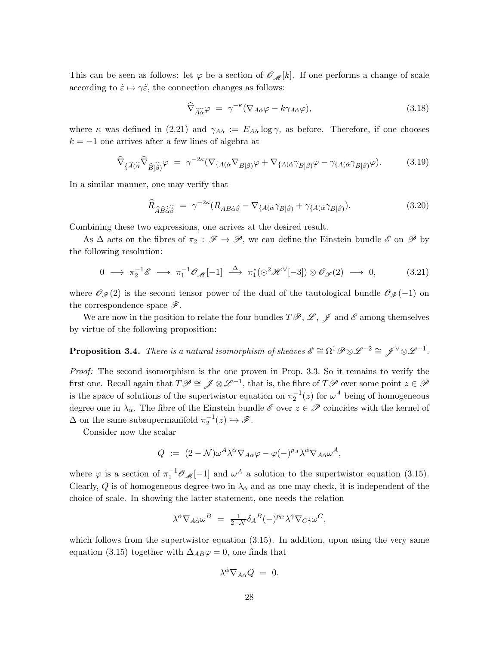This can be seen as follows: let  $\varphi$  be a section of  $\mathcal{O}_{\mathcal{M}}[k]$ . If one performs a change of scale according to  $\tilde{\varepsilon} \mapsto \gamma \tilde{\varepsilon}$ , the connection changes as follows:

$$
\widehat{\nabla}_{\widehat{A}\widehat{\alpha}}\varphi = \gamma^{-\kappa}(\nabla_{A\dot{\alpha}}\varphi - k\gamma_{A\dot{\alpha}}\varphi), \tag{3.18}
$$

where  $\kappa$  was defined in (2.21) and  $\gamma_{A\dot{\alpha}} := E_{A\dot{\alpha}} \log \gamma$ , as before. Therefore, if one chooses  $k = -1$  one arrives after a few lines of algebra at

$$
\widehat{\nabla}_{\{\widehat{A}(\widehat{\alpha}}\widehat{\nabla}_{\widehat{B}|\widehat{\beta})}\varphi = \gamma^{-2\kappa}(\nabla_{\{A(\dot{\alpha}}\nabla_{B|\dot{\beta})}\varphi + \nabla_{\{A(\dot{\alpha}}\gamma_{B|\dot{\beta})}\varphi - \gamma_{\{A(\dot{\alpha}}\gamma_{B|\dot{\beta})}\varphi\}}). \tag{3.19}
$$

In a similar manner, one may verify that

$$
\widehat{R}_{\widehat{A}\widehat{B}\widehat{\alpha}\widehat{\beta}} = \gamma^{-2\kappa} (R_{AB\dot{\alpha}\dot{\beta}} - \nabla_{\{A(\dot{\alpha}}\gamma_{B]\dot{\beta})} + \gamma_{\{A(\dot{\alpha}}\gamma_{B]\dot{\beta})}\}.
$$
\n(3.20)

Combining these two expressions, one arrives at the desired result.

As  $\Delta$  acts on the fibres of  $\pi_2$ :  $\mathscr{F} \to \mathscr{P}$ , we can define the Einstein bundle  $\mathscr{E}$  on  $\mathscr{P}$  by the following resolution:

$$
0 \longrightarrow \pi_2^{-1} \mathscr{E} \longrightarrow \pi_1^{-1} \mathscr{O}_{\mathscr{M}}[-1] \stackrel{\Delta}{\longrightarrow} \pi_1^*(\odot^2 \mathscr{H}^{\vee}[-3]) \otimes \mathscr{O}_{\mathscr{F}}(2) \longrightarrow 0, \tag{3.21}
$$

where  $\mathcal{O}_{\mathcal{F}}(2)$  is the second tensor power of the dual of the tautological bundle  $\mathcal{O}_{\mathcal{F}}(-1)$  on the correspondence space  $\mathscr{F}$ .

We are now in the position to relate the four bundles  $T\mathscr{P}, \mathscr{L}, \mathscr{J}$  and  $\mathscr{E}$  among themselves by virtue of the following proposition:

**Proposition 3.4.** There is a natural isomorphism of sheaves  $\mathscr{E} \cong \Omega^1 \mathscr{P} \otimes \mathscr{L}^{-2} \cong \mathscr{J}^{\vee} \otimes \mathscr{L}^{-1}$ .

Proof: The second isomorphism is the one proven in Prop. 3.3. So it remains to verify the first one. Recall again that  $T\mathscr{P} \cong \mathscr{J} \otimes \mathscr{L}^{-1}$ , that is, the fibre of  $T\mathscr{P}$  over some point  $z \in \mathscr{P}$ is the space of solutions of the supertwistor equation on  $\pi_2^{-1}(z)$  for  $\omega^A$  being of homogeneous degree one in  $\lambda_{\alpha}$ . The fibre of the Einstein bundle  $\mathscr{E}$  over  $z \in \mathscr{P}$  coincides with the kernel of  $\Delta$  on the same subsupermanifold  $\pi_2^{-1}(z) \hookrightarrow \mathscr{F}$ .

Consider now the scalar

$$
Q := (2 - \mathcal{N})\omega^A \lambda^{\dot{\alpha}} \nabla_{A\dot{\alpha}} \varphi - \varphi(-)^{p_A} \lambda^{\dot{\alpha}} \nabla_{A\dot{\alpha}} \omega^A,
$$

where  $\varphi$  is a section of  $\pi_1^{-1} \mathcal{O}_{\mathcal{M}}[-1]$  and  $\omega^A$  a solution to the supertwistor equation (3.15). Clearly, Q is of homogeneous degree two in  $\lambda_{\alpha}$  and as one may check, it is independent of the choice of scale. In showing the latter statement, one needs the relation

$$
\lambda^{\dot\alpha}\nabla_{A\dot\alpha}\omega^B\ =\ \frac{1}{2-\mathcal{N}}\delta_A{}^B(-)^{p_C}\lambda^{\dot\gamma}\nabla_{C\dot\gamma}\omega^C,
$$

which follows from the supertwistor equation  $(3.15)$ . In addition, upon using the very same equation (3.15) together with  $\Delta_{AB}\varphi = 0$ , one finds that

$$
\lambda^{\dot{\alpha}} \nabla_{A\dot{\alpha}} Q = 0.
$$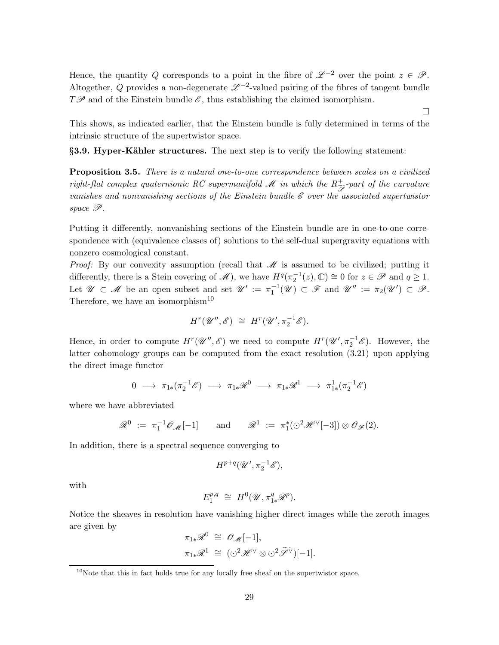Hence, the quantity Q corresponds to a point in the fibre of  $\mathscr{L}^{-2}$  over the point  $z \in \mathscr{P}$ . Altogether, Q provides a non-degenerate  $\mathscr{L}^{-2}$ -valued pairing of the fibres of tangent bundle  $T\mathscr{P}$  and of the Einstein bundle  $\mathscr{E}$ , thus establishing the claimed isomorphism.

This shows, as indicated earlier, that the Einstein bundle is fully determined in terms of the intrinsic structure of the supertwistor space.

 $\Box$ 

§3.9. Hyper-Kähler structures. The next step is to verify the following statement:

**Proposition 3.5.** There is a natural one-to-one correspondence between scales on a civilized right-flat complex quaternionic RC supermanifold M in which the  $R^+_{\widetilde{\mathscr{S}}}$ -part of the curvature vanishes and nonvanishing sections of the Einstein bundle  $\mathscr E$  over the associated supertwistor space P.

Putting it differently, nonvanishing sections of the Einstein bundle are in one-to-one correspondence with (equivalence classes of) solutions to the self-dual supergravity equations with nonzero cosmological constant.

*Proof:* By our convexity assumption (recall that  $\mathcal M$  is assumed to be civilized; putting it differently, there is a Stein covering of  $\mathscr{M}$ , we have  $H^q(\pi_2^{-1}(z), \mathbb{C}) \cong 0$  for  $z \in \mathscr{P}$  and  $q \ge 1$ . Let  $\mathscr{U} \subset \mathscr{M}$  be an open subset and set  $\mathscr{U}' := \pi_1^{-1}(\mathscr{U}) \subset \mathscr{F}$  and  $\mathscr{U}'' := \pi_2(\mathscr{U}') \subset \mathscr{P}$ . Therefore, we have an isomorphism<sup>10</sup>

$$
H^r(\mathscr{U}'',\mathscr{E}) \cong H^r(\mathscr{U}',\pi_2^{-1}\mathscr{E}).
$$

Hence, in order to compute  $H^r(\mathcal{U}'',\mathcal{E})$  we need to compute  $H^r(\mathcal{U}',\pi_2^{-1}\mathcal{E})$ . However, the latter cohomology groups can be computed from the exact resolution (3.21) upon applying the direct image functor

$$
0\;\longrightarrow\;\pi_{1*}(\pi_2^{-1}\mathscr{E})\;\longrightarrow\;\pi_{1*}\mathscr{R}^0\;\longrightarrow\;\pi_{1*}\mathscr{R}^1\;\longrightarrow\;\pi_{1*}^1(\pi_2^{-1}\mathscr{E})
$$

where we have abbreviated

$$
\mathscr{R}^0 := \pi_1^{-1} \mathscr{O}_{\mathscr{M}}[-1] \quad \text{and} \quad \mathscr{R}^1 := \pi_1^* (\odot^2 \mathscr{H}^{\vee}[-3]) \otimes \mathscr{O}_{\mathscr{F}}(2).
$$

In addition, there is a spectral sequence converging to

$$
H^{p+q}(\mathscr{U}',\pi_2^{-1}\mathscr{E}),
$$

with

$$
E_1^{p,q} \cong H^0(\mathscr{U}, \pi_{1*}^q \mathscr{R}^p).
$$

Notice the sheaves in resolution have vanishing higher direct images while the zeroth images are given by

$$
\pi_{1*}\mathscr{R}^0 \cong \mathscr{O}_{\mathscr{M}}[-1],
$$
  

$$
\pi_{1*}\mathscr{R}^1 \cong (\odot^2 \mathscr{H}^\vee \otimes \odot^2 \widetilde{\mathscr{S}}^\vee)[-1].
$$

 $10$ Note that this in fact holds true for any locally free sheaf on the supertwistor space.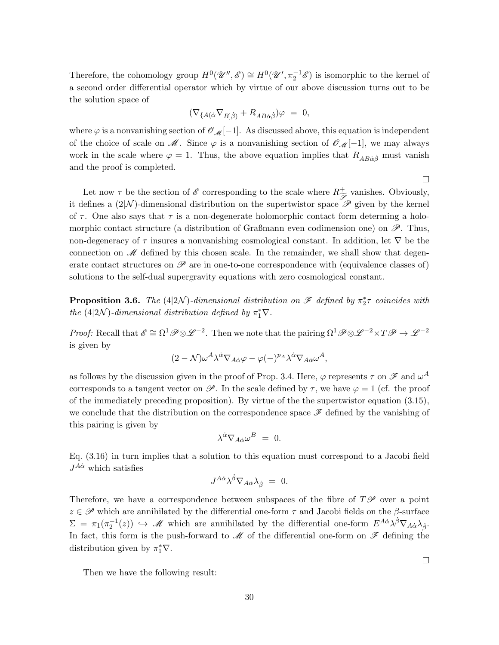Therefore, the cohomology group  $H^0(\mathscr{U}'',\mathscr{E}) \cong H^0(\mathscr{U}',\pi_2^{-1}\mathscr{E})$  is isomorphic to the kernel of a second order differential operator which by virtue of our above discussion turns out to be the solution space of

$$
(\nabla_{\{A(\dot{\alpha}}\nabla_{B|\dot{\beta})} + R_{AB\dot{\alpha}\dot{\beta}})\varphi = 0,
$$

where  $\varphi$  is a nonvanishing section of  $\mathscr{O}_{\mathscr{M}}[-1]$ . As discussed above, this equation is independent of the choice of scale on  $\mathcal M$ . Since  $\varphi$  is a nonvanishing section of  $\mathcal O_{\mathcal M}[-1]$ , we may always work in the scale where  $\varphi = 1$ . Thus, the above equation implies that  $R_{AB\dot{\alpha}\dot{\beta}}$  must vanish and the proof is completed.

 $\Box$ 

 $\Box$ 

Let now  $\tau$  be the section of  $\mathscr E$  corresponding to the scale where  $R^+_{\widetilde{\mathscr{S}}}$  vanishes. Obviously, it defines a  $(2|\mathcal{N})$ -dimensional distribution on the supertwistor space  $\mathscr P$  given by the kernel of  $\tau$ . One also says that  $\tau$  is a non-degenerate holomorphic contact form determing a holomorphic contact structure (a distribution of Graßmann even codimension one) on  $\mathscr{P}$ . Thus, non-degeneracy of  $\tau$  insures a nonvanishing cosmological constant. In addition, let  $\nabla$  be the connection on  $\mathscr M$  defined by this chosen scale. In the remainder, we shall show that degenerate contact structures on  $\mathscr P$  are in one-to-one correspondence with (equivalence classes of) solutions to the self-dual supergravity equations with zero cosmological constant.

**Proposition 3.6.** The  $(4|2\mathcal{N})$ -dimensional distribution on  $\mathscr{F}$  defined by  $\pi^*_2 \tau$  coincides with the (4|2N)-dimensional distribution defined by  $\pi_1^* \nabla$ .

*Proof:* Recall that  $\mathscr{E} \cong \Omega^1 \mathscr{P} \otimes \mathscr{L}^{-2}$ . Then we note that the pairing  $\Omega^1 \mathscr{P} \otimes \mathscr{L}^{-2} \times T \mathscr{P} \to \mathscr{L}^{-2}$ is given by

$$
(2-\mathcal{N})\omega^A\lambda^{\dot{\alpha}}\nabla_{A\dot{\alpha}}\varphi-\varphi(-)^{p_A}\lambda^{\dot{\alpha}}\nabla_{A\dot{\alpha}}\omega^A,
$$

as follows by the discussion given in the proof of Prop. 3.4. Here,  $\varphi$  represents  $\tau$  on  $\mathscr F$  and  $\omega^A$ corresponds to a tangent vector on  $\mathscr{P}$ . In the scale defined by  $\tau$ , we have  $\varphi = 1$  (cf. the proof of the immediately preceding proposition). By virtue of the the supertwistor equation (3.15), we conclude that the distribution on the correspondence space  $\mathscr F$  defined by the vanishing of this pairing is given by

$$
\lambda^{\dot{\alpha}} \nabla_{A \dot{\alpha}} \omega^B = 0.
$$

Eq. (3.16) in turn implies that a solution to this equation must correspond to a Jacobi field  $J^{A\dot{\alpha}}$  which satisfies

$$
J^{A\dot\alpha} \lambda^{\dot\beta}\nabla_{A\dot\alpha} \lambda_{\dot\beta} \ = \ 0.
$$

Therefore, we have a correspondence between subspaces of the fibre of  $T\mathscr{P}$  over a point  $z \in \mathscr{P}$  which are annihilated by the differential one-form  $\tau$  and Jacobi fields on the  $\beta$ -surface  $\Sigma = \pi_1(\pi_2^{-1}(z)) \hookrightarrow \mathscr{M}$  which are annihilated by the differential one-form  $E^{A\dot{\alpha}}\lambda^{\dot{\beta}}\nabla_{A\dot{\alpha}}\lambda_{\dot{\beta}}$ . In fact, this form is the push-forward to  $\mathscr M$  of the differential one-form on  $\mathscr F$  defining the distribution given by  $\pi_1^* \nabla$ .

Then we have the following result: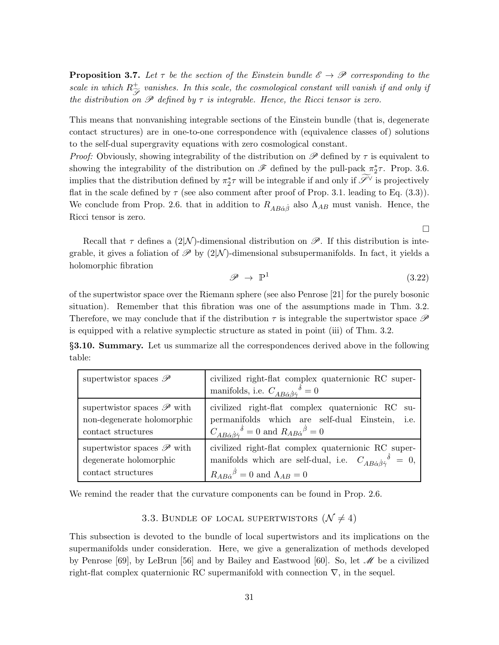**Proposition 3.7.** Let  $\tau$  be the section of the Einstein bundle  $\mathscr{E} \to \mathscr{P}$  corresponding to the scale in which  $R^+_{\widetilde{\mathscr{S}}}$  vanishes. In this scale, the cosmological constant will vanish if and only if the distribution on  $\mathscr P$  defined by  $\tau$  is integrable. Hence, the Ricci tensor is zero.

This means that nonvanishing integrable sections of the Einstein bundle (that is, degenerate contact structures) are in one-to-one correspondence with (equivalence classes of) solutions to the self-dual supergravity equations with zero cosmological constant.

*Proof:* Obviously, showing integrability of the distribution on  $\mathscr P$  defined by  $\tau$  is equivalent to showing the integrability of the distribution on  $\mathscr F$  defined by the pull-pack  $\pi_2^*\tau$ . Prop. 3.6. implies that the distribution defined by  $\pi_2^* \tau$  will be integrable if and only if  $\widetilde{\mathscr{S}}^{\vee}$  is projectively flat in the scale defined by  $\tau$  (see also comment after proof of Prop. 3.1. leading to Eq. (3.3)). We conclude from Prop. 2.6. that in addition to  $R_{AB\dot{\alpha}\dot{\beta}}$  also  $\Lambda_{AB}$  must vanish. Hence, the Ricci tensor is zero.

 $\Box$ 

Recall that  $\tau$  defines a (2|N)-dimensional distribution on  $\mathscr{P}$ . If this distribution is integrable, it gives a foliation of  $\mathscr{P}$  by  $(2|\mathcal{N})$ -dimensional subsupermanifolds. In fact, it yields a holomorphic fibration

$$
\mathscr{P} \to \mathbb{P}^1 \tag{3.22}
$$

of the supertwistor space over the Riemann sphere (see also Penrose [21] for the purely bosonic situation). Remember that this fibration was one of the assumptions made in Thm. 3.2. Therefore, we may conclude that if the distribution  $\tau$  is integrable the supertwistor space  $\mathscr P$ is equipped with a relative symplectic structure as stated in point (iii) of Thm. 3.2.

§3.10. Summary. Let us summarize all the correspondences derived above in the following table:

| supertwistor spaces $\mathscr{P}$     | civilized right-flat complex quaternionic RC super-<br>manifolds, i.e. $C_{AB\dot{\alpha}\dot{\beta}\dot{\gamma}}{}^{\delta} = 0$ |
|---------------------------------------|-----------------------------------------------------------------------------------------------------------------------------------|
| supertwistor spaces $\mathscr P$ with | civilized right-flat complex quaternionic RC su-                                                                                  |
| non-degenerate holomorphic            | permanifolds which are self-dual Einstein, i.e.                                                                                   |
| contact structures                    | $C_{AB\dot{\alpha}\dot{\beta}\dot{\gamma}}{}^{\dot{\delta}}=0$ and $R_{AB\dot{\alpha}}{}^{\dot{\beta}}=0$                         |
| supertwistor spaces $\mathscr P$ with | civilized right-flat complex quaternionic RC super-                                                                               |
| degenerate holomorphic                | manifolds which are self-dual, i.e. $C_{AB\dot{\alpha}\dot{\beta}\dot{\gamma}}{}^{\delta} = 0$ ,                                  |
| contact structures                    | $R_{AB\dot{\alpha}}{}^{\dot{\beta}}=0$ and $\Lambda_{AB}=0$                                                                       |

We remind the reader that the curvature components can be found in Prop. 2.6.

3.3. BUNDLE OF LOCAL SUPERTWISTORS  $(\mathcal{N} \neq 4)$ 

This subsection is devoted to the bundle of local supertwistors and its implications on the supermanifolds under consideration. Here, we give a generalization of methods developed by Penrose [69], by LeBrun [56] and by Bailey and Eastwood [60]. So, let  $\mathcal{M}$  be a civilized right-flat complex quaternionic RC supermanifold with connection  $\nabla$ , in the sequel.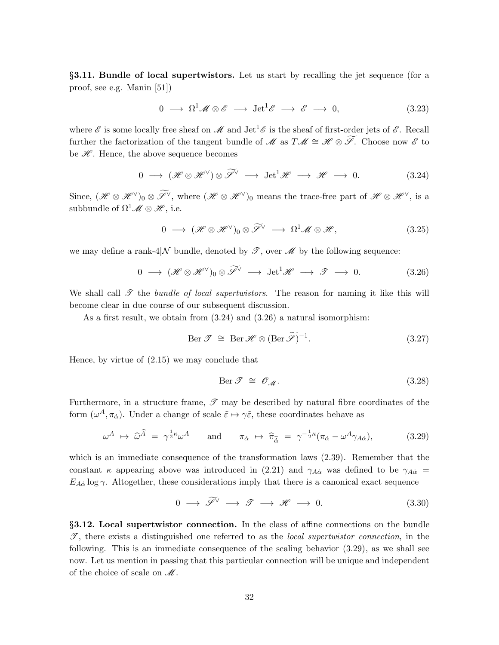§3.11. Bundle of local supertwistors. Let us start by recalling the jet sequence (for a proof, see e.g. Manin [51])

$$
0 \longrightarrow \Omega^1 \mathscr{M} \otimes \mathscr{E} \longrightarrow \text{Jet}^1 \mathscr{E} \longrightarrow \mathscr{E} \longrightarrow 0,
$$
 (3.23)

where  $\mathscr E$  is some locally free sheaf on  $\mathscr M$  and  $\mathrm{Jet}^1\mathscr E$  is the sheaf of first-order jets of  $\mathscr E$ . Recall further the factorization of the tangent bundle of M as  $T\mathscr{M} \cong \mathscr{H} \otimes \widetilde{\mathscr{S}}$ . Choose now  $\mathscr{E}$  to be  $\mathscr{H}$ . Hence, the above sequence becomes

$$
0 \longrightarrow (\mathcal{H} \otimes \mathcal{H}^{\vee}) \otimes \widetilde{\mathcal{I}}^{\vee} \longrightarrow \text{Jet}^{1}\mathcal{H} \longrightarrow \mathcal{H} \longrightarrow 0. \tag{3.24}
$$

Since,  $(\mathscr{H} \otimes \mathscr{H}^{\vee})_0 \otimes \widetilde{\mathscr{I}}^{\vee}$ , where  $(\mathscr{H} \otimes \mathscr{H}^{\vee})_0$  means the trace-free part of  $\mathscr{H} \otimes \mathscr{H}^{\vee}$ , is a subbundle of  $\Omega^1 \mathscr{M} \otimes \mathscr{H}$ , i.e.

$$
0 \longrightarrow (\mathscr{H} \otimes \mathscr{H}^{\vee})_0 \otimes \widetilde{\mathscr{S}}^{\vee} \longrightarrow \Omega^1 \mathscr{M} \otimes \mathscr{H}, \qquad (3.25)
$$

we may define a rank-4|N bundle, denoted by  $\mathscr{T}$ , over  $\mathscr{M}$  by the following sequence:

$$
0 \longrightarrow (\mathscr{H} \otimes \mathscr{H}^{\vee})_0 \otimes \widetilde{\mathscr{S}}^{\vee} \longrightarrow \text{Jet}^1\mathscr{H} \longrightarrow \mathscr{T} \longrightarrow 0. \tag{3.26}
$$

We shall call  $\mathscr T$  the bundle of local supertwistors. The reason for naming it like this will become clear in due course of our subsequent discussion.

As a first result, we obtain from (3.24) and (3.26) a natural isomorphism:

$$
\text{Ber } \mathcal{T} \cong \text{Ber } \mathcal{H} \otimes (\text{Ber } \widetilde{\mathcal{S}})^{-1}.
$$
\n(3.27)

Hence, by virtue of (2.15) we may conclude that

$$
\text{Ber } \mathcal{T} \cong \mathcal{O}_{\mathcal{M}}. \tag{3.28}
$$

Furthermore, in a structure frame,  $\mathscr T$  may be described by natural fibre coordinates of the form  $(\omega^A, \pi_{\alpha})$ . Under a change of scale  $\tilde{\varepsilon} \mapsto \gamma \tilde{\varepsilon}$ , these coordinates behave as

$$
\omega^A \mapsto \widehat{\omega}^{\widehat{A}} = \gamma^{\frac{1}{2}\kappa} \omega^A \quad \text{and} \quad \pi_{\dot{\alpha}} \mapsto \widehat{\pi}_{\widehat{\dot{\alpha}}} = \gamma^{-\frac{1}{2}\kappa} (\pi_{\dot{\alpha}} - \omega^A \gamma_{A\dot{\alpha}}), \tag{3.29}
$$

which is an immediate consequence of the transformation laws (2.39). Remember that the constant  $\kappa$  appearing above was introduced in (2.21) and  $\gamma_{A\dot{\alpha}}$  was defined to be  $\gamma_{A\dot{\alpha}} =$  $E_{A\dot{\alpha}}$  log  $\gamma$ . Altogether, these considerations imply that there is a canonical exact sequence

$$
0 \longrightarrow \widetilde{\mathscr{S}}^{\vee} \longrightarrow \mathscr{T} \longrightarrow \mathscr{H} \longrightarrow 0. \tag{3.30}
$$

§3.12. Local supertwistor connection. In the class of affine connections on the bundle  $\mathscr{T}$ , there exists a distinguished one referred to as the *local supertwistor connection*, in the following. This is an immediate consequence of the scaling behavior (3.29), as we shall see now. Let us mention in passing that this particular connection will be unique and independent of the choice of scale on  $\mathcal M$ .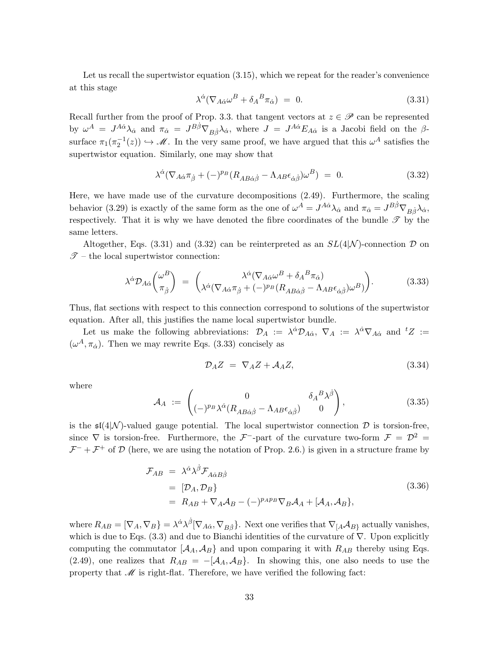Let us recall the supertwistor equation  $(3.15)$ , which we repeat for the reader's convenience at this stage

$$
\lambda^{\dot{\alpha}}(\nabla_{A\dot{\alpha}}\omega^B + \delta_A{}^B\pi_{\dot{\alpha}}) = 0. \tag{3.31}
$$

Recall further from the proof of Prop. 3.3. that tangent vectors at  $z \in \mathscr{P}$  can be represented by  $\omega^A = J^{A\dot{\alpha}}\lambda_{\dot{\alpha}}$  and  $\pi_{\dot{\alpha}} = J^{B\dot{\beta}}\nabla_{B\dot{\beta}}\lambda_{\dot{\alpha}}$ , where  $J = J^{A\dot{\alpha}}E_{A\dot{\alpha}}$  is a Jacobi field on the  $\beta$ surface  $\pi_1(\pi_2^{-1}(z)) \hookrightarrow \mathscr{M}$ . In the very same proof, we have argued that this  $\omega^A$  satisfies the supertwistor equation. Similarly, one may show that

$$
\lambda^{\dot{\alpha}} (\nabla_{A\dot{\alpha}} \pi_{\dot{\beta}} + (-)^{p_B} (R_{AB\dot{\alpha}\dot{\beta}} - \Lambda_{AB} \epsilon_{\dot{\alpha}\dot{\beta}}) \omega^B) = 0. \tag{3.32}
$$

Here, we have made use of the curvature decompositions (2.49). Furthermore, the scaling behavior (3.29) is exactly of the same form as the one of  $\omega^A = J^{A\dot{\alpha}}\lambda_{\dot{\alpha}}$  and  $\pi_{\dot{\alpha}} = J^{B\dot{\beta}}\nabla_{B\dot{\beta}}\lambda_{\dot{\alpha}},$ respectively. That it is why we have denoted the fibre coordinates of the bundle  $\mathscr T$  by the same letters.

Altogether, Eqs. (3.31) and (3.32) can be reinterpreted as an  $SL(4,N)$ -connection  $\mathcal D$  on  $\mathscr{T}$  – the local supertwistor connection:

$$
\lambda^{\dot{\alpha}} \mathcal{D}_{A\dot{\alpha}} \begin{pmatrix} \omega^B \\ \pi_{\dot{\beta}} \end{pmatrix} = \begin{pmatrix} \lambda^{\dot{\alpha}} (\nabla_{A\dot{\alpha}} \omega^B + \delta_A B_{\pi_{\dot{\alpha}}}) \\ \lambda^{\dot{\alpha}} (\nabla_{A\dot{\alpha}} \pi_{\dot{\beta}} + (-)^{p_B} (R_{AB\dot{\alpha}\dot{\beta}} - \Lambda_{AB} \epsilon_{\dot{\alpha}\dot{\beta}}) \omega^B) \end{pmatrix} . \tag{3.33}
$$

Thus, flat sections with respect to this connection correspond to solutions of the supertwistor equation. After all, this justifies the name local supertwistor bundle.

Let us make the following abbreviations:  $\mathcal{D}_A := \lambda^{\dot{\alpha}} \mathcal{D}_{A\dot{\alpha}}, \ \nabla_A := \lambda^{\dot{\alpha}} \nabla_{A\dot{\alpha}}$  and  ${}^tZ :=$  $(\omega^A, \pi_{\alpha})$ . Then we may rewrite Eqs. (3.33) concisely as

$$
\mathcal{D}_A Z = \nabla_A Z + \mathcal{A}_A Z,\tag{3.34}
$$

where

$$
\mathcal{A}_A := \begin{pmatrix} 0 & \delta_A{}^B \lambda^{\dot{\beta}} \\ (-)^{p_B} \lambda^{\dot{\alpha}} (R_{AB\dot{\alpha}\dot{\beta}} - \Lambda_{AB}\epsilon_{\dot{\alpha}\dot{\beta}}) & 0 \end{pmatrix}, \tag{3.35}
$$

is the  $\mathfrak{sl}(4|\mathcal{N})$ -valued gauge potential. The local supertwistor connection  $\mathcal D$  is torsion-free, since  $\nabla$  is torsion-free. Furthermore, the  $\mathcal{F}^-$ -part of the curvature two-form  $\mathcal{F} = \mathcal{D}^2 =$  $\mathcal{F}^- + \mathcal{F}^+$  of  $\mathcal D$  (here, we are using the notation of Prop. 2.6.) is given in a structure frame by

$$
\mathcal{F}_{AB} = \lambda^{\dot{\alpha}} \lambda^{\dot{\beta}} \mathcal{F}_{A\dot{\alpha}B\dot{\beta}}
$$
\n
$$
= [\mathcal{D}_A, \mathcal{D}_B]
$$
\n
$$
= R_{AB} + \nabla_A \mathcal{A}_B - (-)^{p_A p_B} \nabla_B \mathcal{A}_A + [\mathcal{A}_A, \mathcal{A}_B],
$$
\n(3.36)

where  $R_{AB} = [\nabla_A, \nabla_B] = \lambda^{\dot{\alpha}} \lambda^{\dot{\beta}} [\nabla_{A\dot{\alpha}}, \nabla_{B\dot{\beta}}]$ . Next one verifies that  $\nabla_A A_{B}$  actually vanishes, which is due to Eqs. (3.3) and due to Bianchi identities of the curvature of  $\nabla$ . Upon explicitly computing the commutator  $\{A_A, A_B\}$  and upon comparing it with  $R_{AB}$  thereby using Eqs. (2.49), one realizes that  $R_{AB} = -[A_A, A_B]$ . In showing this, one also needs to use the property that  $\mathcal M$  is right-flat. Therefore, we have verified the following fact: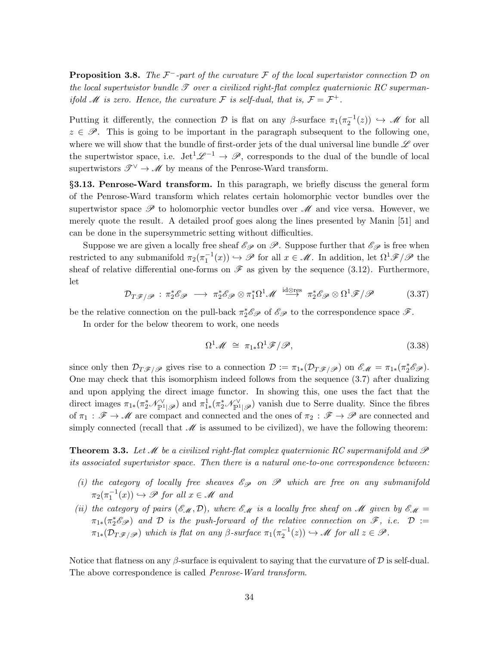**Proposition 3.8.** The  $\mathcal{F}$ -part of the curvature  $\mathcal{F}$  of the local supertwistor connection  $\mathcal{D}$  on the local supertwistor bundle  $\mathscr T$  over a civilized right-flat complex quaternionic RC supermanif old  $\mathcal M$  is zero. Hence, the curvature  $\mathcal F$  is self-dual, that is,  $\mathcal F = \mathcal F^+$ .

Putting it differently, the connection D is flat on any  $\beta$ -surface  $\pi_1(\pi_2^{-1}(z)) \hookrightarrow \mathscr{M}$  for all  $z \in \mathscr{P}$ . This is going to be important in the paragraph subsequent to the following one, where we will show that the bundle of first-order jets of the dual universal line bundle  $\mathscr L$  over the supertwistor space, i.e.  $\mathrm{Jet}^1\mathscr{L}^{-1}\to\mathscr{P}$ , corresponds to the dual of the bundle of local supertwistors  $\mathscr{T}^{\vee} \to \mathscr{M}$  by means of the Penrose-Ward transform.

§3.13. Penrose-Ward transform. In this paragraph, we briefly discuss the general form of the Penrose-Ward transform which relates certain holomorphic vector bundles over the supertwistor space  $\mathscr P$  to holomorphic vector bundles over  $\mathscr M$  and vice versa. However, we merely quote the result. A detailed proof goes along the lines presented by Manin [51] and can be done in the supersymmetric setting without difficulties.

Suppose we are given a locally free sheaf  $\mathscr{E}_{\mathscr{P}}$  on  $\mathscr{P}$ . Suppose further that  $\mathscr{E}_{\mathscr{P}}$  is free when restricted to any submanifold  $\pi_2(\pi_1^{-1}(x)) \hookrightarrow \mathscr{P}$  for all  $x \in \mathscr{M}$ . In addition, let  $\Omega^1 \mathscr{F} / \mathscr{P}$  the sheaf of relative differential one-forms on  $\mathscr F$  as given by the sequence (3.12). Furthermore, let

$$
\mathcal{D}_{T\mathscr{F}/\mathscr{P}} : \pi_2^* \mathscr{E}_{\mathscr{P}} \longrightarrow \pi_2^* \mathscr{E}_{\mathscr{P}} \otimes \pi_1^* \Omega^1 \mathscr{M} \xrightarrow{\mathrm{id} \otimes \mathrm{res}} \pi_2^* \mathscr{E}_{\mathscr{P}} \otimes \Omega^1 \mathscr{F}/\mathscr{P} \tag{3.37}
$$

be the relative connection on the pull-back  $\pi_2^* \mathscr{E}_{\mathscr{P}}$  of  $\mathscr{E}_{\mathscr{P}}$  to the correspondence space  $\mathscr{F}$ .

In order for the below theorem to work, one needs

$$
\Omega^1 \mathscr{M} \cong \pi_{1*} \Omega^1 \mathscr{F} / \mathscr{P}, \tag{3.38}
$$

since only then  $\mathcal{D}_{T\mathscr{F}/\mathscr{P}}$  gives rise to a connection  $\mathcal{D} := \pi_{1*}(\mathcal{D}_{T\mathscr{F}/\mathscr{P}})$  on  $\mathscr{E}_{\mathscr{M}} = \pi_{1*}(\pi_2^*\mathscr{E}_{\mathscr{P}})$ . One may check that this isomorphism indeed follows from the sequence (3.7) after dualizing and upon applying the direct image functor. In showing this, one uses the fact that the direct images  $\pi_{1*}(\pi_2^*\mathscr{N}_{\mathbb{P}^1|\mathscr{P}}^{\vee})$  and  $\pi_{1*}^1(\pi_2^*\mathscr{N}_{\mathbb{P}^1|\mathscr{P}}^{\vee})$  vanish due to Serre duality. Since the fibres of  $\pi_1 : \mathscr{F} \to \mathscr{M}$  are compact and connected and the ones of  $\pi_2 : \mathscr{F} \to \mathscr{P}$  are connected and simply connected (recall that  $\mathcal M$  is assumed to be civilized), we have the following theorem:

**Theorem 3.3.** Let M be a civilized right-flat complex quaternionic RC supermanifold and  $\mathcal{P}$ its associated supertwistor space. Then there is a natural one-to-one correspondence between:

- (i) the category of locally free sheaves  $\mathscr{E}_{\mathscr{P}}$  on  $\mathscr{P}$  which are free on any submanifold  $\pi_2(\pi_1^{-1}(x)) \hookrightarrow \mathscr{P}$  for all  $x \in \mathscr{M}$  and
- (ii) the category of pairs  $(\mathscr{E}_{\mathscr{M}},\mathcal{D})$ , where  $\mathscr{E}_{\mathscr{M}}$  is a locally free sheaf on M given by  $\mathscr{E}_{\mathscr{M}}=$  $\pi_{1*}(\pi_2^*\mathscr{E}_{\mathscr{P}})$  and D is the push-forward of the relative connection on  $\mathscr{F}$ , i.e.  $\mathcal{D} :=$  $\pi_{1*}(\mathcal{D}_{T\mathscr{F}/\mathscr{P}})$  which is flat on any  $\beta$ -surface  $\pi_1(\pi_2^{-1}(z)) \hookrightarrow \mathscr{M}$  for all  $z \in \mathscr{P}$ .

Notice that flatness on any β-surface is equivalent to saying that the curvature of  $\mathcal D$  is self-dual. The above correspondence is called Penrose-Ward transform.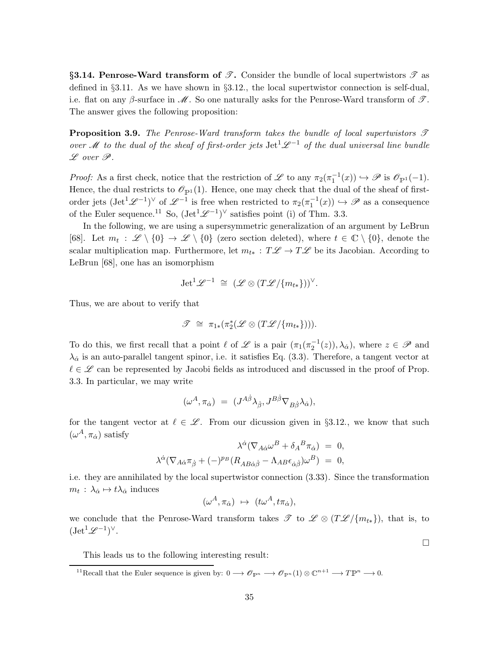§3.14. Penrose-Ward transform of  $\mathscr{T}$ . Consider the bundle of local supertwistors  $\mathscr{T}$  as defined in  $\S 3.11$ . As we have shown in  $\S 3.12$ , the local supertwistor connection is self-dual, i.e. flat on any β-surface in  $\mathcal{M}$ . So one naturally asks for the Penrose-Ward transform of  $\mathcal{T}$ . The answer gives the following proposition:

**Proposition 3.9.** The Penrose-Ward transform takes the bundle of local supertwistors  $\mathcal{T}$ over M to the dual of the sheaf of first-order jets Jet<sup>1</sup> $\mathscr{L}^{-1}$  of the dual universal line bundle  $L$  over  $\mathscr{P}$ .

Proof: As a first check, notice that the restriction of L to any  $\pi_2(\pi_1^{-1}(x)) \hookrightarrow \mathscr{P}$  is  $\mathscr{O}_{\mathbb{P}^1}(-1)$ . Hence, the dual restricts to  $\mathcal{O}_{\mathbb{P}^1}(1)$ . Hence, one may check that the dual of the sheaf of firstorder jets  $(\text{Jet}^1\mathscr{L}^{-1})^{\vee}$  of  $\mathscr{L}^{-1}$  is free when restricted to  $\pi_2(\pi_1^{-1}(x)) \hookrightarrow \mathscr{P}$  as a consequence of the Euler sequence.<sup>11</sup> So,  $(\text{Jet}^1\mathscr{L}^{-1})^{\vee}$  satisfies point (i) of Thm. 3.3.

In the following, we are using a supersymmetric generalization of an argument by LeBrun [68]. Let  $m_t : \mathscr{L} \setminus \{0\} \to \mathscr{L} \setminus \{0\}$  (zero section deleted), where  $t \in \mathbb{C} \setminus \{0\}$ , denote the scalar multiplication map. Furthermore, let  $m_{t*} : T\mathscr{L} \to T\mathscr{L}$  be its Jacobian. According to LeBrun [68], one has an isomorphism

$$
\mathrm{Jet}^1\mathscr{L}^{-1} \cong (\mathscr{L} \otimes (T\mathscr{L}/\{m_{t*}\}))^{\vee}.
$$

Thus, we are about to verify that

$$
\mathscr{T} \cong \pi_{1*}(\pi_2^*(\mathscr{L} \otimes (T\mathscr{L}/\{m_{t*}\}))).
$$

To do this, we first recall that a point  $\ell$  of  $\mathscr L$  is a pair  $(\pi_1(\pi_2^{-1}(z)), \lambda_{\alpha})$ , where  $z \in \mathscr P$  and  $\lambda_{\dot{\alpha}}$  is an auto-parallel tangent spinor, i.e. it satisfies Eq. (3.3). Therefore, a tangent vector at  $\ell \in \mathscr{L}$  can be represented by Jacobi fields as introduced and discussed in the proof of Prop. 3.3. In particular, we may write

$$
(\omega^A,\pi_{\dot\alpha})\ =\ (J^{A\dot\beta}\lambda_{\dot\beta},J^{B\dot\beta}\nabla_{B\dot\beta}\lambda_{\dot\alpha}),
$$

for the tangent vector at  $\ell \in \mathscr{L}$ . From our dicussion given in §3.12., we know that such  $(\omega^A, \pi_{\dot{\alpha}})$  satisfy

$$
\lambda^{\dot{\alpha}}(\nabla_{A\dot{\alpha}}\omega^B + \delta_A{}^B \pi_{\dot{\alpha}}) = 0,
$$
  

$$
\lambda^{\dot{\alpha}}(\nabla_{A\dot{\alpha}}\pi_{\dot{\beta}} + (-)^{p_B}(R_{AB\dot{\alpha}\dot{\beta}} - \Lambda_{AB}\epsilon_{\dot{\alpha}\dot{\beta}})\omega^B) = 0,
$$

i.e. they are annihilated by the local supertwistor connection (3.33). Since the transformation  $m_t$ :  $\lambda_{\dot{\alpha}} \mapsto t\lambda_{\dot{\alpha}}$  induces

$$
(\omega^A, \pi_{\dot{\alpha}}) \ \mapsto \ (t\omega^A, t\pi_{\dot{\alpha}}),
$$

we conclude that the Penrose-Ward transform takes  $\mathscr{T}$  to  $\mathscr{L} \otimes (T\mathscr{L}/\{m_{t*}\})$ , that is, to  $(\mathrm{Jet}^1\mathscr{L}^{-1})^{\vee}.$ 

This leads us to the following interesting result:

 $\Box$ 

<sup>&</sup>lt;sup>11</sup>Recall that the Euler sequence is given by:  $0 \longrightarrow \mathscr{O}_{\mathbb{P}^n} \longrightarrow \mathscr{O}_{\mathbb{P}^n}(1) \otimes \mathbb{C}^{n+1} \longrightarrow \mathbb{TP}^n \longrightarrow 0.$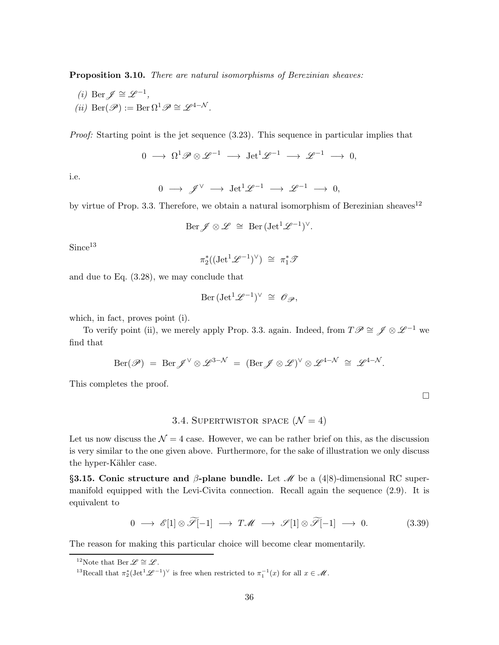Proposition 3.10. There are natural isomorphisms of Berezinian sheaves:

(*i*) Ber  $\mathscr{J} \cong \mathscr{L}^{-1}$ , (ii) Ber $(\mathscr{P}) := \text{Ber}\,\Omega^1\mathscr{P} \cong \mathscr{L}^{4-\mathcal{N}}$ .

Proof: Starting point is the jet sequence  $(3.23)$ . This sequence in particular implies that

$$
0\ \longrightarrow\ \Omega^1\mathscr{P}\otimes\mathscr{L}^{-1}\ \longrightarrow\ \mathrm{Jet}^1\mathscr{L}^{-1}\ \longrightarrow\ \mathscr{L}^{-1}\ \longrightarrow\ 0,
$$

i.e.

$$
0 \ \longrightarrow \ \mathscr{J}^{\vee} \ \longrightarrow \ \mathrm{Jet}^1\mathscr{L}^{-1} \ \longrightarrow \ \mathscr{L}^{-1} \ \longrightarrow \ 0,
$$

by virtue of Prop. 3.3. Therefore, we obtain a natural isomorphism of Berezinian sheaves<sup>12</sup>

$$
\operatorname{Ber} \mathscr{J} \otimes \mathscr{L} \,\,\cong\,\, \operatorname{Ber} (\operatorname{Jet}^1 \mathscr{L}^{-1})^\vee.
$$

 $Since<sup>13</sup>$ 

$$
\pi_2^*((\mathrm{Jet}^1\mathscr{L}^{-1})^\vee) \;\cong\; \pi_1^*\mathscr{T}
$$

and due to Eq. (3.28), we may conclude that

$$
\mathrm{Ber} (\mathrm{Jet}^1 \mathscr{L}^{-1})^\vee \; \cong \; \mathscr{O}_{\mathscr{P}},
$$

which, in fact, proves point (i).

To verify point (ii), we merely apply Prop. 3.3. again. Indeed, from  $T\mathscr{P}\cong \mathscr{J}\otimes \mathscr{L}^{-1}$  we find that

$$
\mathrm{Ber}(\mathscr{P}) = \mathrm{Ber} \mathscr{J}^{\vee} \otimes \mathscr{L}^{3-\mathcal{N}} = (\mathrm{Ber} \mathscr{J} \otimes \mathscr{L})^{\vee} \otimes \mathscr{L}^{4-\mathcal{N}} \cong \mathscr{L}^{4-\mathcal{N}}.
$$

This completes the proof.

# 3.4. SUPERTWISTOR SPACE  $(\mathcal{N} = 4)$

Let us now discuss the  $\mathcal{N} = 4$  case. However, we can be rather brief on this, as the discussion is very similar to the one given above. Furthermore, for the sake of illustration we only discuss the hyper-Kähler case.

§3.15. Conic structure and β-plane bundle. Let  $\mathcal{M}$  be a (4|8)-dimensional RC supermanifold equipped with the Levi-Civita connection. Recall again the sequence (2.9). It is equivalent to

$$
0 \longrightarrow \mathscr{E}[1] \otimes \mathscr{F}[-1] \longrightarrow T\mathscr{M} \longrightarrow \mathscr{S}[1] \otimes \mathscr{F}[-1] \longrightarrow 0. \tag{3.39}
$$

The reason for making this particular choice will become clear momentarily.

 $\Box$ 

<sup>&</sup>lt;sup>12</sup>Note that Ber  $\mathscr{L} \cong \mathscr{L}$ .

<sup>&</sup>lt;sup>13</sup>Recall that  $\pi_2^*(\mathrm{Jet}^1\mathscr{L}^{-1})^\vee$  is free when restricted to  $\pi_1^{-1}(x)$  for all  $x \in \mathscr{M}$ .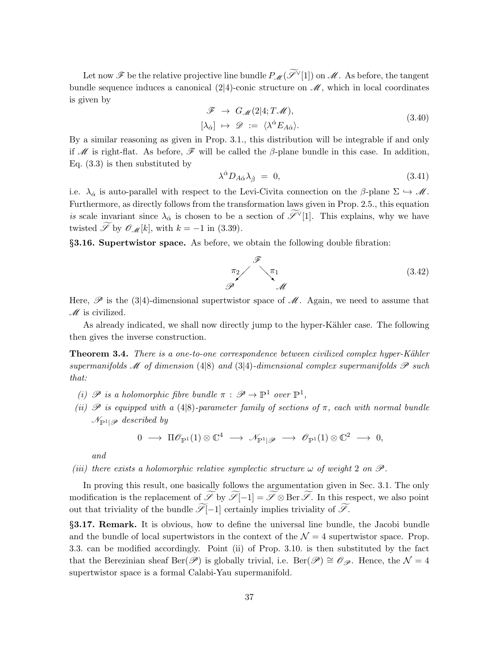Let now  $\mathscr F$  be the relative projective line bundle  $P_{\mathscr M}(\widetilde{\mathscr L}^{\vee}[1])$  on  $\mathscr M$ . As before, the tangent bundle sequence induces a canonical  $(2|4)$ -conic structure on  $\mathcal{M}$ , which in local coordinates is given by

$$
\mathcal{F} \to G_{\mathcal{M}}(2|4; T\mathcal{M}), [\lambda_{\dot{\alpha}}] \mapsto \mathcal{D} := \langle \lambda^{\dot{\alpha}} E_{A\dot{\alpha}} \rangle.
$$
 (3.40)

By a similar reasoning as given in Prop. 3.1., this distribution will be integrable if and only if M is right-flat. As before,  $\mathscr F$  will be called the  $\beta$ -plane bundle in this case. In addition, Eq. (3.3) is then substituted by

$$
\lambda^{\dot{\alpha}} D_{A\dot{\alpha}} \lambda_{\dot{\beta}} = 0, \tag{3.41}
$$

i.e.  $\lambda_{\alpha}$  is auto-parallel with respect to the Levi-Civita connection on the  $\beta$ -plane  $\Sigma \hookrightarrow M$ . Furthermore, as directly follows from the transformation laws given in Prop. 2.5., this equation is scale invariant since  $\lambda_{\dot{\alpha}}$  is chosen to be a section of  $\mathscr{I}^{\vee}[1]$ . This explains, why we have twisted  $\widetilde{\mathscr{S}}$  by  $\mathscr{O}_{\mathscr{M}}[k]$ , with  $k = -1$  in (3.39).

§3.16. Supertwistor space. As before, we obtain the following double fibration:



Here,  $\mathscr P$  is the (3|4)-dimensional supertwistor space of  $\mathscr M$ . Again, we need to assume that  $M$  is civilized.

As already indicated, we shall now directly jump to the hyper-Kähler case. The following then gives the inverse construction.

Theorem 3.4. There is a one-to-one correspondence between civilized complex hyper-Kähler supermanifolds  $\mathscr M$  of dimension (4|8) and (3|4)-dimensional complex supermanifolds  $\mathscr P$  such that:

- (i)  $\mathscr P$  is a holomorphic fibre bundle  $\pi : \mathscr P \to \mathbb P^1$  over  $\mathbb P^1$ ,
- (ii)  $\mathscr P$  is equipped with a (4|8)-parameter family of sections of  $\pi$ , each with normal bundle  $\mathcal{N}_{\mathbb{P}^1|\mathscr{P}}$  described by

$$
0\;\longrightarrow\;\Pi\mathscr{O}_{\mathbb{P}^1}(1)\otimes\mathbb{C}^4\;\longrightarrow\;\mathscr{N}_{\mathbb{P}^1|\mathscr{P}}\;\longrightarrow\;\mathscr{O}_{\mathbb{P}^1}(1)\otimes\mathbb{C}^2\;\longrightarrow\;0,
$$

and

(iii) there exists a holomorphic relative symplectic structure  $\omega$  of weight 2 on  $\mathscr{P}$ .

In proving this result, one basically follows the argumentation given in Sec. 3.1. The only modification is the replacement of  $\widetilde{\mathscr{S}}$  by  $\widetilde{\mathscr{S}}[-1] = \widetilde{\mathscr{S}} \otimes \operatorname{Ber} \widetilde{\mathscr{S}}$ . In this respect, we also point out that triviality of the bundle  $\widetilde{\mathscr{S}}[-1]$  certainly implies triviality of  $\widetilde{\mathscr{S}}$ .

§3.17. Remark. It is obvious, how to define the universal line bundle, the Jacobi bundle and the bundle of local supertwistors in the context of the  $\mathcal{N}=4$  supertwistor space. Prop. 3.3. can be modified accordingly. Point (ii) of Prop. 3.10. is then substituted by the fact that the Berezinian sheaf Ber( $\mathscr{P}$ ) is globally trivial, i.e. Ber( $\mathscr{P}$ ) ≅  $\mathscr{O}_{\mathscr{P}}$ . Hence, the  $\mathcal{N}=4$ supertwistor space is a formal Calabi-Yau supermanifold.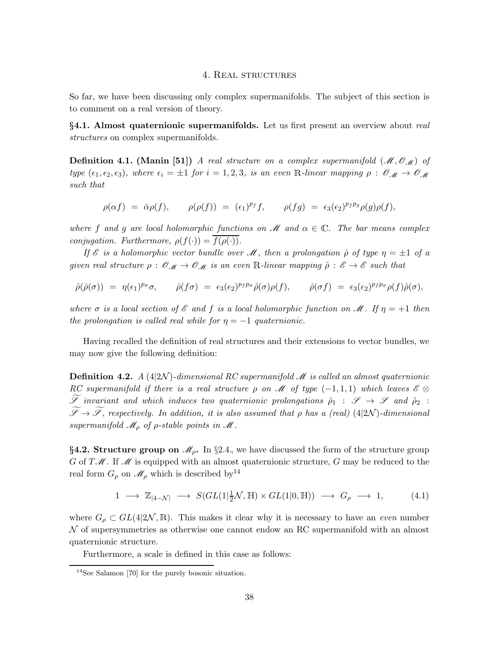### 4. Real structures

So far, we have been discussing only complex supermanifolds. The subject of this section is to comment on a real version of theory.

§4.1. Almost quaternionic supermanifolds. Let us first present an overview about real structures on complex supermanifolds.

**Definition 4.1.** (Manin [51]) A real structure on a complex supermanifold  $(M, \mathcal{O}_M)$  of type  $(\epsilon_1, \epsilon_2, \epsilon_3)$ , where  $\epsilon_i = \pm 1$  for  $i = 1, 2, 3$ , is an even R-linear mapping  $\rho : \mathcal{O}_{\mathcal{M}} \to \mathcal{O}_{\mathcal{M}}$ such that

$$
\rho(\alpha f) = \overline{\alpha}\rho(f), \qquad \rho(\rho(f)) = (\epsilon_1)^{p_f}f, \qquad \rho(fg) = \epsilon_3(\epsilon_2)^{p_f p_g} \rho(g)\rho(f),
$$

where f and g are local holomorphic functions on  $\mathcal M$  and  $\alpha \in \mathbb{C}$ . The bar means complex conjugation. Furthermore,  $\rho(f(\cdot)) = f(\rho(\cdot)).$ 

If  $\mathscr E$  is a holomorphic vector bundle over  $\mathscr M$ , then a prolongation  $\hat \rho$  of type  $\eta = \pm 1$  of a given real structure  $\rho: \mathscr{O}_\mathscr{M} \to \mathscr{O}_\mathscr{M}$  is an even R-linear mapping  $\hat{\rho}: \mathscr{E} \to \mathscr{E}$  such that

$$
\hat{\rho}(\hat{\rho}(\sigma)) = \eta(\epsilon_1)^{p_{\sigma}} \sigma, \qquad \hat{\rho}(f \sigma) = \epsilon_3(\epsilon_2)^{p_f p_{\sigma}} \hat{\rho}(\sigma) \rho(f), \qquad \hat{\rho}(\sigma f) = \epsilon_3(\epsilon_2)^{p_f p_{\sigma}} \rho(f) \hat{\rho}(\sigma),
$$

where  $\sigma$  is a local section of  $\mathscr E$  and f is a local holomorphic function on  $\mathscr M$ . If  $\eta = +1$  then the prolongation is called real while for  $\eta = -1$  quaternionic.

Having recalled the definition of real structures and their extensions to vector bundles, we may now give the following definition:

**Definition 4.2.** A (4|2N)-dimensional RC supermanifold M is called an almost quaternionic RC supermanifold if there is a real structure  $\rho$  on M of type  $(-1,1,1)$  which leaves  $\mathscr{E} \otimes$  $\widetilde{\mathscr{S}}$  invariant and which induces two quaternionic prolongations  $\hat{\rho}_1 : \mathscr{S} \to \mathscr{S}$  and  $\hat{\rho}_2$ :  $\widetilde{\mathscr{S}}\to\widetilde{\mathscr{S}},$  respectively. In addition, it is also assumed that  $\rho$  has a (real) (4|2N)-dimensional supermanifold  $\mathcal{M}_{\rho}$  of  $\rho$ -stable points in  $\mathcal{M}$ .

§4.2. Structure group on  $\mathcal{M}_{\rho}$ . In §2.4, we have discussed the form of the structure group G of  $T\mathscr{M}$ . If  $\mathscr{M}$  is equipped with an almost quaternionic structure, G may be reduced to the real form  $G_{\rho}$  on  $\mathcal{M}_{\rho}$  which is described by <sup>14</sup>

$$
1 \longrightarrow \mathbb{Z}_{|4-\mathcal{N}|} \longrightarrow S(GL(1|\frac{1}{2}\mathcal{N}, \mathbb{H}) \times GL(1|0, \mathbb{H})) \longrightarrow G_{\rho} \longrightarrow 1,
$$
 (4.1)

where  $G_{\rho} \subset GL(4|2\mathcal{N}, \mathbb{R})$ . This makes it clear why it is necessary to have an *even* number N of supersymmetries as otherwise one cannot endow an RC supermanifold with an almost quaternionic structure.

Furthermore, a scale is defined in this case as follows:

<sup>14</sup>See Salamon [70] for the purely bosonic situation.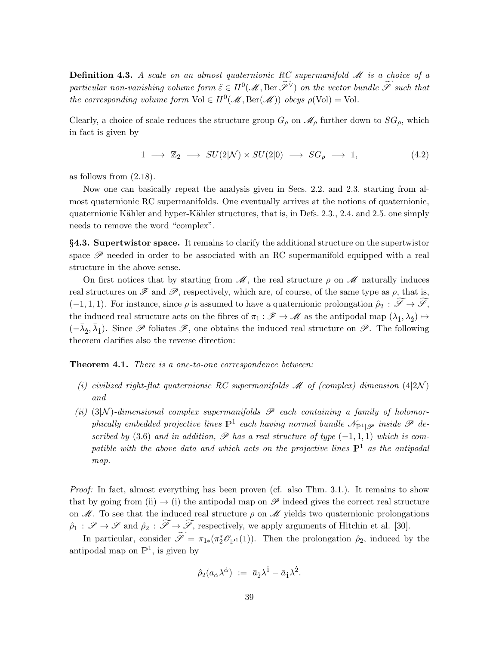**Definition 4.3.** A scale on an almost quaternionic RC supermanifold  $\mathcal{M}$  is a choice of a particular non-vanishing volume form  $\tilde{\varepsilon} \in H^0(\mathcal{M}, \text{Ber } \tilde{\mathscr{S}}^{\vee})$  on the vector bundle  $\tilde{\mathscr{S}}$  such that the corresponding volume form  $Vol \in H^0(\mathcal{M}, \text{Ber}(\mathcal{M}))$  obeys  $\rho(\text{Vol}) = \text{Vol}.$ 

Clearly, a choice of scale reduces the structure group  $G_{\rho}$  on  $\mathcal{M}_{\rho}$  further down to  $SG_{\rho}$ , which in fact is given by

$$
1 \longrightarrow \mathbb{Z}_2 \longrightarrow SU(2|\mathcal{N}) \times SU(2|0) \longrightarrow SG_{\rho} \longrightarrow 1,
$$
\n
$$
(4.2)
$$

as follows from (2.18).

Now one can basically repeat the analysis given in Secs. 2.2. and 2.3. starting from almost quaternionic RC supermanifolds. One eventually arrives at the notions of quaternionic, quaternionic Kähler and hyper-Kähler structures, that is, in Defs. 2.3., 2.4. and 2.5. one simply needs to remove the word "complex".

§4.3. Supertwistor space. It remains to clarify the additional structure on the supertwistor space  $\mathscr P$  needed in order to be associated with an RC supermanifold equipped with a real structure in the above sense.

On first notices that by starting from  $\mathcal{M}$ , the real structure  $\rho$  on  $\mathcal{M}$  naturally induces real structures on  $\mathscr F$  and  $\mathscr P$ , respectively, which are, of course, of the same type as  $\rho$ , that is,  $(-1, 1, 1)$ . For instance, since  $\rho$  is assumed to have a quaternionic prolongation  $\hat{\rho}_2 : \mathscr{S} \to \mathscr{S}$ , the induced real structure acts on the fibres of  $\pi_1 : \mathscr{F} \to \mathscr{M}$  as the antipodal map  $(\lambda_1, \lambda_2) \mapsto$  $(-\bar{\lambda}_2, \bar{\lambda}_1)$ . Since  $\mathscr P$  foliates  $\mathscr F$ , one obtains the induced real structure on  $\mathscr P$ . The following theorem clarifies also the reverse direction:

**Theorem 4.1.** There is a one-to-one correspondence between:

- (i) civilized right-flat quaternionic RC supermanifolds  $\mathcal M$  of (complex) dimension (4|2N) and
- (ii) (3|N)-dimensional complex supermanifolds  $\mathscr P$  each containing a family of holomorphically embedded projective lines  $\mathbb{P}^1$  each having normal bundle  $\mathscr{N}_{\mathbb{P}^1|\mathscr{P}}$  inside  $\mathscr{P}$  described by (3.6) and in addition,  $\mathscr P$  has a real structure of type (-1,1,1) which is compatible with the above data and which acts on the projective lines  $\mathbb{P}^1$  as the antipodal map.

Proof: In fact, almost everything has been proven (cf. also Thm. 3.1.). It remains to show that by going from (ii)  $\rightarrow$  (i) the antipodal map on  $\mathscr P$  indeed gives the correct real structure on  $\mathcal M$ . To see that the induced real structure  $\rho$  on  $\mathcal M$  yields two quaternionic prolongations  $\hat{\rho}_1$ :  $\mathscr{S} \to \mathscr{S}$  and  $\hat{\rho}_2$ :  $\widetilde{\mathscr{S}} \to \widetilde{\mathscr{S}}$ , respectively, we apply arguments of Hitchin et al. [30].

In particular, consider  $\mathscr{I} = \pi_{1*}(\pi_2^*\mathscr{O}_{\mathbb{P}^1}(1))$ . Then the prolongation  $\hat{\rho}_2$ , induced by the antipodal map on  $\mathbb{P}^1$ , is given by

$$
\hat{\rho}_2(a_{\dot{\alpha}}\lambda^{\dot{\alpha}}) := \bar{a}_{\dot{2}}\lambda^{\dot{1}} - \bar{a}_{\dot{1}}\lambda^{\dot{2}}.
$$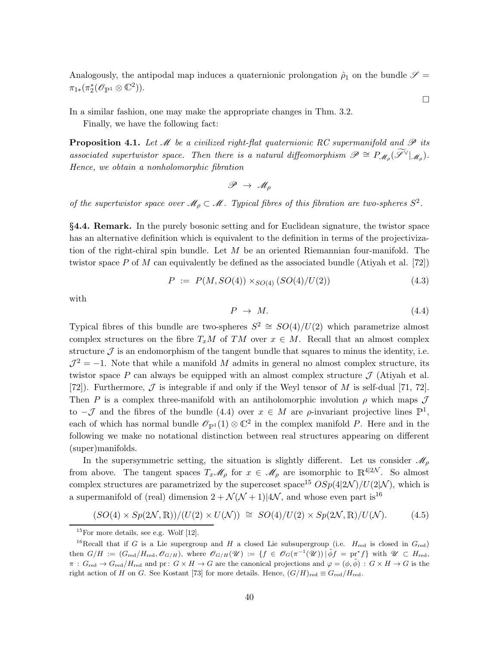Analogously, the antipodal map induces a quaternionic prolongation  $\hat{\rho}_1$  on the bundle  $\mathscr{S}$  =  $\pi_{1*}(\pi_2^*(\mathscr{O}_{\mathbb{P}^1}\otimes \mathbb{C}^2)).$ 

In a similar fashion, one may make the appropriate changes in Thm. 3.2.

Finally, we have the following fact:

**Proposition 4.1.** Let  $\mathcal{M}$  be a civilized right-flat quaternionic RC supermanifold and  $\mathcal{P}$  its associated supertwistor space. Then there is a natural diffeomorphism  $\mathscr{P} \cong P_{\mathscr{M}_{\rho}}(\widetilde{\mathscr{I}}^{\vee}|_{\mathscr{M}_{\rho}})$ . Hence, we obtain a nonholomorphic fibration

$$
\mathscr{P}\ \to\ \mathscr{M}_{\rho}
$$

of the supertwistor space over  $\mathcal{M}_{\rho} \subset \mathcal{M}$ . Typical fibres of this fibration are two-spheres  $S^2$ .

§4.4. Remark. In the purely bosonic setting and for Euclidean signature, the twistor space has an alternative definition which is equivalent to the definition in terms of the projectivization of the right-chiral spin bundle. Let  $M$  be an oriented Riemannian four-manifold. The twistor space P of M can equivalently be defined as the associated bundle (Atiyah et al. [72])

$$
P := P(M, SO(4)) \times_{SO(4)} (SO(4)/U(2)) \tag{4.3}
$$

with

$$
P \rightarrow M. \tag{4.4}
$$

Typical fibres of this bundle are two-spheres  $S^2 \cong SO(4)/U(2)$  which parametrize almost complex structures on the fibre  $T_xM$  of TM over  $x \in M$ . Recall that an almost complex structure  $\mathcal J$  is an endomorphism of the tangent bundle that squares to minus the identity, i.e.  $\mathcal{J}^2 = -1$ . Note that while a manifold M admits in general no almost complex structure, its twistor space P can always be equipped with an almost complex structure  $\mathcal J$  (Atiyah et al. [72]). Furthermore,  $\mathcal J$  is integrable if and only if the Weyl tensor of M is self-dual [71, 72]. Then P is a complex three-manifold with an antiholomorphic involution  $\rho$  which maps  $\mathcal J$ to  $-\mathcal{J}$  and the fibres of the bundle (4.4) over  $x \in M$  are  $\rho$ -invariant projective lines  $\mathbb{P}^1$ , each of which has normal bundle  $\mathcal{O}_{\mathbb{P}^1}(1) \otimes \mathbb{C}^2$  in the complex manifold P. Here and in the following we make no notational distinction between real structures appearing on different (super)manifolds.

In the supersymmetric setting, the situation is slightly different. Let us consider  $\mathscr{M}_{\rho}$ from above. The tangent spaces  $T_x\mathscr{M}_\rho$  for  $x \in \mathscr{M}_\rho$  are isomorphic to  $\mathbb{R}^{4|2\mathcal{N}}$ . So almost complex structures are parametrized by the supercoset space<sup>15</sup>  $OSp(4|2\mathcal{N})/U(2|\mathcal{N})$ , which is a supermanifold of (real) dimension  $2 + \mathcal{N}(\mathcal{N} + 1)|4\mathcal{N}$ , and whose even part is<sup>16</sup>

$$
(SO(4) \times Sp(2\mathcal{N}, \mathbb{R})) / (U(2) \times U(\mathcal{N})) \cong SO(4) / U(2) \times Sp(2\mathcal{N}, \mathbb{R}) / U(\mathcal{N}). \tag{4.5}
$$

 $\Box$ 

 $15$ For more details, see e.g. Wolf [12].

<sup>&</sup>lt;sup>16</sup>Recall that if G is a Lie supergroup and H a closed Lie subsupergroup (i.e.  $H_{\text{red}}$  is closed in  $G_{\text{red}}$ ) then  $G/H := (G_{red}/H_{red}, \mathcal{O}_{G/H})$ , where  $\mathcal{O}_{G/H}(\mathcal{U}) := \{f \in \mathcal{O}_G(\pi^{-1}(\mathcal{U})) \mid \tilde{\phi}f = \text{pr}^*f\}$  with  $\mathcal{U} \subset H_{red}$ ,  $\pi: G_{\text{red}} \to G_{\text{red}}/H_{\text{red}}$  and  $\text{pr}: G \times H \to G$  are the canonical projections and  $\varphi = (\phi, \tilde{\phi}): G \times H \to G$  is the right action of H on G. See Kostant [73] for more details. Hence,  $(G/H)_{\text{red}} \equiv G_{\text{red}}/H_{\text{red}}$ .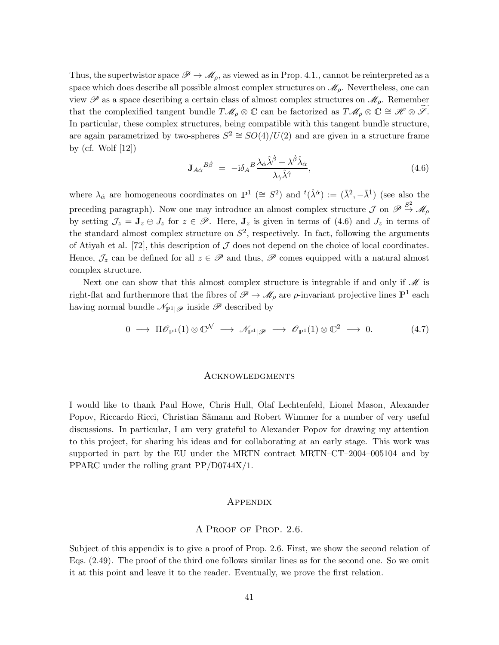Thus, the supertwistor space  $\mathscr{P} \to \mathscr{M}_{\rho}$ , as viewed as in Prop. 4.1., cannot be reinterpreted as a space which does describe all possible almost complex structures on  $\mathcal{M}_{\rho}$ . Nevertheless, one can view  $\mathscr P$  as a space describing a certain class of almost complex structures on  $\mathscr M_\rho$ . Remember that the complexified tangent bundle  $T\mathscr{M}_{\rho}\otimes\mathbb{C}$  can be factorized as  $T\mathscr{M}_{\rho}\otimes\mathbb{C}\cong\mathscr{H}\otimes\mathscr{S}$ . In particular, these complex structures, being compatible with this tangent bundle structure, are again parametrized by two-spheres  $S^2 \cong SO(4)/U(2)$  and are given in a structure frame by (cf. Wolf [12])

$$
\mathbf{J}_{A\dot{\alpha}}{}^{B\dot{\beta}} = -\mathrm{i}\delta_A{}^B \frac{\lambda_{\dot{\alpha}}\hat{\lambda}^{\dot{\beta}} + \lambda^{\dot{\beta}}\hat{\lambda}_{\dot{\alpha}}}{\lambda_{\dot{\gamma}}\hat{\lambda}^{\dot{\gamma}}},\tag{4.6}
$$

where  $\lambda_{\dot{\alpha}}$  are homogeneous coordinates on  $\mathbb{P}^1$  ( $\cong S^2$ ) and  ${}^t(\hat{\lambda}^{\dot{\alpha}}) := (\bar{\lambda}^2, -\bar{\lambda}^{\dot{1}})$  (see also the preceding paragraph). Now one may introduce an almost complex structure  $\mathcal J$  on  $\mathscr{P} \stackrel{S^2}{\to} \mathscr{M}_{\rho}$ by setting  $\mathcal{J}_z = \mathbf{J}_z \oplus \mathcal{J}_z$  for  $z \in \mathscr{P}$ . Here,  $\mathbf{J}_z$  is given in terms of (4.6) and  $\mathcal{J}_z$  in terms of the standard almost complex structure on  $S^2$ , respectively. In fact, following the arguments of Atiyah et al. [72], this description of  $\mathcal J$  does not depend on the choice of local coordinates. Hence,  $\mathcal{J}_z$  can be defined for all  $z \in \mathscr{P}$  and thus,  $\mathscr{P}$  comes equipped with a natural almost complex structure.

Next one can show that this almost complex structure is integrable if and only if  $\mathcal M$  is right-flat and furthermore that the fibres of  $\mathscr{P} \to \mathscr{M}_{\rho}$  are  $\rho$ -invariant projective lines  $\mathbb{P}^1$  each having normal bundle  $\mathcal{N}_{\mathbb{P}^1|\mathscr{P}}$  inside  $\mathscr P$  described by

$$
0 \longrightarrow \Pi \mathscr{O}_{\mathbb{P}^1}(1) \otimes \mathbb{C}^{\mathcal{N}} \longrightarrow \mathscr{N}_{\mathbb{P}^1|\mathscr{P}} \longrightarrow \mathscr{O}_{\mathbb{P}^1}(1) \otimes \mathbb{C}^2 \longrightarrow 0. \tag{4.7}
$$

### Acknowledgments

I would like to thank Paul Howe, Chris Hull, Olaf Lechtenfeld, Lionel Mason, Alexander Popov, Riccardo Ricci, Christian Sämann and Robert Wimmer for a number of very useful discussions. In particular, I am very grateful to Alexander Popov for drawing my attention to this project, for sharing his ideas and for collaborating at an early stage. This work was supported in part by the EU under the MRTN contract MRTN–CT–2004–005104 and by PPARC under the rolling grant PP/D0744X/1.

### Appendix

### A Proof of Prop. 2.6.

Subject of this appendix is to give a proof of Prop. 2.6. First, we show the second relation of Eqs. (2.49). The proof of the third one follows similar lines as for the second one. So we omit it at this point and leave it to the reader. Eventually, we prove the first relation.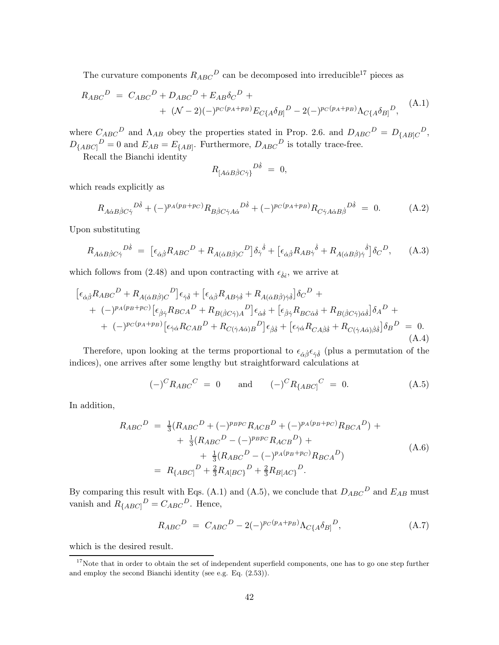The curvature components  $R_{ABC}{}^D$  can be decomposed into irreducible<sup>17</sup> pieces as

$$
R_{ABC}{}^D = C_{ABC}{}^D + D_{ABC}{}^D + E_{AB}\delta_C{}^D +
$$
  
+  $(\mathcal{N} - 2)(-)^{p_C(p_A + p_B)}E_{C{A}\delta_B]}{}^D - 2(-)^{p_C(p_A + p_B)}\Lambda_{C{A}\delta_B]}{}^D,$  (A.1)

where  $C_{ABC}{}^D$  and  $\Lambda_{AB}$  obey the properties stated in Prop. 2.6. and  $D_{ABC}{}^D = D_{[AB]C}{}^D$ ,  $D_{\{ABC\}}^D = 0$  and  $E_{AB} = E_{\{AB\}}$ . Furthermore,  $D_{ABC}^D$  is totally trace-free.

Recall the Bianchi identity

$$
R_{[A\dot{\alpha}B\dot{\beta}C\dot{\gamma}]}^{D\dot{\delta}} = 0,
$$

which reads explicitly as

$$
R_{A\dot{\alpha}B\dot{\beta}C\dot{\gamma}}{}^{D\dot{\delta}} + (-)^{p_A(p_B+p_C)}R_{B\dot{\beta}C\dot{\gamma}A\dot{\alpha}}{}^{D\dot{\delta}} + (-)^{p_C(p_A+p_B)}R_{C\dot{\gamma}A\dot{\alpha}B\dot{\beta}}{}^{D\dot{\delta}} = 0.
$$
 (A.2)

Upon substituting

$$
R_{A\dot{\alpha}B\dot{\beta}C\dot{\gamma}}{}^{D\dot{\delta}} = \left[\epsilon_{\dot{\alpha}\dot{\beta}}R_{ABC}{}^{D} + R_{A(\dot{\alpha}B\dot{\beta})C}{}^{D}\right]\delta_{\dot{\gamma}}{}^{\dot{\delta}} + \left[\epsilon_{\dot{\alpha}\dot{\beta}}R_{AB\dot{\gamma}}{}^{\dot{\delta}} + R_{A(\dot{\alpha}B\dot{\beta})\dot{\gamma}}{}^{\dot{\delta}}\right]\delta_{C}{}^{D},\tag{A.3}
$$

which follows from (2.48) and upon contracting with  $\epsilon_{\dot{\delta}\dot{\epsilon}}$ , we arrive at

$$
\begin{split}\n\left[\epsilon_{\dot{\alpha}\dot{\beta}}R_{ABC}{}^{D} + R_{A(\dot{\alpha}B\dot{\beta})C}{}^{D}\right]\epsilon_{\dot{\gamma}\dot{\delta}} + \left[\epsilon_{\dot{\alpha}\dot{\beta}}R_{AB\dot{\gamma}\dot{\delta}} + R_{A(\dot{\alpha}B\dot{\beta})\dot{\gamma}\dot{\delta}}\right]\delta_{C}{}^{D} + \\
&\quad + (-)^{p_{A}(p_{B}+p_{C})}\left[\epsilon_{\dot{\beta}\dot{\gamma}}R_{BCA}{}^{D} + R_{B(\dot{\beta}C\dot{\gamma})A}{}^{D}\right]\epsilon_{\dot{\alpha}\dot{\delta}} + \left[\epsilon_{\dot{\beta}\dot{\gamma}}R_{BC\dot{\alpha}\dot{\delta}} + R_{B(\dot{\beta}C\dot{\gamma})\dot{\alpha}\dot{\delta}}\right]\delta_{A}{}^{D} + \\
&\quad + (-)^{p_{C}(p_{A}+p_{B})}\left[\epsilon_{\dot{\gamma}\dot{\alpha}}R_{CAB}{}^{D} + R_{C(\dot{\gamma}A\dot{\alpha})B}{}^{D}\right]\epsilon_{\dot{\beta}\dot{\delta}} + \left[\epsilon_{\dot{\gamma}\dot{\alpha}}R_{CA\dot{\beta}\dot{\delta}} + R_{C(\dot{\gamma}A\dot{\alpha})\dot{\beta}\dot{\delta}}\right]\delta_{B}{}^{D} = 0.\n\end{split} \tag{A.4}
$$

Therefore, upon looking at the terms proportional to  $\epsilon_{\dot{\alpha}\dot{\beta}}\epsilon_{\dot{\gamma}\dot{\delta}}$  (plus a permutation of the indices), one arrives after some lengthy but straightforward calculations at

$$
(-)^{C}R_{ABC}{}^{C} = 0
$$
 and  $(-)^{C}R_{[ABC]}{}^{C} = 0.$  (A.5)

In addition,

$$
R_{ABC}{}^{D} = \frac{1}{3}(R_{ABC}{}^{D} + (-)^{p_{B}p_{C}}R_{ACB}{}^{D} + (-)^{p_{A}(p_{B}+p_{C})}R_{BCA}{}^{D}) + \frac{1}{3}(R_{ABC}{}^{D} - (-)^{p_{B}p_{C}}R_{ACB}{}^{D}) + \frac{1}{3}(R_{ABC}{}^{D} - (-)^{p_{A}(p_{B}+p_{C})}R_{BCA}{}^{D})
$$
\n
$$
= R_{[ABC]}{}^{D} + \frac{2}{3}R_{A[BC]}{}^{D} + \frac{2}{3}R_{B[AC]}{}^{D}.
$$
\n(A.6)

By comparing this result with Eqs. (A.1) and (A.5), we conclude that  $D_{ABC}{}^D$  and  $E_{AB}$  must vanish and  $R_{\{ABC\}}^D = C_{ABC}^D$ . Hence,

$$
R_{ABC}{}^D = C_{ABC}{}^D - 2(-)^{p_C(p_A + p_B)} \Lambda_{C{A} \delta_{B]}{}^D,
$$
\n(A.7)

which is the desired result.

 $17$ Note that in order to obtain the set of independent superfield components, one has to go one step further and employ the second Bianchi identity (see e.g. Eq. (2.53)).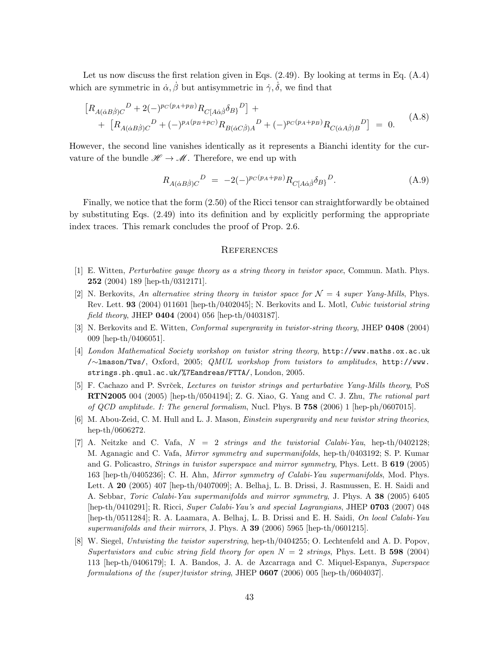Let us now discuss the first relation given in Eqs.  $(2.49)$ . By looking at terms in Eq.  $(A.4)$ which are symmetric in  $\dot{\alpha}, \dot{\beta}$  but antisymmetric in  $\dot{\gamma}, \dot{\delta}$ , we find that

$$
\[R_{A(\dot{\alpha}B\dot{\beta})C}{}^{D} + 2(-)^{p_{C}(p_{A}+p_{B})}R_{C[A\dot{\alpha}\dot{\beta}}\delta_{B\}}{}^{D}]\ + \[R_{A(\dot{\alpha}B\dot{\beta})C}{}^{D} + (-)^{p_{A}(p_{B}+p_{C})}R_{B(\dot{\alpha}C\dot{\beta})A}{}^{D} + (-)^{p_{C}(p_{A}+p_{B})}R_{C(\dot{\alpha}A\dot{\beta})B}{}^{D}\] = 0.
$$
\n(A.8)

However, the second line vanishes identically as it represents a Bianchi identity for the curvature of the bundle  $\mathscr{H} \to \mathscr{M}$ . Therefore, we end up with

$$
R_{A(\dot{\alpha}B\dot{\beta})C}{}^{D} = -2(-)^{p_C(p_A+p_B)}R_{C[A\dot{\alpha}\dot{\beta}}\delta_{B)}{}^{D}.
$$
 (A.9)

Finally, we notice that the form (2.50) of the Ricci tensor can straightforwardly be obtained by substituting Eqs. (2.49) into its definition and by explicitly performing the appropriate index traces. This remark concludes the proof of Prop. 2.6.

### **REFERENCES**

- [1] E. Witten, Perturbative gauge theory as a string theory in twistor space, Commun. Math. Phys. 252 (2004) 189 [hep-th/0312171].
- [2] N. Berkovits, An alternative string theory in twistor space for  $\mathcal{N} = 4$  super Yang-Mills, Phys. Rev. Lett. 93 (2004) 011601 [hep-th/0402045]; N. Berkovits and L. Motl, Cubic twistorial string *field theory*, JHEP  $0404$  (2004) 056 [hep-th/0403187].
- [3] N. Berkovits and E. Witten, Conformal supergravity in twistor-string theory, JHEP 0408 (2004) 009 [hep-th/0406051].
- [4] London Mathematical Society workshop on twistor string theory, http://www.maths.ox.ac.uk /∼lmason/Tws/, Oxford, 2005; QMUL workshop from twistors to amplitudes, http://www. strings.ph.qmul.ac.uk/%7Eandreas/FTTA/, London, 2005.
- [5] F. Cachazo and P. Svrček, Lectures on twistor strings and perturbative Yang-Mills theory, PoS RTN2005 004 (2005) [hep-th/0504194]; Z. G. Xiao, G. Yang and C. J. Zhu, The rational part of QCD amplitude. I: The general formalism, Nucl. Phys. B 758 (2006) 1 [hep-ph/0607015].
- [6] M. Abou-Zeid, C. M. Hull and L. J. Mason, Einstein supergravity and new twistor string theories, hep-th/0606272.
- [7] A. Neitzke and C. Vafa,  $N = 2$  strings and the twistorial Calabi-Yau, hep-th/0402128; M. Aganagic and C. Vafa, Mirror symmetry and supermanifolds, hep-th/0403192; S. P. Kumar and G. Policastro, Strings in twistor superspace and mirror symmetry, Phys. Lett. B 619 (2005) 163 [hep-th/0405236]; C. H. Ahn, Mirror symmetry of Calabi-Yau supermanifolds, Mod. Phys. Lett. A 20 (2005) 407 [hep-th/0407009]; A. Belhaj, L. B. Drissi, J. Rasmussen, E. H. Saidi and A. Sebbar, Toric Calabi-Yau supermanifolds and mirror symmetry, J. Phys. A 38 (2005) 6405 [hep-th/0410291]; R. Ricci, Super Calabi-Yau's and special Lagrangians, JHEP 0703 (2007) 048 [hep-th/0511284]; R. A. Laamara, A. Belhaj, L. B. Drissi and E. H. Saidi, On local Calabi-Yau supermanifolds and their mirrors, J. Phys. A  $39$  (2006) 5965 [hep-th/0601215].
- [8] W. Siegel, Untwisting the twistor superstring, hep-th/0404255; O. Lechtenfeld and A. D. Popov, Supertwistors and cubic string field theory for open  $N = 2$  strings, Phys. Lett. B 598 (2004) 113 [hep-th/0406179]; I. A. Bandos, J. A. de Azcarraga and C. Miquel-Espanya, Superspace formulations of the (super)twistor string, JHEP 0607 (2006) 005 [hep-th/0604037].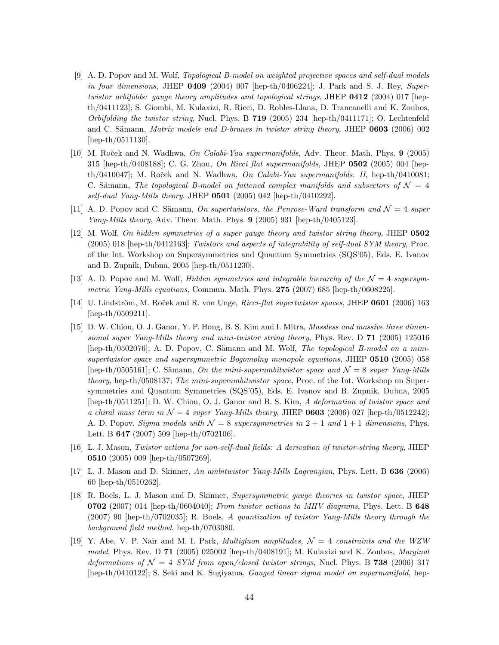- [9] A. D. Popov and M. Wolf, Topological B-model on weighted projective spaces and self-dual models in four dimensions, JHEP  $0409$  (2004) 007 [hep-th/0406224]; J. Park and S. J. Rey, Supertwistor orbifolds: gauge theory amplitudes and topological strings, JHEP  $0412$  (2004) 017 [hepth/0411123]; S. Giombi, M. Kulaxizi, R. Ricci, D. Robles-Llana, D. Trancanelli and K. Zoubos, Orbifolding the twistor string, Nucl. Phys. B  $719$  (2005) 234 [hep-th/0411171]; O. Lechtenfeld and C. Sämann, Matrix models and D-branes in twistor string theory, JHEP 0603 (2006) 002 [hep-th/0511130].
- [10] M. Roček and N. Wadhwa, *On Calabi-Yau supermanifolds*, Adv. Theor. Math. Phys. 9 (2005) 315 [hep-th/0408188]; C. G. Zhou, On Ricci flat supermanifolds, JHEP 0502 (2005) 004 [hepth/0410047]; M. Roček and N. Wadhwa, On Calabi-Yau supermanifolds. II, hep-th/0410081; C. Sämann, The topological B-model on fattened complex manifolds and subsectors of  $\mathcal{N} = 4$ self-dual Yang-Mills theory, JHEP 0501 (2005) 042 [hep-th/0410292].
- [11] A. D. Popov and C. Sämann, On supertwistors, the Penrose-Ward transform and  $\mathcal{N}=4$  super Yang-Mills theory, Adv. Theor. Math. Phys. 9 (2005) 931 [hep-th/0405123].
- [12] M. Wolf, On hidden symmetries of a super gauge theory and twistor string theory, JHEP 0502 (2005) 018 [hep-th/0412163]; Twistors and aspects of integrability of self-dual SYM theory, Proc. of the Int. Workshop on Supersymmetries and Quantum Symmetries (SQS'05), Eds. E. Ivanov and B. Zupnik, Dubna, 2005 [hep-th/0511230].
- [13] A. D. Popov and M. Wolf, *Hidden symmetries and integrable hierarchy of the*  $\mathcal{N} = 4$  *supersym*metric Yang-Mills equations, Commun. Math. Phys.  $275$  (2007) 685 [hep-th/0608225].
- [14] U. Lindström, M. Roček and R. von Unge, *Ricci-flat supertwistor spaces*, JHEP 0601 (2006) 163 [hep-th/0509211].
- [15] D. W. Chiou, O. J. Ganor, Y. P. Hong, B. S. Kim and I. Mitra, Massless and massive three dimensional super Yang-Mills theory and mini-twistor string theory, Phys. Rev. D 71 (2005) 125016 [hep-th/0502076]; A. D. Popov, C. Sämann and M. Wolf, The topological B-model on a minisupertwistor space and supersymmetric Bogomolny monopole equations, JHEP 0510 (2005) 058 [hep-th/0505161]; C. Sämann, On the mini-superambitwistor space and  $\mathcal{N}=8$  super Yang-Mills theory, hep-th/0508137; The mini-superambitwistor space, Proc. of the Int. Workshop on Supersymmetries and Quantum Symmetries (SQS'05), Eds. E. Ivanov and B. Zupnik, Dubna, 2005 [hep-th/0511251]; D. W. Chiou, O. J. Ganor and B. S. Kim, A deformation of twistor space and a chiral mass term in  $\mathcal{N} = 4$  super Yang-Mills theory, JHEP 0603 (2006) 027 [hep-th/0512242]; A. D. Popov, Sigma models with  $\mathcal{N} = 8$  supersymmetries in  $2 + 1$  and  $1 + 1$  dimensions, Phys. Lett. B 647 (2007) 509 [hep-th/0702106].
- [16] L. J. Mason, Twistor actions for non-self-dual fields: A derivation of twistor-string theory, JHEP 0510 (2005) 009 [hep-th/0507269].
- [17] L. J. Mason and D. Skinner, An ambitwistor Yang-Mills Lagrangian, Phys. Lett. B 636 (2006) 60 [hep-th/0510262].
- [18] R. Boels, L. J. Mason and D. Skinner, Supersymmetric gauge theories in twistor space, JHEP 0702 (2007) 014 [hep-th/0604040]; From twistor actions to MHV diagrams, Phys. Lett. B 648 (2007) 90 [hep-th/0702035]; R. Boels, A quantization of twistor Yang-Mills theory through the background field method, hep-th/0703080.
- [19] Y. Abe, V. P. Nair and M. I. Park, *Multigluon amplitudes*,  $\mathcal{N} = 4$  constraints and the WZW model, Phys. Rev. D 71 (2005) 025002 [hep-th/0408191]; M. Kulaxizi and K. Zoubos, Marginal deformations of  $\mathcal{N} = 4$  SYM from open/closed twistor strings, Nucl. Phys. B 738 (2006) 317 [hep-th/0410122]; S. Seki and K. Sugiyama, Gauged linear sigma model on supermanifold, hep-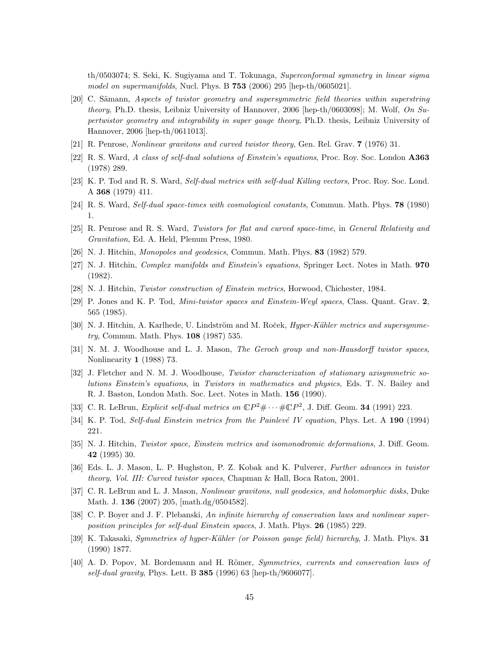th/0503074; S. Seki, K. Sugiyama and T. Tokunaga, Superconformal symmetry in linear sigma model on supermanifolds, Nucl. Phys. B 753 (2006) 295 [hep-th/0605021].

- [20] C. Sämann, Aspects of twistor geometry and supersymmetric field theories within superstring theory, Ph.D. thesis, Leibniz University of Hannover, 2006 [hep-th/0603098]; M. Wolf, On Supertwistor geometry and integrability in super gauge theory, Ph.D. thesis, Leibniz University of Hannover, 2006 [hep-th/0611013].
- [21] R. Penrose, Nonlinear gravitons and curved twistor theory, Gen. Rel. Grav. 7 (1976) 31.
- [22] R. S. Ward, A class of self-dual solutions of Einstein's equations, Proc. Roy. Soc. London A363 (1978) 289.
- [23] K. P. Tod and R. S. Ward, Self-dual metrics with self-dual Killing vectors, Proc. Roy. Soc. Lond. A 368 (1979) 411.
- [24] R. S. Ward, Self-dual space-times with cosmological constants, Commun. Math. Phys. 78 (1980) 1.
- [25] R. Penrose and R. S. Ward, Twistors for flat and curved space-time, in General Relativity and Gravitation, Ed. A. Held, Plenum Press, 1980.
- [26] N. J. Hitchin, Monopoles and geodesics, Commun. Math. Phys. 83 (1982) 579.
- [27] N. J. Hitchin, Complex manifolds and Einstein's equations, Springer Lect. Notes in Math. 970 (1982).
- [28] N. J. Hitchin, Twistor construction of Einstein metrics, Horwood, Chichester, 1984.
- [29] P. Jones and K. P. Tod, Mini-twistor spaces and Einstein-Weyl spaces, Class. Quant. Grav. 2, 565 (1985).
- [30] N. J. Hitchin, A. Karlhede, U. Lindström and M. Roček, *Hyper-Kähler metrics and supersymme*try, Commun. Math. Phys. 108 (1987) 535.
- [31] N. M. J. Woodhouse and L. J. Mason, The Geroch group and non-Hausdorff twistor spaces, Nonlinearity 1 (1988) 73.
- [32] J. Fletcher and N. M. J. Woodhouse, Twistor characterization of stationary axisymmetric solutions Einstein's equations, in Twistors in mathematics and physics, Eds. T. N. Bailey and R. J. Baston, London Math. Soc. Lect. Notes in Math. 156 (1990).
- [33] C. R. LeBrun, *Explicit self-dual metrics on*  $\mathbb{C}P^2 \# \cdots \# \mathbb{C}P^2$ , J. Diff. Geom. **34** (1991) 223.
- [34] K. P. Tod, Self-dual Einstein metrics from the Painlevé IV equation, Phys. Let. A 190 (1994) 221.
- [35] N. J. Hitchin, Twistor space, Einstein metrics and isomonodromic deformations, J. Diff. Geom. 42 (1995) 30.
- [36] Eds. L. J. Mason, L. P. Hughston, P. Z. Kobak and K. Pulverer, Further advances in twistor theory, Vol. III: Curved twistor spaces, Chapman & Hall, Boca Raton, 2001.
- [37] C. R. LeBrun and L. J. Mason, Nonlinear gravitons, null geodesics, and holomorphic disks, Duke Math. J. 136 (2007) 205, [math.dg/0504582].
- [38] C. P. Boyer and J. F. Plebanski, An infinite hierarchy of conservation laws and nonlinear superposition principles for self-dual Einstein spaces, J. Math. Phys. 26 (1985) 229.
- [39] K. Takasaki, *Symmetries of hyper-Kähler (or Poisson gauge field) hierarchy*, J. Math. Phys. 31 (1990) 1877.
- [40] A. D. Popov, M. Bordemann and H. Römer, *Symmetries, currents and conservation laws of* self-dual gravity, Phys. Lett. B  $385$  (1996) 63 [hep-th/9606077].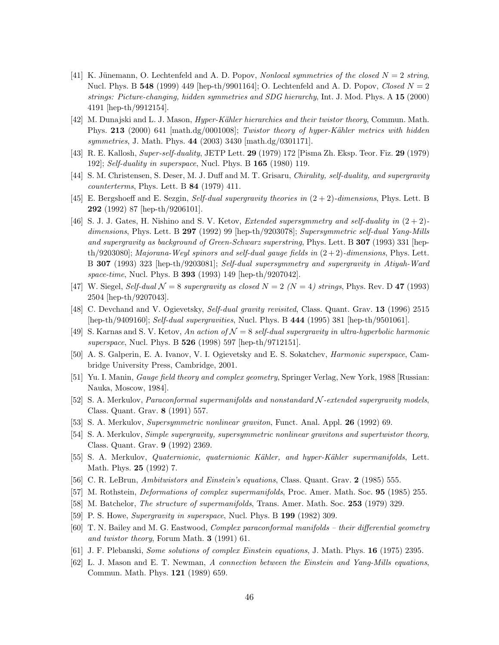- [41] K. Jünemann, O. Lechtenfeld and A. D. Popov, Nonlocal symmetries of the closed  $N = 2$  string, Nucl. Phys. B 548 (1999) 449 [hep-th/9901164]; O. Lechtenfeld and A. D. Popov, Closed  $N = 2$ strings: Picture-changing, hidden symmetries and SDG hierarchy, Int. J. Mod. Phys. A 15 (2000) 4191 [hep-th/9912154].
- [42] M. Dunajski and L. J. Mason, *Hyper-Kähler hierarchies and their twistor theory*, Commun. Math. Phys. 213 (2000) 641 [math.dg/0001008]; Twistor theory of hyper-Kähler metrics with hidden symmetries, J. Math. Phys. 44 (2003) 3430 [math.dg/0301171].
- [43] R. E. Kallosh, Super-self-duality, JETP Lett. 29 (1979) 172 [Pisma Zh. Eksp. Teor. Fiz. 29 (1979) 192]; Self-duality in superspace, Nucl. Phys. B  $165$  (1980) 119.
- [44] S. M. Christensen, S. Deser, M. J. Duff and M. T. Grisaru, Chirality, self-duality, and supergravity counterterms, Phys. Lett. B 84 (1979) 411.
- [45] E. Bergshoeff and E. Sezgin, Self-dual supergravity theories in  $(2 + 2)$ -dimensions, Phys. Lett. B 292 (1992) 87 [hep-th/9206101].
- [46] S. J. J. Gates, H. Nishino and S. V. Ketov, *Extended supersymmetry and self-duality in*  $(2+2)$ dimensions, Phys. Lett. B 297 (1992) 99 [hep-th/9203078]; Supersymmetric self-dual Yang-Mills and supergravity as background of Green-Schwarz superstring, Phys. Lett. B 307 (1993) 331 [hepth/9203080]; Majorana-Weyl spinors and self-dual gauge fields in  $(2+2)$ -dimensions, Phys. Lett. B 307 (1993) 323 [hep-th/9203081]; Self-dual supersymmetry and supergravity in Atiyah-Ward space-time, Nucl. Phys. B 393 (1993) 149 [hep-th/9207042].
- [47] W. Siegel, Self-dual  $\mathcal{N} = 8$  supergravity as closed  $N = 2$  ( $N = 4$ ) strings, Phys. Rev. D 47 (1993) 2504 [hep-th/9207043].
- [48] C. Devchand and V. Ogievetsky, Self-dual gravity revisited, Class. Quant. Grav. 13 (1996) 2515 [hep-th/9409160]; Self-dual supergravities, Nucl. Phys. B 444 (1995) 381 [hep-th/9501061].
- [49] S. Karnas and S. V. Ketov, An action of  $\mathcal{N} = 8$  self-dual supergravity in ultra-hyperbolic harmonic superspace, Nucl. Phys. B **526** (1998) 597 [hep-th/9712151].
- [50] A. S. Galperin, E. A. Ivanov, V. I. Ogievetsky and E. S. Sokatchev, Harmonic superspace, Cambridge University Press, Cambridge, 2001.
- [51] Yu. I. Manin, Gauge field theory and complex geometry, Springer Verlag, New York, 1988 [Russian: Nauka, Moscow, 1984].
- [52] S. A. Merkulov, Paraconformal supermanifolds and nonstandard N -extended supergravity models, Class. Quant. Grav. 8 (1991) 557.
- [53] S. A. Merkulov, Supersymmetric nonlinear graviton, Funct. Anal. Appl. 26 (1992) 69.
- [54] S. A. Merkulov, Simple supergravity, supersymmetric nonlinear gravitons and supertwistor theory, Class. Quant. Grav. 9 (1992) 2369.
- [55] S. A. Merkulov, *Quaternionic, quaternionic Kähler, and hyper-Kähler supermanifolds*, Lett. Math. Phys. 25 (1992) 7.
- [56] C. R. LeBrun, Ambitwistors and Einstein's equations, Class. Quant. Grav. 2 (1985) 555.
- [57] M. Rothstein, *Deformations of complex supermanifolds*, Proc. Amer. Math. Soc. **95** (1985) 255.
- [58] M. Batchelor, The structure of supermanifolds, Trans. Amer. Math. Soc. 253 (1979) 329.
- [59] P. S. Howe, Supergravity in superspace, Nucl. Phys. B 199 (1982) 309.
- [60] T. N. Bailey and M. G. Eastwood, Complex paraconformal manifolds their differential geometry and twistor theory, Forum Math. 3 (1991) 61.
- [61] J. F. Plebanski, Some solutions of complex Einstein equations, J. Math. Phys. 16 (1975) 2395.
- [62] L. J. Mason and E. T. Newman, A connection between the Einstein and Yang-Mills equations, Commun. Math. Phys. 121 (1989) 659.